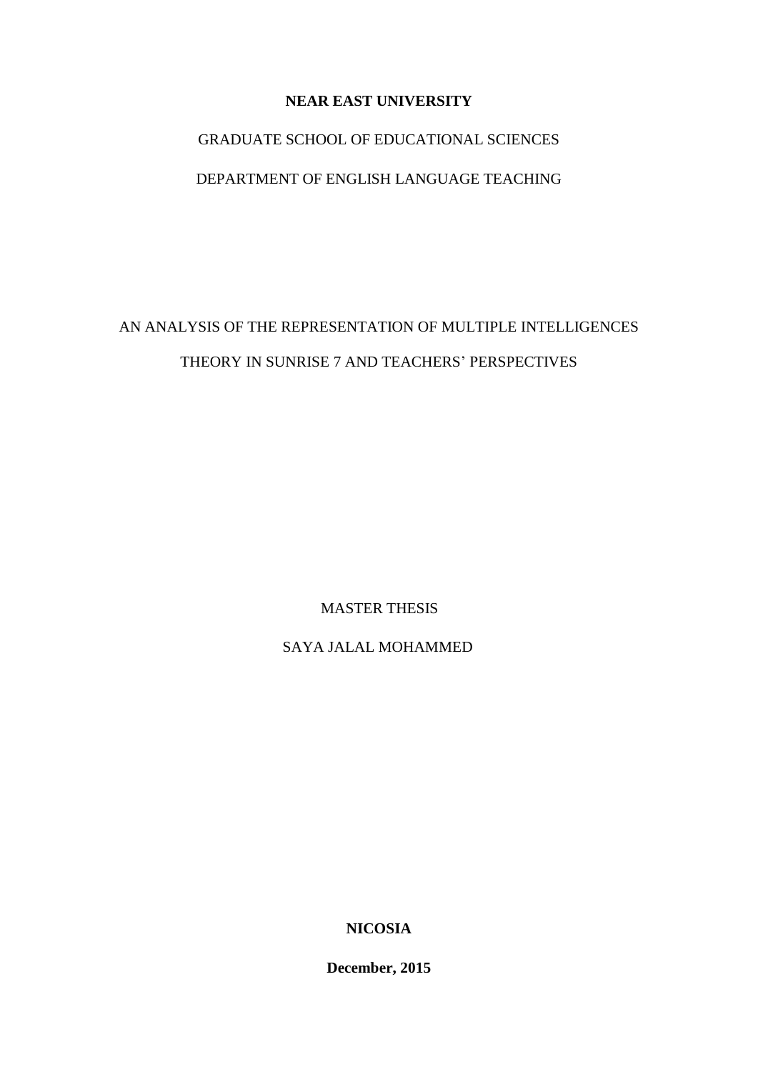# **NEAR EAST UNIVERSITY**

# GRADUATE SCHOOL OF EDUCATIONAL SCIENCES

# DEPARTMENT OF ENGLISH LANGUAGE TEACHING

# AN ANALYSIS OF THE REPRESENTATION OF MULTIPLE INTELLIGENCES THEORY IN SUNRISE 7 AND TEACHERS' PERSPECTIVES

MASTER THESIS

SAYA JALAL MOHAMMED

**NICOSIA** 

**December, 2015**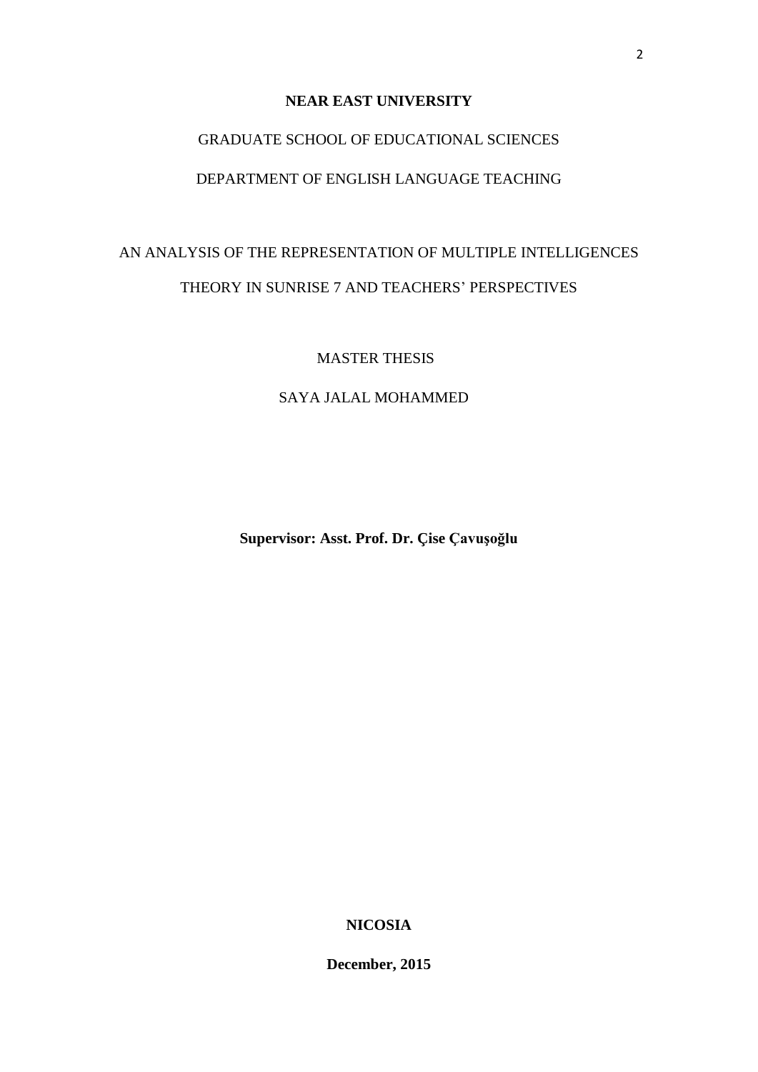## **NEAR EAST UNIVERSITY**

# GRADUATE SCHOOL OF EDUCATIONAL SCIENCES

# DEPARTMENT OF ENGLISH LANGUAGE TEACHING

# AN ANALYSIS OF THE REPRESENTATION OF MULTIPLE INTELLIGENCES THEORY IN SUNRISE 7 AND TEACHERS' PERSPECTIVES

MASTER THESIS

SAYA JALAL MOHAMMED

**Supervisor: Asst. Prof. Dr. Çise Çavuşoğlu**

**NICOSIA** 

**December, 2015**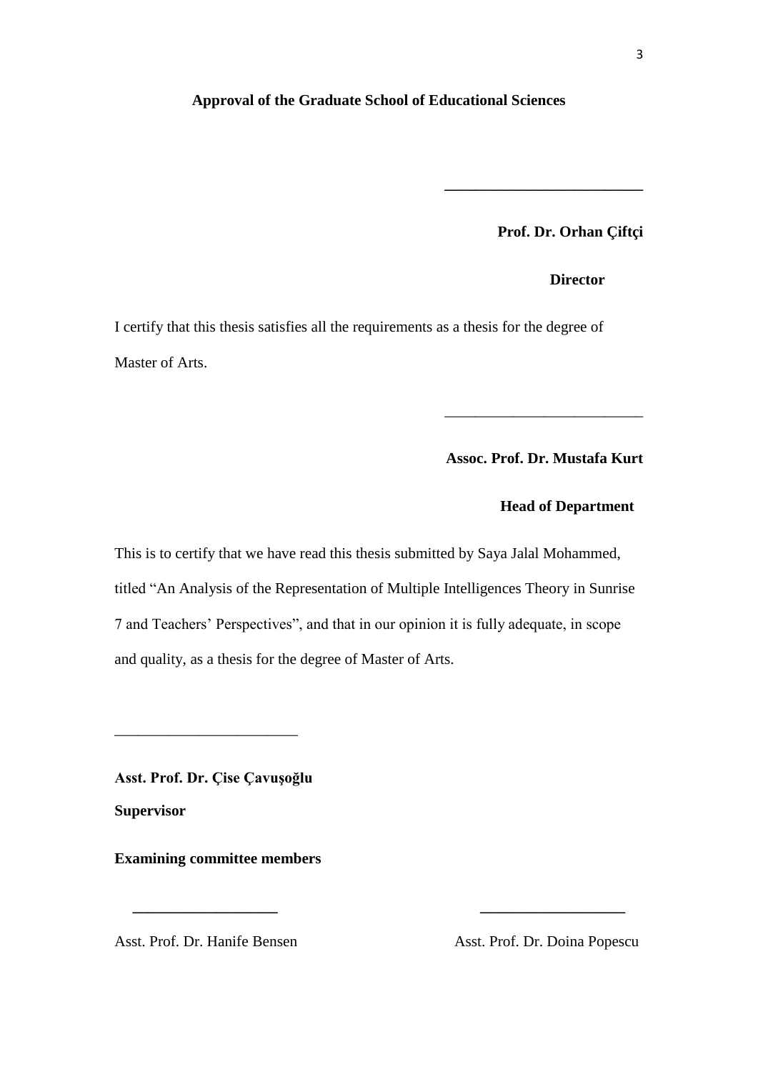#### <span id="page-2-0"></span>**Approval of the Graduate School of Educational Sciences**

**Prof. Dr. Orhan Çiftçi**

**\_\_\_\_\_\_\_\_\_\_\_\_\_\_\_\_\_\_\_\_\_\_\_\_\_\_**

*Director* 

I certify that this thesis satisfies all the requirements as a thesis for the degree of Master of Arts.

**Assoc. Prof. Dr. Mustafa Kurt**

\_\_\_\_\_\_\_\_\_\_\_\_\_\_\_\_\_\_\_\_\_\_\_\_\_\_

## **Head of Department**

This is to certify that we have read this thesis submitted by Saya Jalal Mohammed, titled "An Analysis of the Representation of Multiple Intelligences Theory in Sunrise 7 and Teachers' Perspectives", and that in our opinion it is fully adequate, in scope and quality, as a thesis for the degree of Master of Arts.

**\_\_\_\_\_\_\_\_\_\_\_\_\_\_\_\_\_\_\_ \_\_\_\_\_\_\_\_\_\_\_\_\_\_\_\_\_\_\_**

**Asst. Prof. Dr. Çise Çavuşoğlu**

\_\_\_\_\_\_\_\_\_\_\_\_\_\_\_\_\_\_\_\_\_\_\_\_

**Supervisor**

**Examining committee members** 

Asst. Prof. Dr. Hanife Bensen Asst. Prof. Dr. Doina Popescu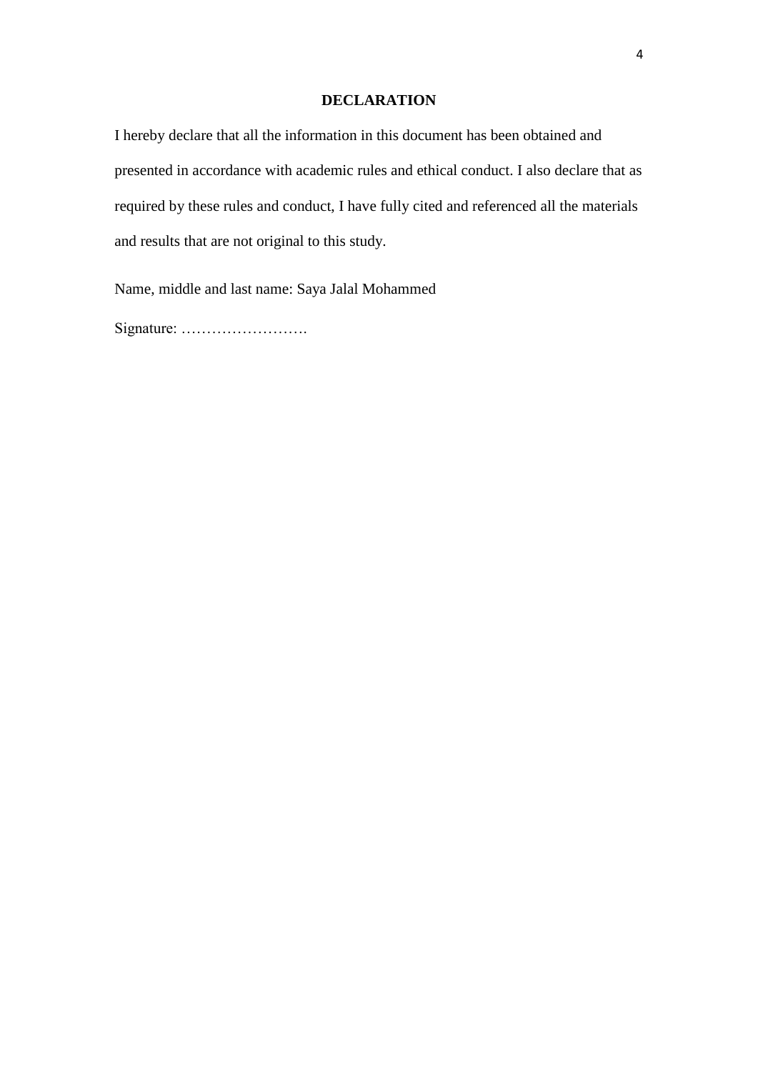## **DECLARATION**

<span id="page-3-0"></span>I hereby declare that all the information in this document has been obtained and presented in accordance with academic rules and ethical conduct. I also declare that as required by these rules and conduct, I have fully cited and referenced all the materials and results that are not original to this study.

Name, middle and last name: Saya Jalal Mohammed

Signature: …………………….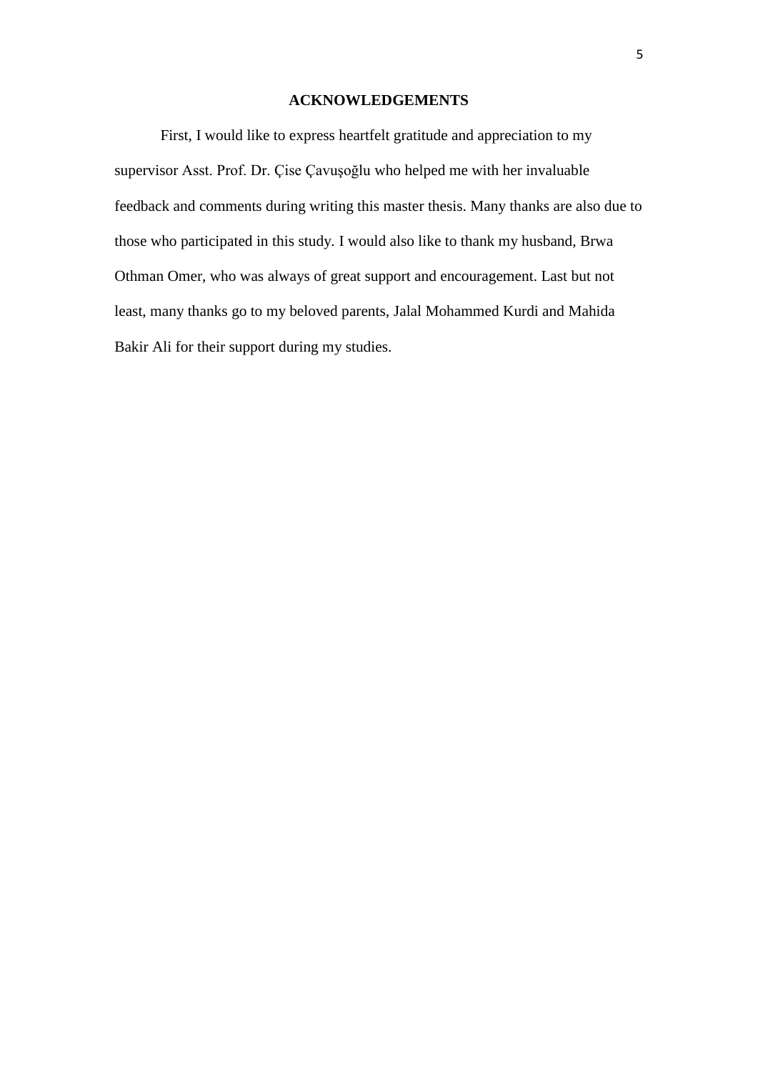#### **ACKNOWLEDGEMENTS**

<span id="page-4-0"></span>First, I would like to express heartfelt gratitude and appreciation to my supervisor Asst. Prof. Dr. Çise Çavuşoğlu who helped me with her invaluable feedback and comments during writing this master thesis. Many thanks are also due to those who participated in this study. I would also like to thank my husband, Brwa Othman Omer, who was always of great support and encouragement. Last but not least, many thanks go to my beloved parents, Jalal Mohammed Kurdi and Mahida Bakir Ali for their support during my studies.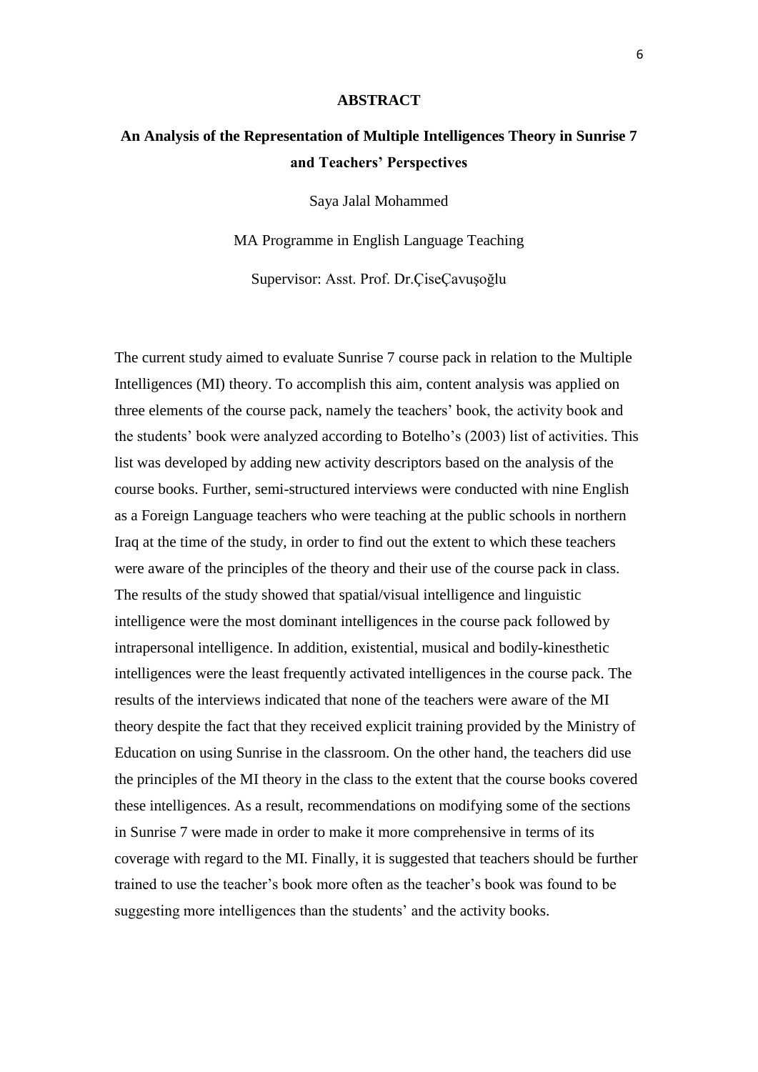#### **ABSTRACT**

# <span id="page-5-0"></span>**An Analysis of the Representation of Multiple Intelligences Theory in Sunrise 7 and Teachers' Perspectives**

Saya Jalal Mohammed

MA Programme in English Language Teaching

Supervisor: Asst. Prof. Dr.ÇiseÇavuşoğlu

The current study aimed to evaluate Sunrise 7 course pack in relation to the Multiple Intelligences (MI) theory. To accomplish this aim, content analysis was applied on three elements of the course pack, namely the teachers' book, the activity book and the students' book were analyzed according to Botelho's (2003) list of activities. This list was developed by adding new activity descriptors based on the analysis of the course books. Further, semi-structured interviews were conducted with nine English as a Foreign Language teachers who were teaching at the public schools in northern Iraq at the time of the study, in order to find out the extent to which these teachers were aware of the principles of the theory and their use of the course pack in class. The results of the study showed that spatial/visual intelligence and linguistic intelligence were the most dominant intelligences in the course pack followed by intrapersonal intelligence. In addition, existential, musical and bodily-kinesthetic intelligences were the least frequently activated intelligences in the course pack. The results of the interviews indicated that none of the teachers were aware of the MI theory despite the fact that they received explicit training provided by the Ministry of Education on using Sunrise in the classroom. On the other hand, the teachers did use the principles of the MI theory in the class to the extent that the course books covered these intelligences. As a result, recommendations on modifying some of the sections in Sunrise 7 were made in order to make it more comprehensive in terms of its coverage with regard to the MI. Finally, it is suggested that teachers should be further trained to use the teacher's book more often as the teacher's book was found to be suggesting more intelligences than the students' and the activity books.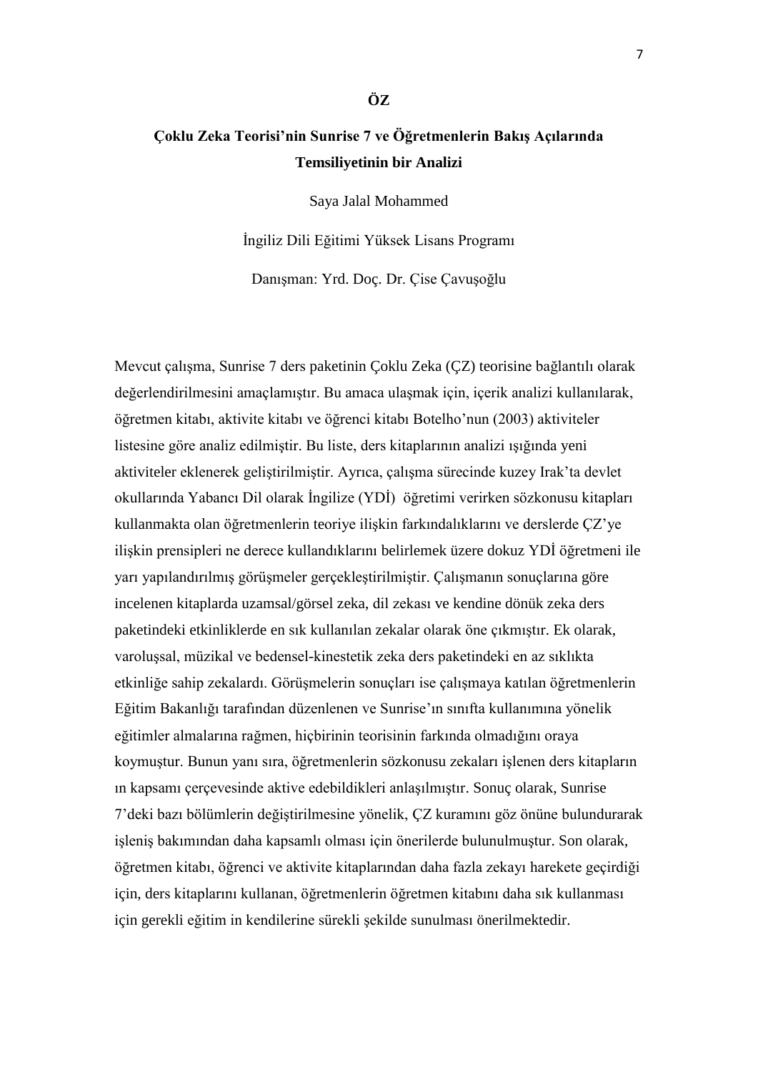# <span id="page-6-0"></span>**Çoklu Zeka Teorisi'nin Sunrise 7 ve Öğretmenlerin Bakış Açılarında Temsiliyetinin bir Analizi**

**ÖZ**

Saya Jalal Mohammed

İngiliz Dili Eğitimi Yüksek Lisans Programı

Danışman: Yrd. Doç. Dr. Çise Çavuşoğlu

Mevcut çalışma, Sunrise 7 ders paketinin Çoklu Zeka (ÇZ) teorisine bağlantılı olarak değerlendirilmesini amaçlamıştır. Bu amaca ulaşmak için, içerik analizi kullanılarak, öğretmen kitabı, aktivite kitabı ve öğrenci kitabı Botelho'nun (2003) aktiviteler listesine göre analiz edilmiştir. Bu liste, ders kitaplarının analizi ışığında yeni aktiviteler eklenerek geliştirilmiştir. Ayrıca, çalışma sürecinde kuzey Irak'ta devlet okullarında Yabancı Dil olarak İngilize (YDİ) öğretimi verirken sözkonusu kitapları kullanmakta olan öğretmenlerin teoriye ilişkin farkındalıklarını ve derslerde ÇZ'ye ilişkin prensipleri ne derece kullandıklarını belirlemek üzere dokuz YDİ öğretmeni ile yarı yapılandırılmış görüşmeler gerçekleştirilmiştir. Çalışmanın sonuçlarına göre incelenen kitaplarda uzamsal/görsel zeka, dil zekası ve kendine dönük zeka ders paketindeki etkinliklerde en sık kullanılan zekalar olarak öne çıkmıştır. Ek olarak, varoluşsal, müzikal ve bedensel-kinestetik zeka ders paketindeki en az sıklıkta etkinliğe sahip zekalardı. Görüşmelerin sonuçları ise çalışmaya katılan öğretmenlerin Eğitim Bakanlığı tarafından düzenlenen ve Sunrise'ın sınıfta kullanımına yönelik eğitimler almalarına rağmen, hiçbirinin teorisinin farkında olmadığını oraya koymuştur. Bunun yanı sıra, öğretmenlerin sözkonusu zekaları işlenen ders kitapların ın kapsamı çerçevesinde aktive edebildikleri anlaşılmıştır. Sonuç olarak, Sunrise 7'deki bazı bölümlerin değiştirilmesine yönelik, ÇZ kuramını göz önüne bulundurarak işleniş bakımından daha kapsamlı olması için önerilerde bulunulmuştur. Son olarak, öğretmen kitabı, öğrenci ve aktivite kitaplarından daha fazla zekayı harekete geçirdiği için, ders kitaplarını kullanan, öğretmenlerin öğretmen kitabını daha sık kullanması için gerekli eğitim in kendilerine sürekli şekilde sunulması önerilmektedir.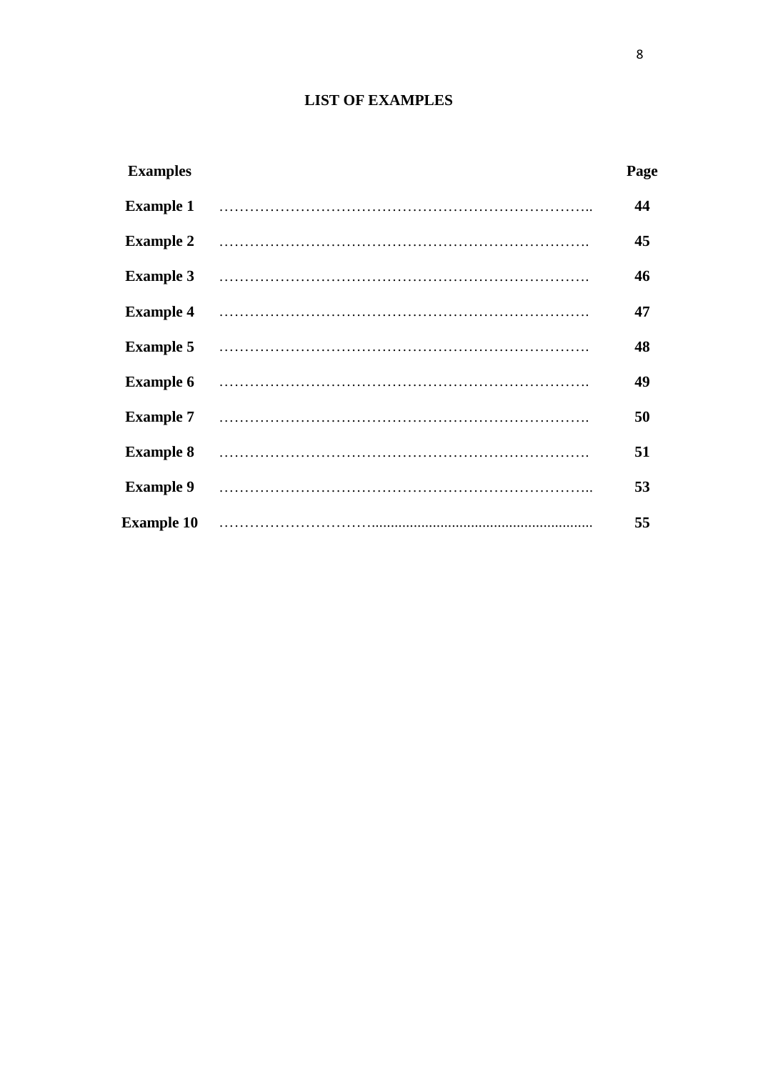# **LIST OF EXAMPLES**

<span id="page-7-0"></span>

| <b>Examples</b>   | Page |
|-------------------|------|
| <b>Example 1</b>  | 44   |
| <b>Example 2</b>  | 45   |
| <b>Example 3</b>  | 46   |
| <b>Example 4</b>  | 47   |
| <b>Example 5</b>  | 48   |
| <b>Example 6</b>  | 49   |
| <b>Example 7</b>  | 50   |
| <b>Example 8</b>  | 51   |
| <b>Example 9</b>  | 53   |
| <b>Example 10</b> | 55   |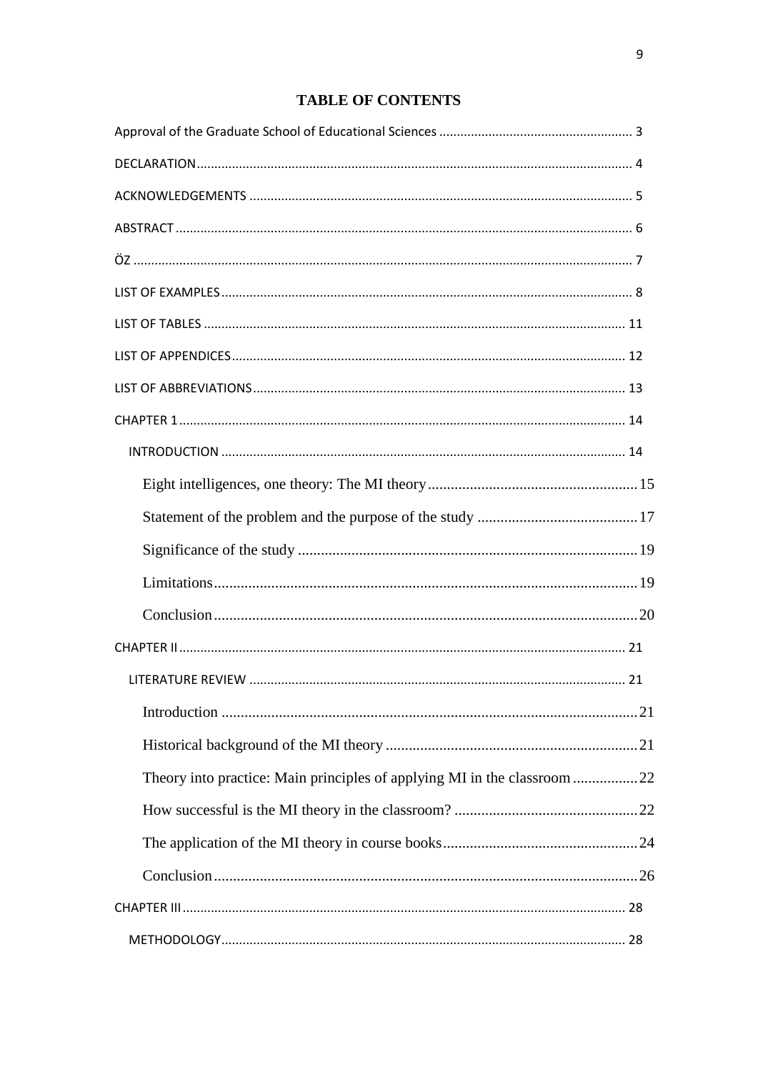# **TABLE OF CONTENTS**

| Theory into practice: Main principles of applying MI in the classroom 22 |  |
|--------------------------------------------------------------------------|--|
|                                                                          |  |
|                                                                          |  |
|                                                                          |  |
|                                                                          |  |
|                                                                          |  |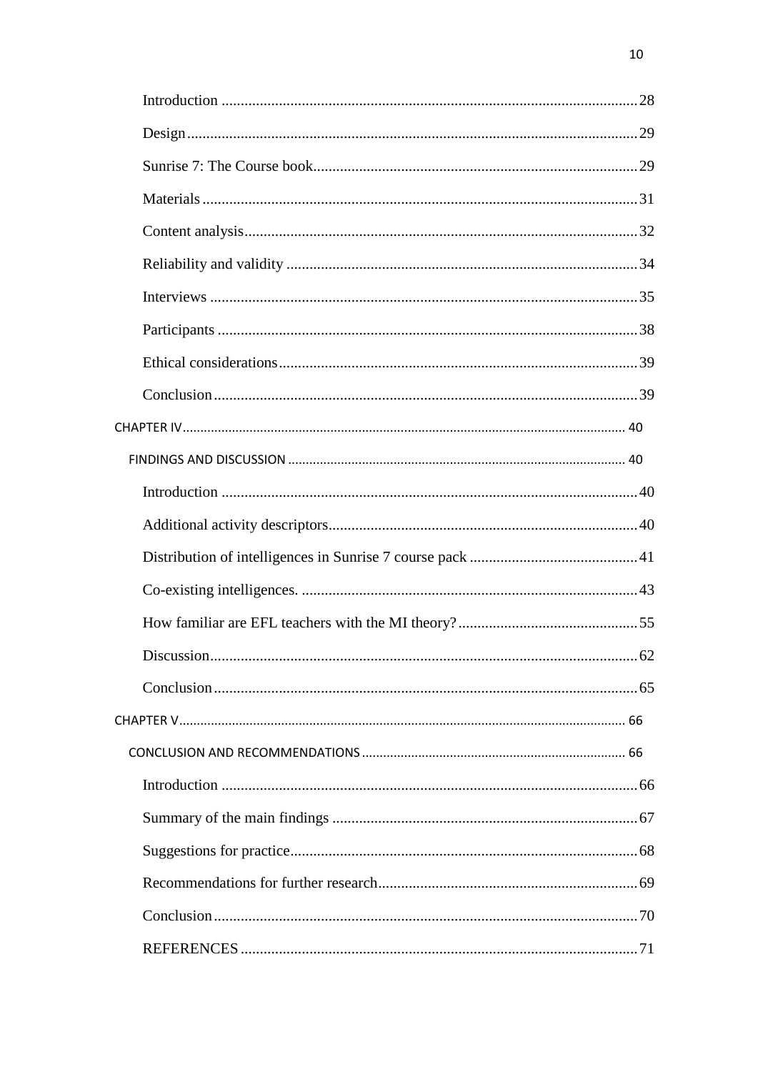| 62 |
|----|
|    |
|    |
|    |
|    |
|    |
|    |
|    |
|    |
|    |
|    |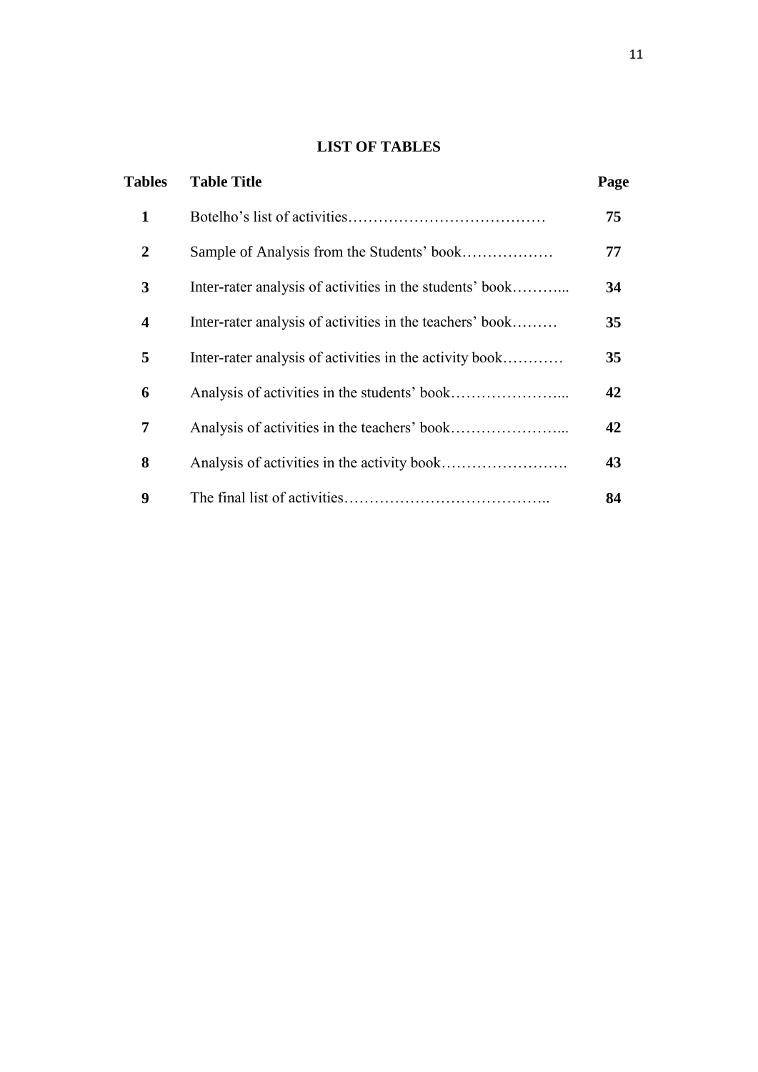# **LIST OF TABLES**

<span id="page-10-0"></span>

| <b>Tables</b>  | <b>Table Title</b>                                       | Page |
|----------------|----------------------------------------------------------|------|
| $\mathbf{1}$   |                                                          | 75   |
| $\overline{2}$ | Sample of Analysis from the Students' book               | 77   |
| 3              | Inter-rater analysis of activities in the students' book | 34   |
| 4              | Inter-rater analysis of activities in the teachers' book | 35   |
| 5              | Inter-rater analysis of activities in the activity book  | 35   |
| 6              |                                                          | 42   |
| 7              |                                                          | 42   |
| 8              |                                                          | 43   |
| 9              |                                                          | 84   |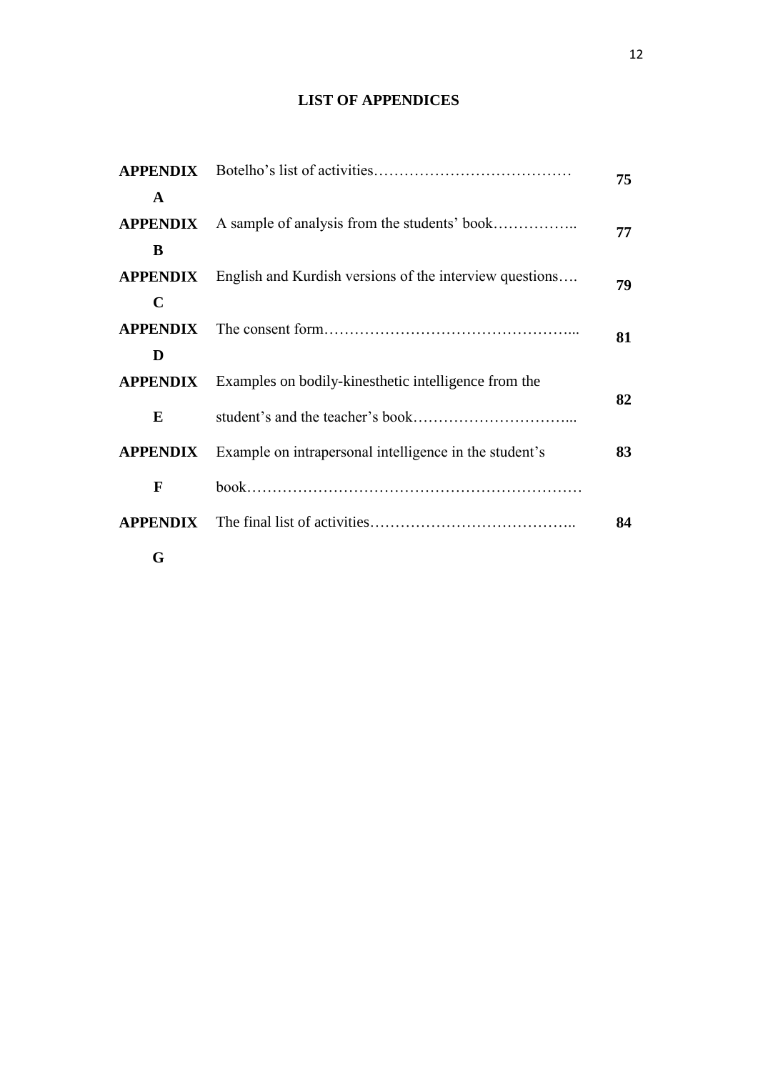# **LIST OF APPENDICES**

<span id="page-11-0"></span>

| $\mathbf{A}$ |                                                                         | 75 |  |  |  |  |
|--------------|-------------------------------------------------------------------------|----|--|--|--|--|
|              | <b>APPENDIX</b> A sample of analysis from the students' book            | 77 |  |  |  |  |
| B            |                                                                         |    |  |  |  |  |
|              | <b>APPENDIX</b> English and Kurdish versions of the interview questions | 79 |  |  |  |  |
| $\mathbf C$  |                                                                         |    |  |  |  |  |
|              |                                                                         | 81 |  |  |  |  |
| D            |                                                                         |    |  |  |  |  |
|              | <b>APPENDIX</b> Examples on bodily-kinesthetic intelligence from the    | 82 |  |  |  |  |
| E            |                                                                         |    |  |  |  |  |
|              | <b>APPENDIX</b> Example on intrapersonal intelligence in the student's  | 83 |  |  |  |  |
| F            |                                                                         |    |  |  |  |  |
|              |                                                                         | 84 |  |  |  |  |
| G            |                                                                         |    |  |  |  |  |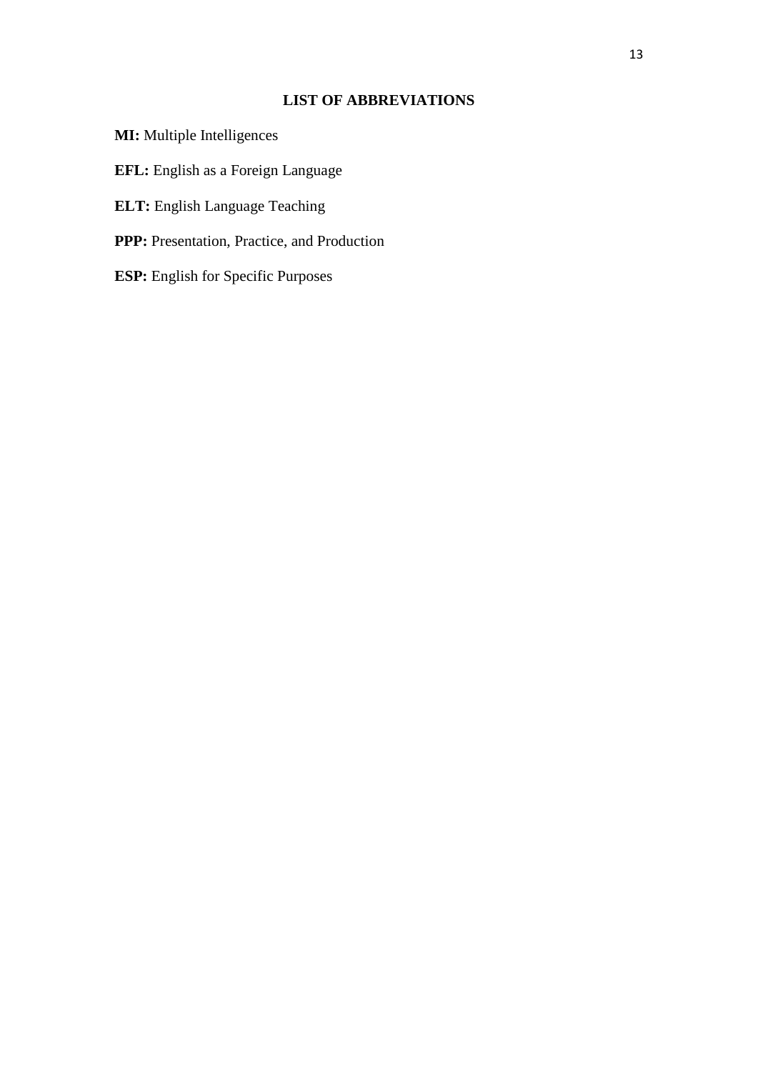# **LIST OF ABBREVIATIONS**

<span id="page-12-0"></span>**MI:** Multiple Intelligences **EFL:** English as a Foreign Language **ELT:** English Language Teaching **PPP:** Presentation, Practice, and Production **ESP:** English for Specific Purposes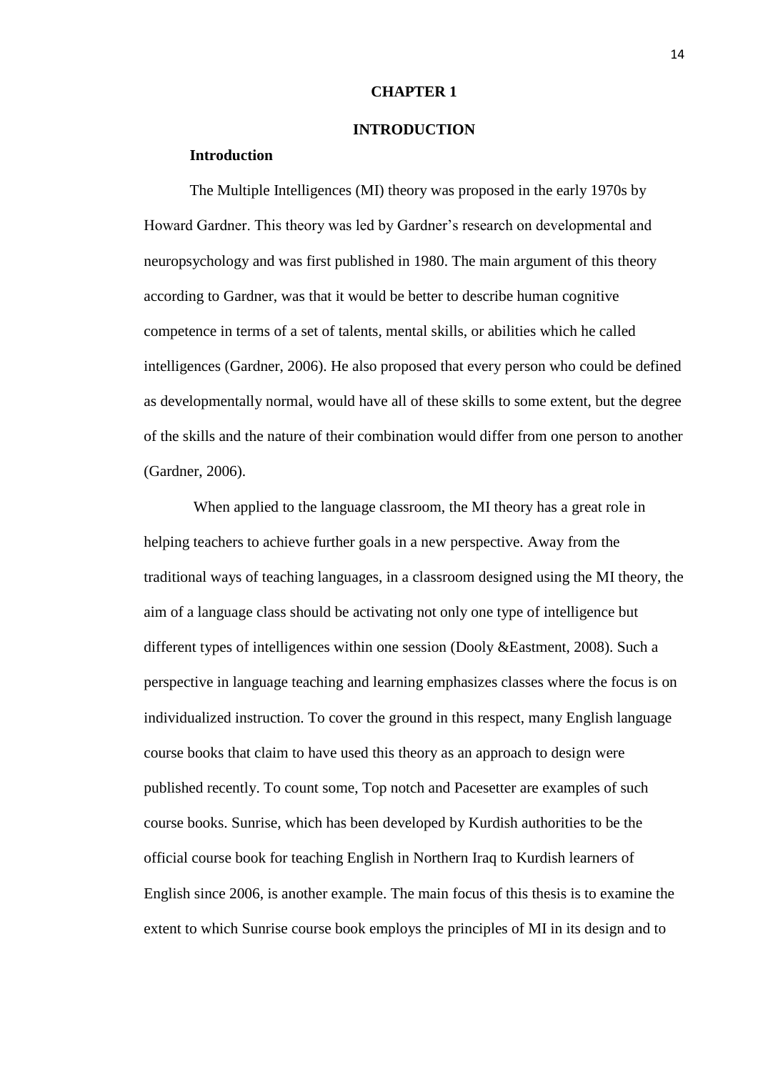#### **CHAPTER 1**

#### **INTRODUCTION**

## <span id="page-13-1"></span><span id="page-13-0"></span>**Introduction**

The Multiple Intelligences (MI) theory was proposed in the early 1970s by Howard Gardner. This theory was led by Gardner's research on developmental and neuropsychology and was first published in 1980. The main argument of this theory according to Gardner, was that it would be better to describe human cognitive competence in terms of a set of talents, mental skills, or abilities which he called intelligences (Gardner, 2006). He also proposed that every person who could be defined as developmentally normal, would have all of these skills to some extent, but the degree of the skills and the nature of their combination would differ from one person to another (Gardner, 2006).

When applied to the language classroom, the MI theory has a great role in helping teachers to achieve further goals in a new perspective. Away from the traditional ways of teaching languages, in a classroom designed using the MI theory, the aim of a language class should be activating not only one type of intelligence but different types of intelligences within one session (Dooly &Eastment, 2008). Such a perspective in language teaching and learning emphasizes classes where the focus is on individualized instruction. To cover the ground in this respect, many English language course books that claim to have used this theory as an approach to design were published recently. To count some, Top notch and Pacesetter are examples of such course books. Sunrise, which has been developed by Kurdish authorities to be the official course book for teaching English in Northern Iraq to Kurdish learners of English since 2006, is another example. The main focus of this thesis is to examine the extent to which Sunrise course book employs the principles of MI in its design and to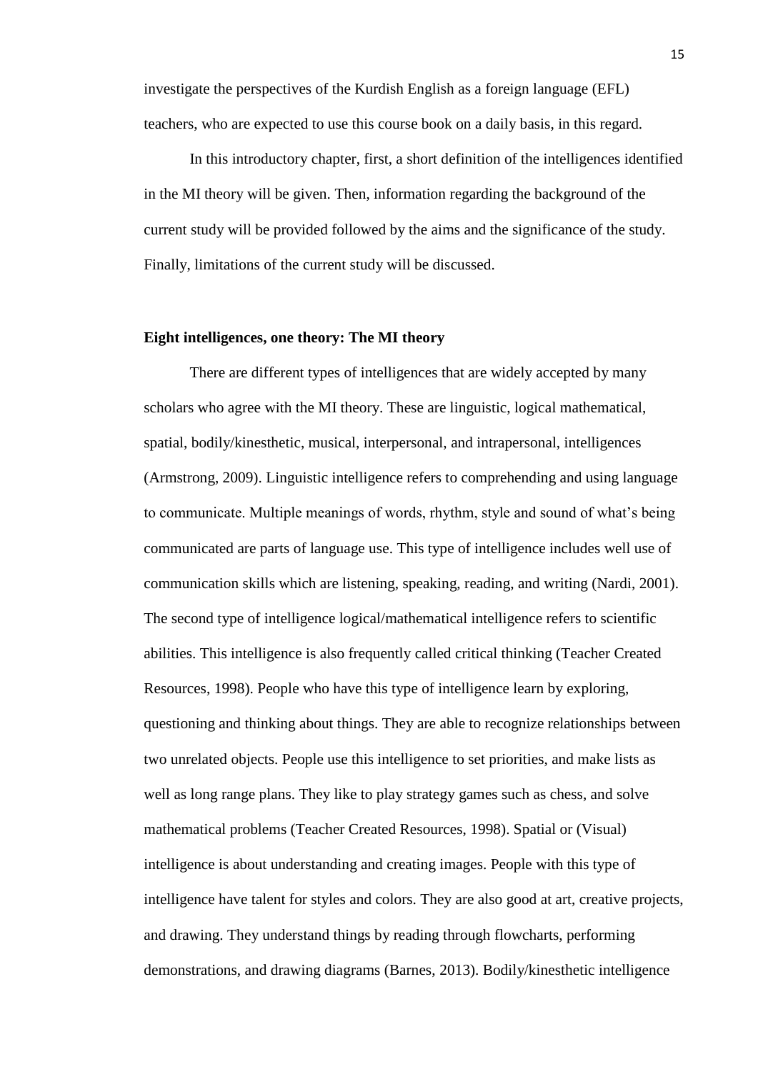investigate the perspectives of the Kurdish English as a foreign language (EFL) teachers, who are expected to use this course book on a daily basis, in this regard.

In this introductory chapter, first, a short definition of the intelligences identified in the MI theory will be given. Then, information regarding the background of the current study will be provided followed by the aims and the significance of the study. Finally, limitations of the current study will be discussed.

#### <span id="page-14-0"></span>**Eight intelligences, one theory: The MI theory**

There are different types of intelligences that are widely accepted by many scholars who agree with the MI theory. These are linguistic, logical mathematical, spatial, bodily/kinesthetic, musical, interpersonal, and intrapersonal, intelligences (Armstrong, 2009). Linguistic intelligence refers to comprehending and using language to communicate. Multiple meanings of words, rhythm, style and sound of what's being communicated are parts of language use. This type of intelligence includes well use of communication skills which are listening, speaking, reading, and writing (Nardi, 2001). The second type of intelligence logical/mathematical intelligence refers to scientific abilities. This intelligence is also frequently called critical thinking (Teacher Created Resources, 1998). People who have this type of intelligence learn by exploring, questioning and thinking about things. They are able to recognize relationships between two unrelated objects. People use this intelligence to set priorities, and make lists as well as long range plans. They like to play strategy games such as chess, and solve mathematical problems (Teacher Created Resources, 1998). Spatial or (Visual) intelligence is about understanding and creating images. People with this type of intelligence have talent for styles and colors. They are also good at art, creative projects, and drawing. They understand things by reading through flowcharts, performing demonstrations, and drawing diagrams (Barnes, 2013). Bodily/kinesthetic intelligence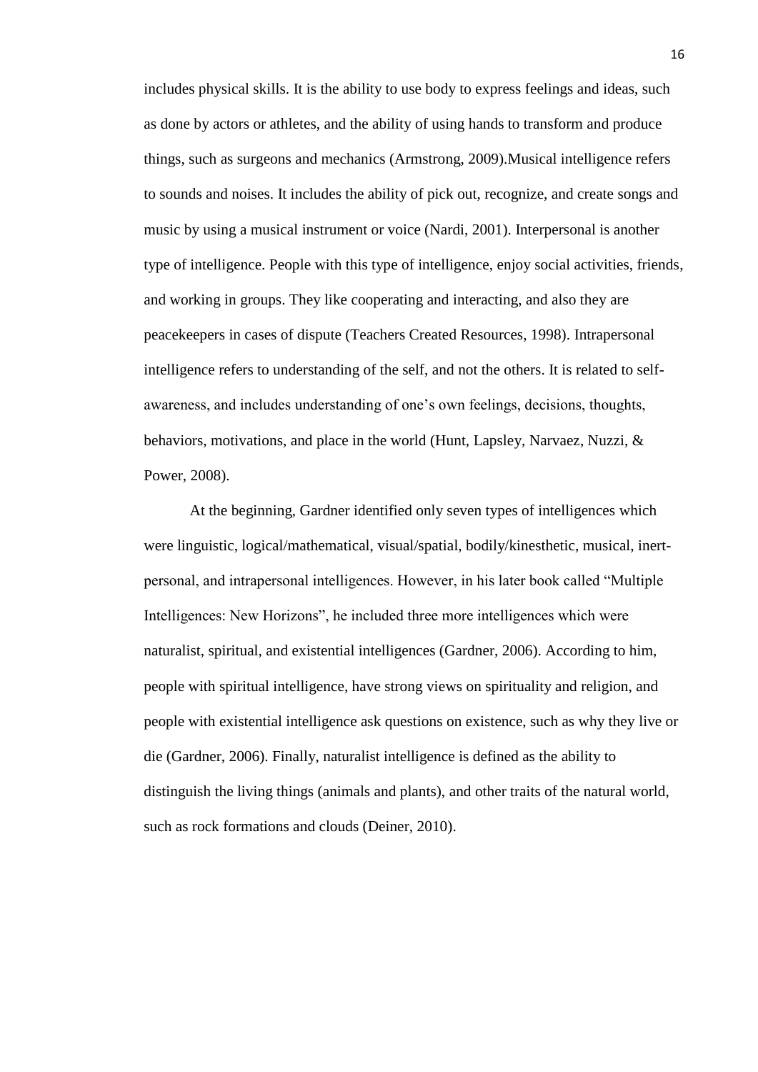includes physical skills. It is the ability to use body to express feelings and ideas, such as done by actors or athletes, and the ability of using hands to transform and produce things, such as surgeons and mechanics (Armstrong, 2009).Musical intelligence refers to sounds and noises. It includes the ability of pick out, recognize, and create songs and music by using a musical instrument or voice (Nardi, 2001). Interpersonal is another type of intelligence. People with this type of intelligence, enjoy social activities, friends, and working in groups. They like cooperating and interacting, and also they are peacekeepers in cases of dispute (Teachers Created Resources, 1998). Intrapersonal intelligence refers to understanding of the self, and not the others. It is related to selfawareness, and includes understanding of one's own feelings, decisions, thoughts, behaviors, motivations, and place in the world (Hunt, Lapsley, Narvaez, Nuzzi, & Power, 2008).

At the beginning, Gardner identified only seven types of intelligences which were linguistic, logical/mathematical, visual/spatial, bodily/kinesthetic, musical, inertpersonal, and intrapersonal intelligences. However, in his later book called "Multiple Intelligences: New Horizons", he included three more intelligences which were naturalist, spiritual, and existential intelligences (Gardner, 2006). According to him, people with spiritual intelligence, have strong views on spirituality and religion, and people with existential intelligence ask questions on existence, such as why they live or die (Gardner, 2006). Finally, naturalist intelligence is defined as the ability to distinguish the living things (animals and plants), and other traits of the natural world, such as rock formations and clouds (Deiner, 2010).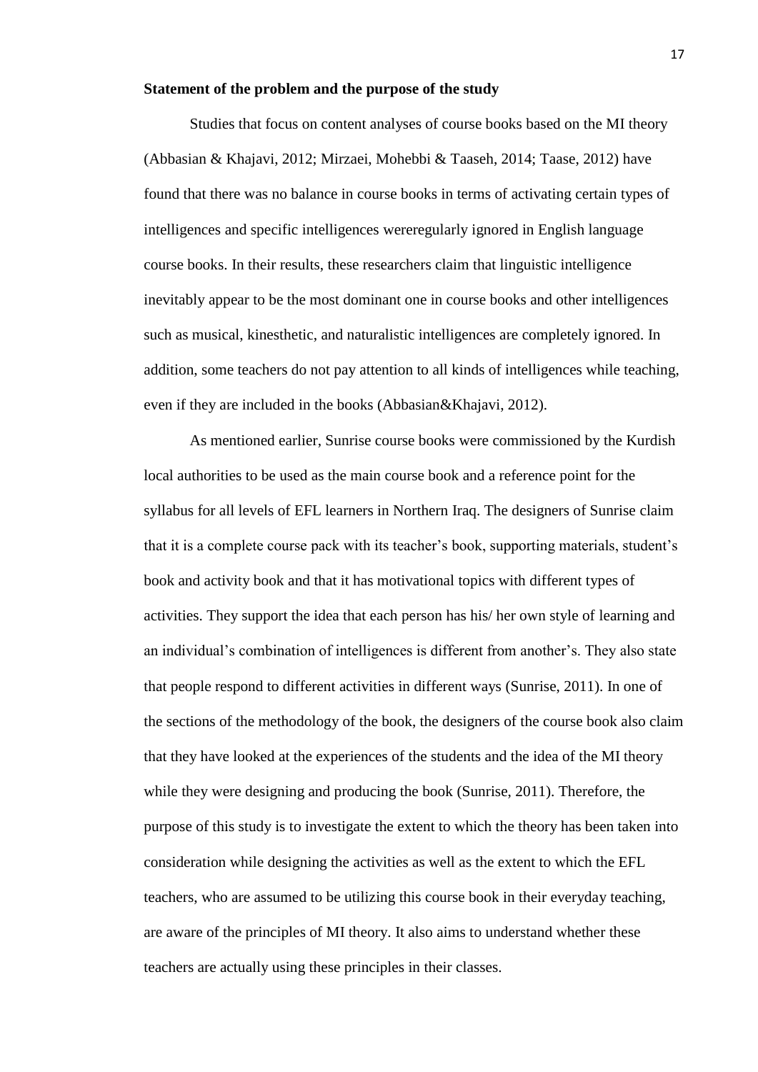#### <span id="page-16-0"></span>**Statement of the problem and the purpose of the study**

Studies that focus on content analyses of course books based on the MI theory (Abbasian & Khajavi, 2012; Mirzaei, Mohebbi & Taaseh, 2014; Taase, 2012) have found that there was no balance in course books in terms of activating certain types of intelligences and specific intelligences wereregularly ignored in English language course books. In their results, these researchers claim that linguistic intelligence inevitably appear to be the most dominant one in course books and other intelligences such as musical, kinesthetic, and naturalistic intelligences are completely ignored. In addition, some teachers do not pay attention to all kinds of intelligences while teaching, even if they are included in the books (Abbasian&Khajavi, 2012).

As mentioned earlier, Sunrise course books were commissioned by the Kurdish local authorities to be used as the main course book and a reference point for the syllabus for all levels of EFL learners in Northern Iraq. The designers of Sunrise claim that it is a complete course pack with its teacher's book, supporting materials, student's book and activity book and that it has motivational topics with different types of activities. They support the idea that each person has his/ her own style of learning and an individual's combination of intelligences is different from another's. They also state that people respond to different activities in different ways (Sunrise, 2011). In one of the sections of the methodology of the book, the designers of the course book also claim that they have looked at the experiences of the students and the idea of the MI theory while they were designing and producing the book (Sunrise, 2011). Therefore, the purpose of this study is to investigate the extent to which the theory has been taken into consideration while designing the activities as well as the extent to which the EFL teachers, who are assumed to be utilizing this course book in their everyday teaching, are aware of the principles of MI theory. It also aims to understand whether these teachers are actually using these principles in their classes.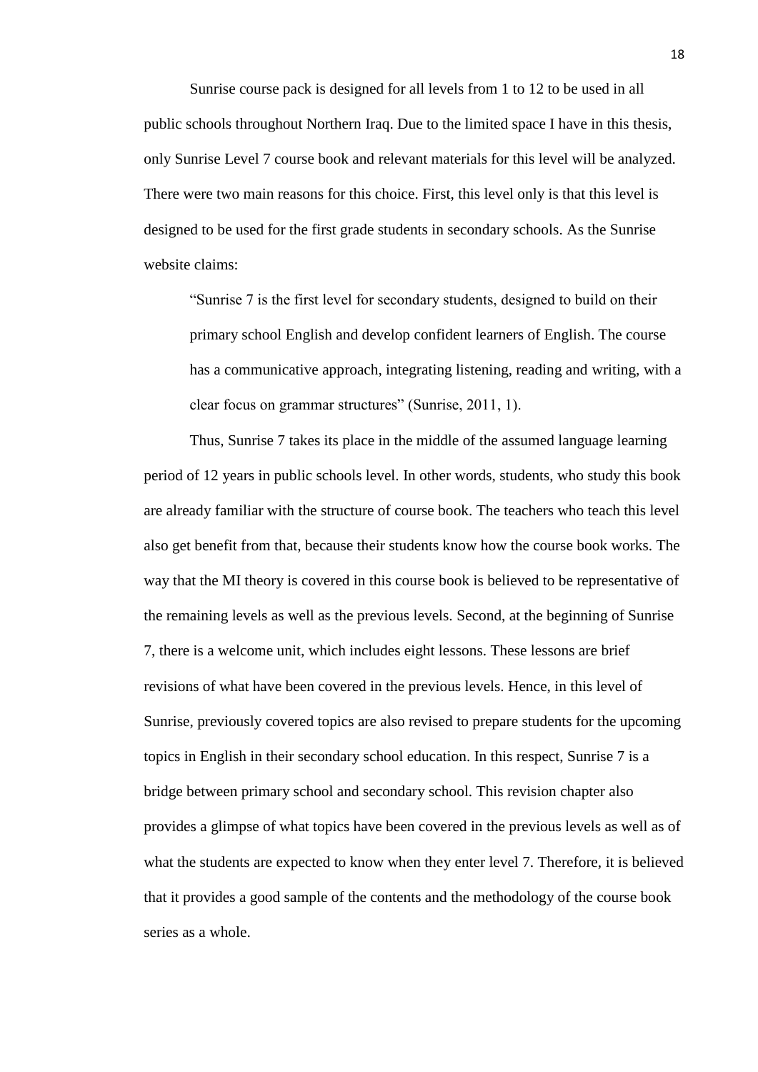Sunrise course pack is designed for all levels from 1 to 12 to be used in all public schools throughout Northern Iraq. Due to the limited space I have in this thesis, only Sunrise Level 7 course book and relevant materials for this level will be analyzed. There were two main reasons for this choice. First, this level only is that this level is designed to be used for the first grade students in secondary schools. As the Sunrise website claims:

"Sunrise 7 is the first level for secondary students, designed to build on their primary school English and develop confident learners of English. The course has a communicative approach, integrating listening, reading and writing, with a clear focus on grammar structures" (Sunrise, 2011, 1).

Thus, Sunrise 7 takes its place in the middle of the assumed language learning period of 12 years in public schools level. In other words, students, who study this book are already familiar with the structure of course book. The teachers who teach this level also get benefit from that, because their students know how the course book works. The way that the MI theory is covered in this course book is believed to be representative of the remaining levels as well as the previous levels. Second, at the beginning of Sunrise 7, there is a welcome unit, which includes eight lessons. These lessons are brief revisions of what have been covered in the previous levels. Hence, in this level of Sunrise, previously covered topics are also revised to prepare students for the upcoming topics in English in their secondary school education. In this respect, Sunrise 7 is a bridge between primary school and secondary school. This revision chapter also provides a glimpse of what topics have been covered in the previous levels as well as of what the students are expected to know when they enter level 7. Therefore, it is believed that it provides a good sample of the contents and the methodology of the course book series as a whole.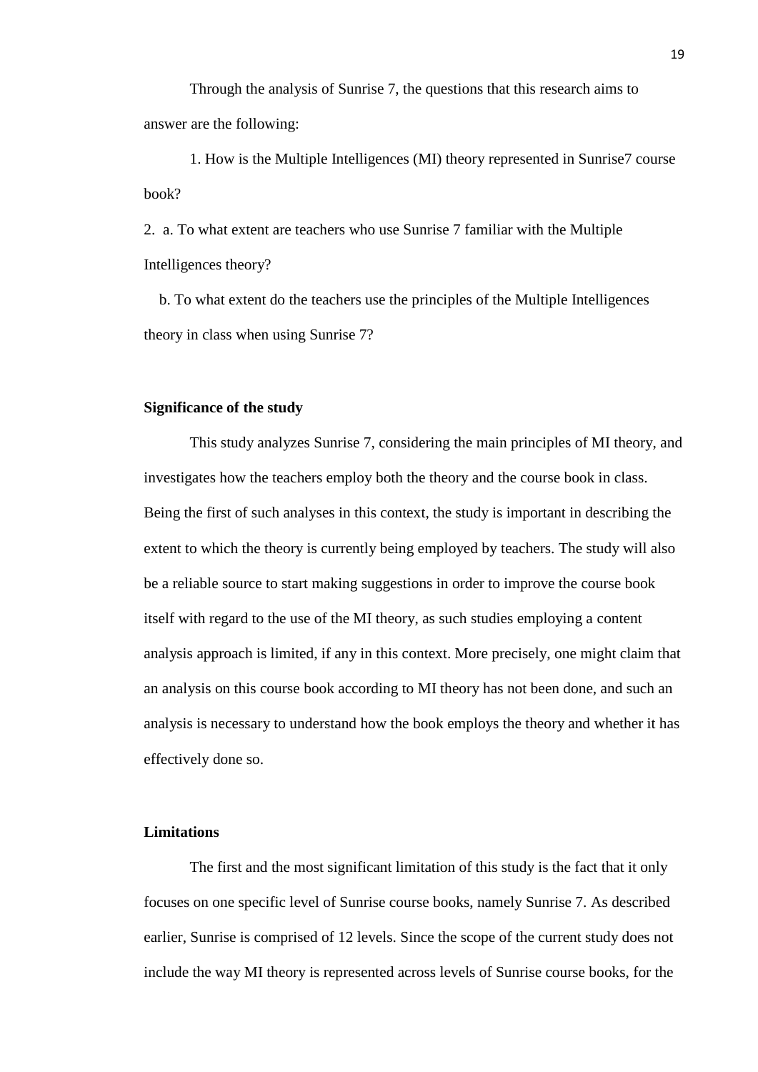Through the analysis of Sunrise 7, the questions that this research aims to answer are the following:

1. How is the Multiple Intelligences (MI) theory represented in Sunrise7 course book?

2. a. To what extent are teachers who use Sunrise 7 familiar with the Multiple Intelligences theory?

 b. To what extent do the teachers use the principles of the Multiple Intelligences theory in class when using Sunrise 7?

#### <span id="page-18-0"></span>**Significance of the study**

This study analyzes Sunrise 7, considering the main principles of MI theory, and investigates how the teachers employ both the theory and the course book in class. Being the first of such analyses in this context, the study is important in describing the extent to which the theory is currently being employed by teachers. The study will also be a reliable source to start making suggestions in order to improve the course book itself with regard to the use of the MI theory, as such studies employing a content analysis approach is limited, if any in this context. More precisely, one might claim that an analysis on this course book according to MI theory has not been done, and such an analysis is necessary to understand how the book employs the theory and whether it has effectively done so.

## <span id="page-18-1"></span>**Limitations**

The first and the most significant limitation of this study is the fact that it only focuses on one specific level of Sunrise course books, namely Sunrise 7. As described earlier, Sunrise is comprised of 12 levels. Since the scope of the current study does not include the way MI theory is represented across levels of Sunrise course books, for the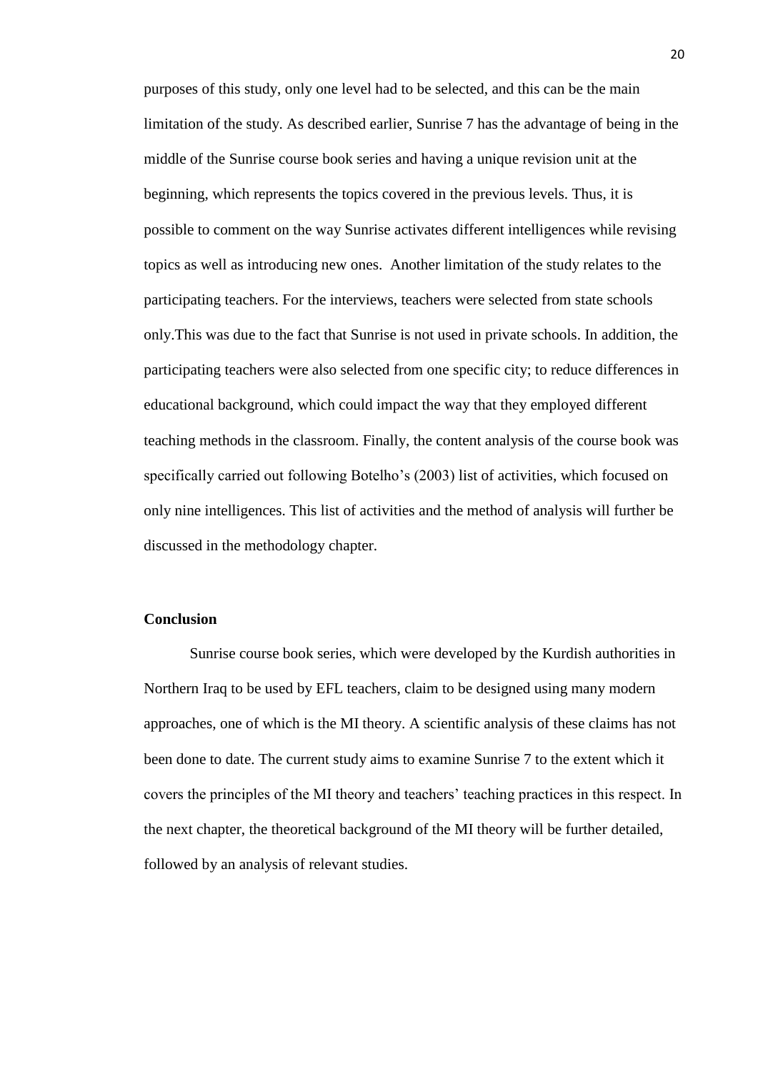purposes of this study, only one level had to be selected, and this can be the main limitation of the study. As described earlier, Sunrise 7 has the advantage of being in the middle of the Sunrise course book series and having a unique revision unit at the beginning, which represents the topics covered in the previous levels. Thus, it is possible to comment on the way Sunrise activates different intelligences while revising topics as well as introducing new ones. Another limitation of the study relates to the participating teachers. For the interviews, teachers were selected from state schools only.This was due to the fact that Sunrise is not used in private schools. In addition, the participating teachers were also selected from one specific city; to reduce differences in educational background, which could impact the way that they employed different teaching methods in the classroom. Finally, the content analysis of the course book was specifically carried out following Botelho's (2003) list of activities, which focused on only nine intelligences. This list of activities and the method of analysis will further be discussed in the methodology chapter.

## <span id="page-19-0"></span>**Conclusion**

Sunrise course book series, which were developed by the Kurdish authorities in Northern Iraq to be used by EFL teachers, claim to be designed using many modern approaches, one of which is the MI theory. A scientific analysis of these claims has not been done to date. The current study aims to examine Sunrise 7 to the extent which it covers the principles of the MI theory and teachers' teaching practices in this respect. In the next chapter, the theoretical background of the MI theory will be further detailed, followed by an analysis of relevant studies.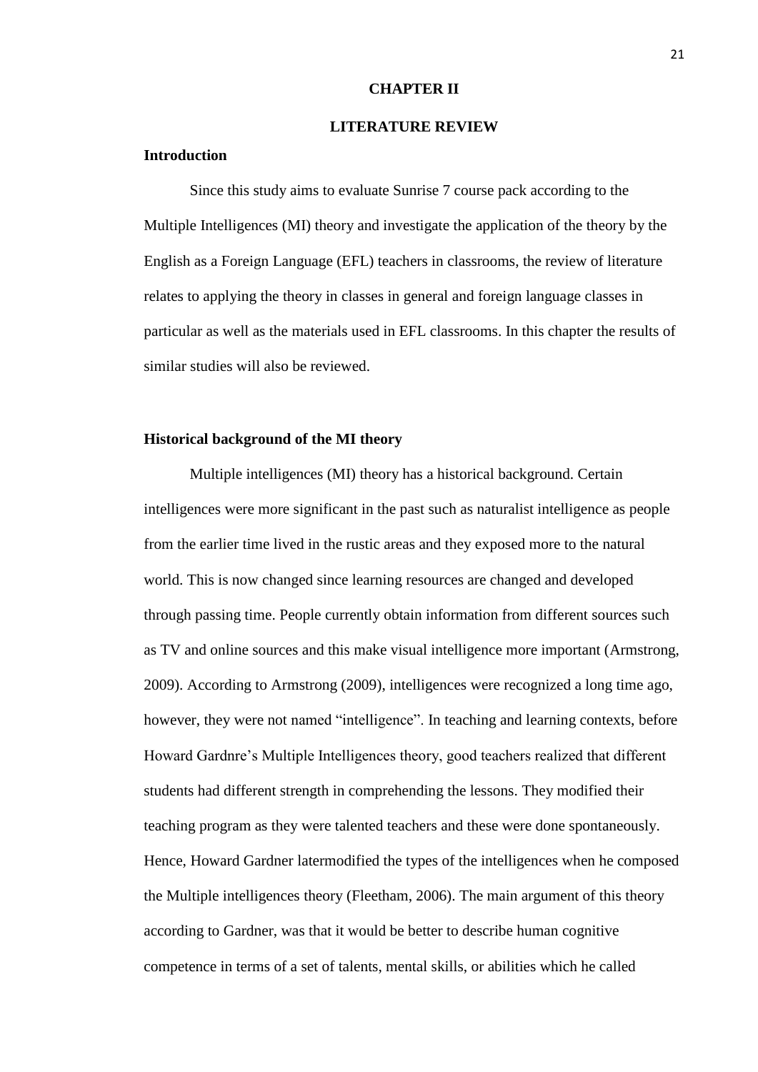#### **CHAPTER II**

#### **LITERATURE REVIEW**

## <span id="page-20-2"></span><span id="page-20-1"></span><span id="page-20-0"></span>**Introduction**

Since this study aims to evaluate Sunrise 7 course pack according to the Multiple Intelligences (MI) theory and investigate the application of the theory by the English as a Foreign Language (EFL) teachers in classrooms, the review of literature relates to applying the theory in classes in general and foreign language classes in particular as well as the materials used in EFL classrooms. In this chapter the results of similar studies will also be reviewed.

# <span id="page-20-3"></span>**Historical background of the MI theory**

Multiple intelligences (MI) theory has a historical background. Certain intelligences were more significant in the past such as naturalist intelligence as people from the earlier time lived in the rustic areas and they exposed more to the natural world. This is now changed since learning resources are changed and developed through passing time. People currently obtain information from different sources such as TV and online sources and this make visual intelligence more important (Armstrong, 2009). According to Armstrong (2009), intelligences were recognized a long time ago, however, they were not named "intelligence". In teaching and learning contexts, before Howard Gardnre's Multiple Intelligences theory, good teachers realized that different students had different strength in comprehending the lessons. They modified their teaching program as they were talented teachers and these were done spontaneously. Hence, Howard Gardner latermodified the types of the intelligences when he composed the Multiple intelligences theory (Fleetham, 2006). The main argument of this theory according to Gardner, was that it would be better to describe human cognitive competence in terms of a set of talents, mental skills, or abilities which he called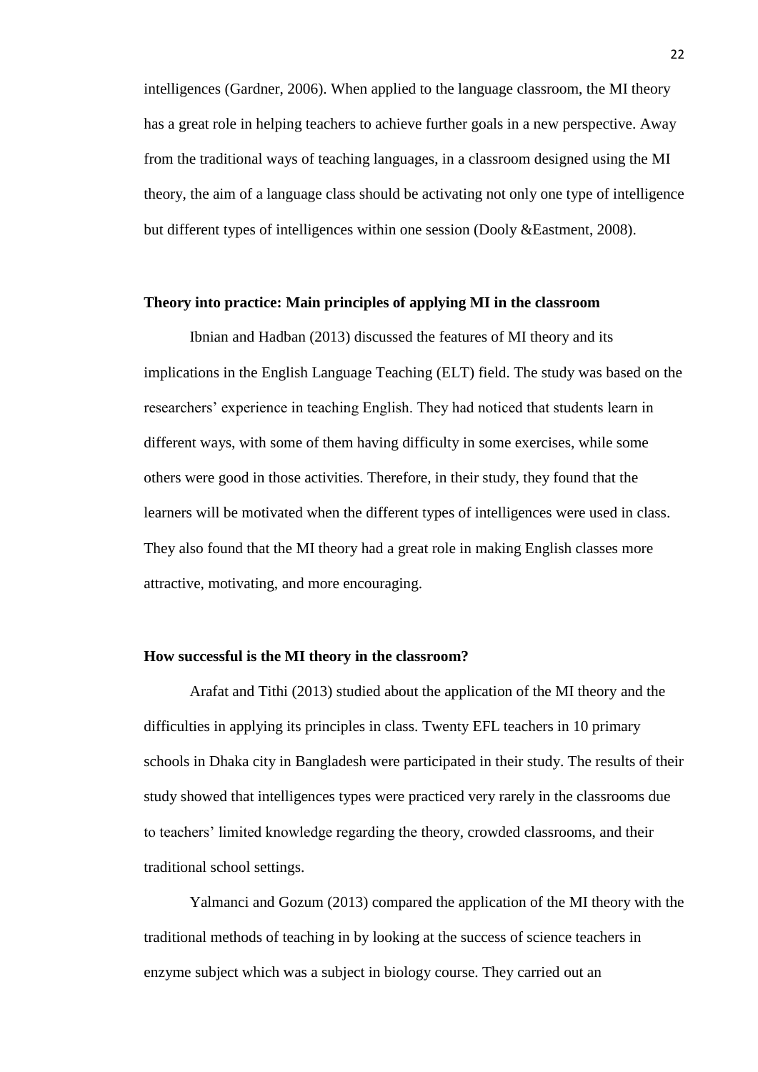intelligences (Gardner, 2006). When applied to the language classroom, the MI theory has a great role in helping teachers to achieve further goals in a new perspective. Away from the traditional ways of teaching languages, in a classroom designed using the MI theory, the aim of a language class should be activating not only one type of intelligence but different types of intelligences within one session (Dooly &Eastment, 2008).

## <span id="page-21-0"></span>**Theory into practice: Main principles of applying MI in the classroom**

Ibnian and Hadban (2013) discussed the features of MI theory and its implications in the English Language Teaching (ELT) field. The study was based on the researchers' experience in teaching English. They had noticed that students learn in different ways, with some of them having difficulty in some exercises, while some others were good in those activities. Therefore, in their study, they found that the learners will be motivated when the different types of intelligences were used in class. They also found that the MI theory had a great role in making English classes more attractive, motivating, and more encouraging.

#### <span id="page-21-1"></span>**How successful is the MI theory in the classroom?**

Arafat and Tithi (2013) studied about the application of the MI theory and the difficulties in applying its principles in class. Twenty EFL teachers in 10 primary schools in Dhaka city in Bangladesh were participated in their study. The results of their study showed that intelligences types were practiced very rarely in the classrooms due to teachers' limited knowledge regarding the theory, crowded classrooms, and their traditional school settings.

Yalmanci and Gozum (2013) compared the application of the MI theory with the traditional methods of teaching in by looking at the success of science teachers in enzyme subject which was a subject in biology course. They carried out an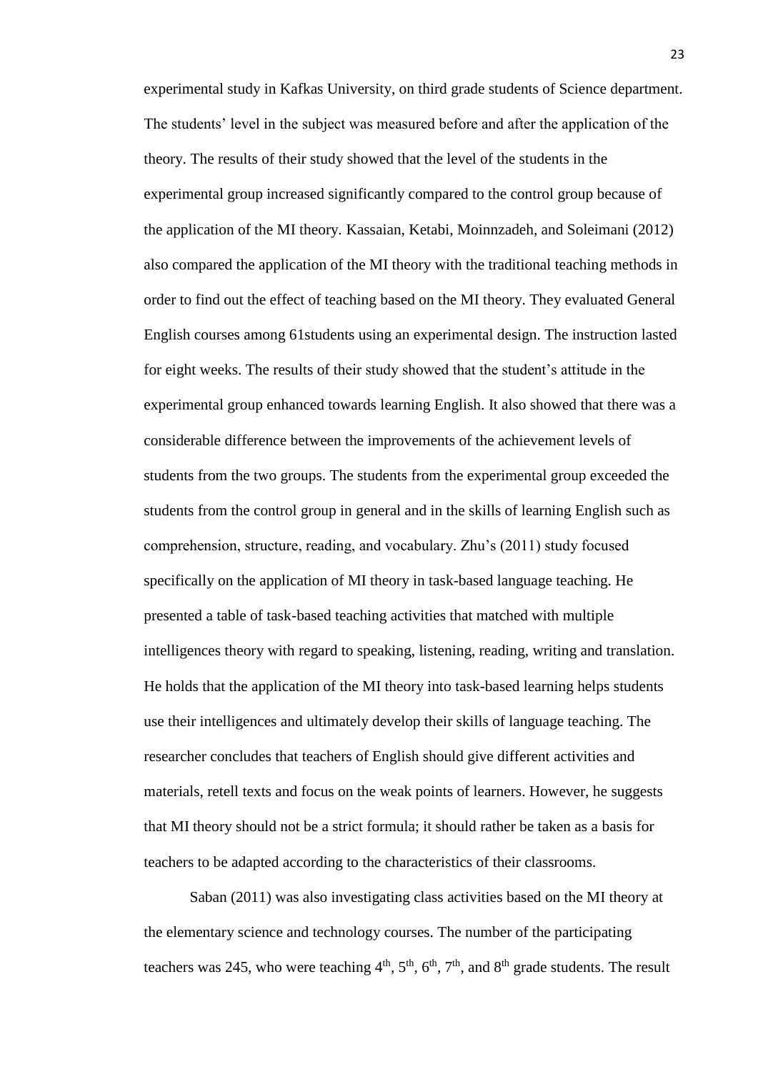experimental study in Kafkas University, on third grade students of Science department. The students' level in the subject was measured before and after the application of the theory. The results of their study showed that the level of the students in the experimental group increased significantly compared to the control group because of the application of the MI theory. Kassaian, Ketabi, Moinnzadeh, and Soleimani (2012) also compared the application of the MI theory with the traditional teaching methods in order to find out the effect of teaching based on the MI theory. They evaluated General English courses among 61students using an experimental design. The instruction lasted for eight weeks. The results of their study showed that the student's attitude in the experimental group enhanced towards learning English. It also showed that there was a considerable difference between the improvements of the achievement levels of students from the two groups. The students from the experimental group exceeded the students from the control group in general and in the skills of learning English such as comprehension, structure, reading, and vocabulary. Zhu's (2011) study focused specifically on the application of MI theory in task-based language teaching. He presented a table of task-based teaching activities that matched with multiple intelligences theory with regard to speaking, listening, reading, writing and translation. He holds that the application of the MI theory into task-based learning helps students use their intelligences and ultimately develop their skills of language teaching. The researcher concludes that teachers of English should give different activities and materials, retell texts and focus on the weak points of learners. However, he suggests that MI theory should not be a strict formula; it should rather be taken as a basis for teachers to be adapted according to the characteristics of their classrooms.

Saban (2011) was also investigating class activities based on the MI theory at the elementary science and technology courses. The number of the participating teachers was 245, who were teaching  $4<sup>th</sup>$ ,  $5<sup>th</sup>$ ,  $6<sup>th</sup>$ ,  $7<sup>th</sup>$ , and  $8<sup>th</sup>$  grade students. The result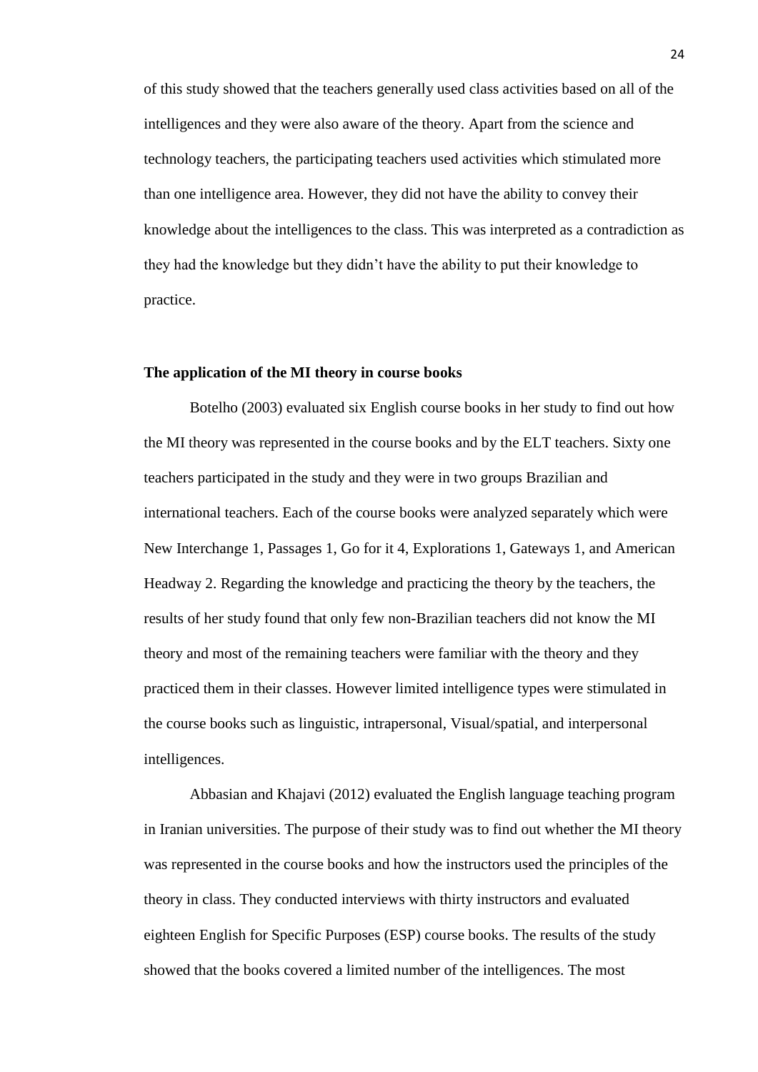of this study showed that the teachers generally used class activities based on all of the intelligences and they were also aware of the theory. Apart from the science and technology teachers, the participating teachers used activities which stimulated more than one intelligence area. However, they did not have the ability to convey their knowledge about the intelligences to the class. This was interpreted as a contradiction as they had the knowledge but they didn't have the ability to put their knowledge to practice.

#### <span id="page-23-0"></span>**The application of the MI theory in course books**

Botelho (2003) evaluated six English course books in her study to find out how the MI theory was represented in the course books and by the ELT teachers. Sixty one teachers participated in the study and they were in two groups Brazilian and international teachers. Each of the course books were analyzed separately which were New Interchange 1, Passages 1, Go for it 4, Explorations 1, Gateways 1, and American Headway 2. Regarding the knowledge and practicing the theory by the teachers, the results of her study found that only few non-Brazilian teachers did not know the MI theory and most of the remaining teachers were familiar with the theory and they practiced them in their classes. However limited intelligence types were stimulated in the course books such as linguistic, intrapersonal, Visual/spatial, and interpersonal intelligences.

Abbasian and Khajavi (2012) evaluated the English language teaching program in Iranian universities. The purpose of their study was to find out whether the MI theory was represented in the course books and how the instructors used the principles of the theory in class. They conducted interviews with thirty instructors and evaluated eighteen English for Specific Purposes (ESP) course books. The results of the study showed that the books covered a limited number of the intelligences. The most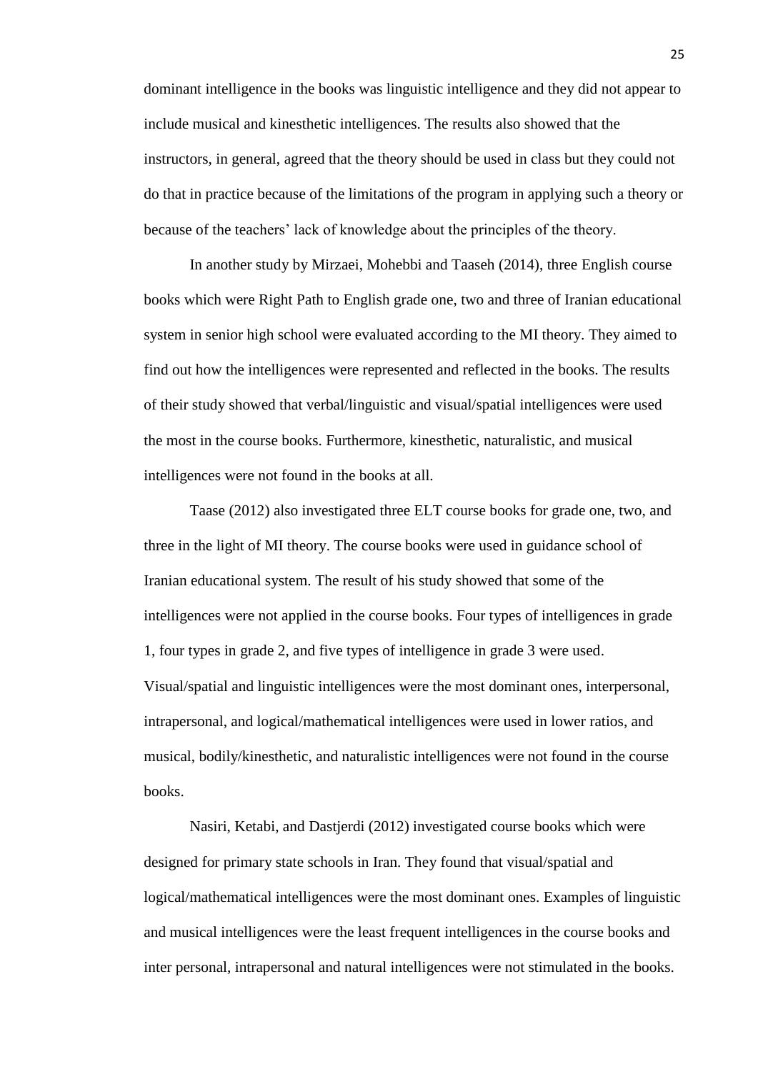dominant intelligence in the books was linguistic intelligence and they did not appear to include musical and kinesthetic intelligences. The results also showed that the instructors, in general, agreed that the theory should be used in class but they could not do that in practice because of the limitations of the program in applying such a theory or because of the teachers' lack of knowledge about the principles of the theory.

In another study by Mirzaei, Mohebbi and Taaseh (2014), three English course books which were Right Path to English grade one, two and three of Iranian educational system in senior high school were evaluated according to the MI theory. They aimed to find out how the intelligences were represented and reflected in the books. The results of their study showed that verbal/linguistic and visual/spatial intelligences were used the most in the course books. Furthermore, kinesthetic, naturalistic, and musical intelligences were not found in the books at all.

Taase (2012) also investigated three ELT course books for grade one, two, and three in the light of MI theory. The course books were used in guidance school of Iranian educational system. The result of his study showed that some of the intelligences were not applied in the course books. Four types of intelligences in grade 1, four types in grade 2, and five types of intelligence in grade 3 were used. Visual/spatial and linguistic intelligences were the most dominant ones, interpersonal, intrapersonal, and logical/mathematical intelligences were used in lower ratios, and musical, bodily/kinesthetic, and naturalistic intelligences were not found in the course books.

Nasiri, Ketabi, and Dastjerdi (2012) investigated course books which were designed for primary state schools in Iran. They found that visual/spatial and logical/mathematical intelligences were the most dominant ones. Examples of linguistic and musical intelligences were the least frequent intelligences in the course books and inter personal, intrapersonal and natural intelligences were not stimulated in the books.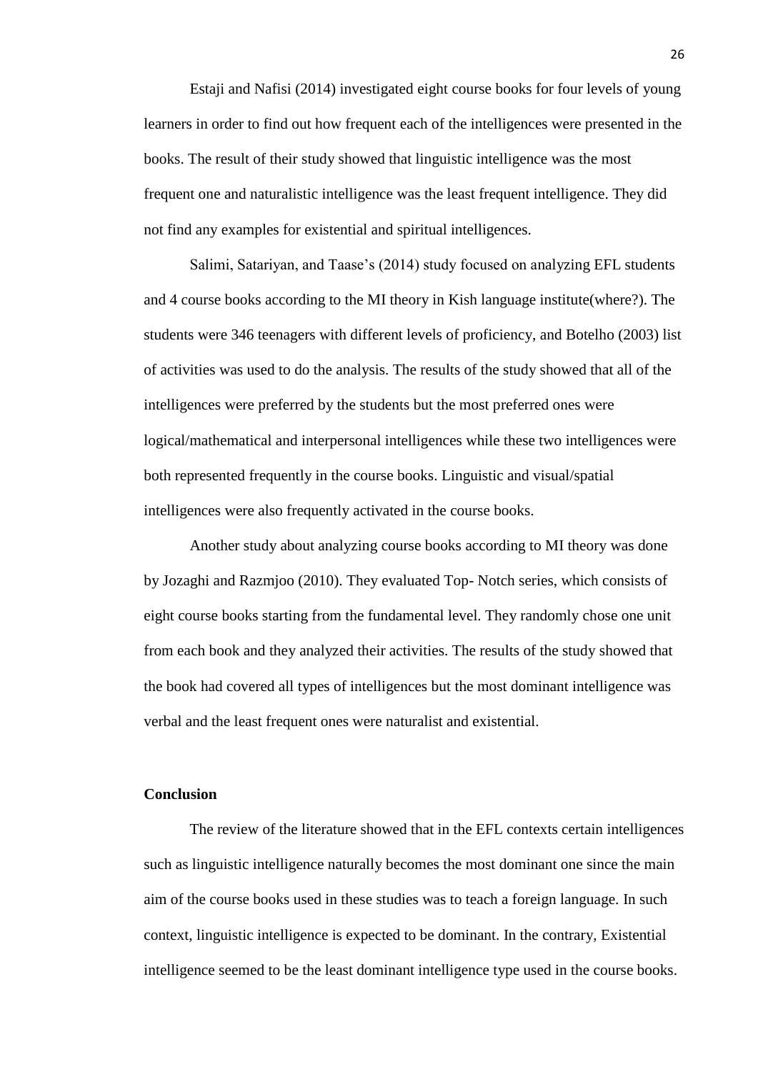Estaji and Nafisi (2014) investigated eight course books for four levels of young learners in order to find out how frequent each of the intelligences were presented in the books. The result of their study showed that linguistic intelligence was the most frequent one and naturalistic intelligence was the least frequent intelligence. They did not find any examples for existential and spiritual intelligences.

Salimi, Satariyan, and Taase's (2014) study focused on analyzing EFL students and 4 course books according to the MI theory in Kish language institute(where?). The students were 346 teenagers with different levels of proficiency, and Botelho (2003) list of activities was used to do the analysis. The results of the study showed that all of the intelligences were preferred by the students but the most preferred ones were logical/mathematical and interpersonal intelligences while these two intelligences were both represented frequently in the course books. Linguistic and visual/spatial intelligences were also frequently activated in the course books.

Another study about analyzing course books according to MI theory was done by Jozaghi and Razmjoo (2010). They evaluated Top- Notch series, which consists of eight course books starting from the fundamental level. They randomly chose one unit from each book and they analyzed their activities. The results of the study showed that the book had covered all types of intelligences but the most dominant intelligence was verbal and the least frequent ones were naturalist and existential.

#### <span id="page-25-0"></span>**Conclusion**

The review of the literature showed that in the EFL contexts certain intelligences such as linguistic intelligence naturally becomes the most dominant one since the main aim of the course books used in these studies was to teach a foreign language. In such context, linguistic intelligence is expected to be dominant. In the contrary, Existential intelligence seemed to be the least dominant intelligence type used in the course books.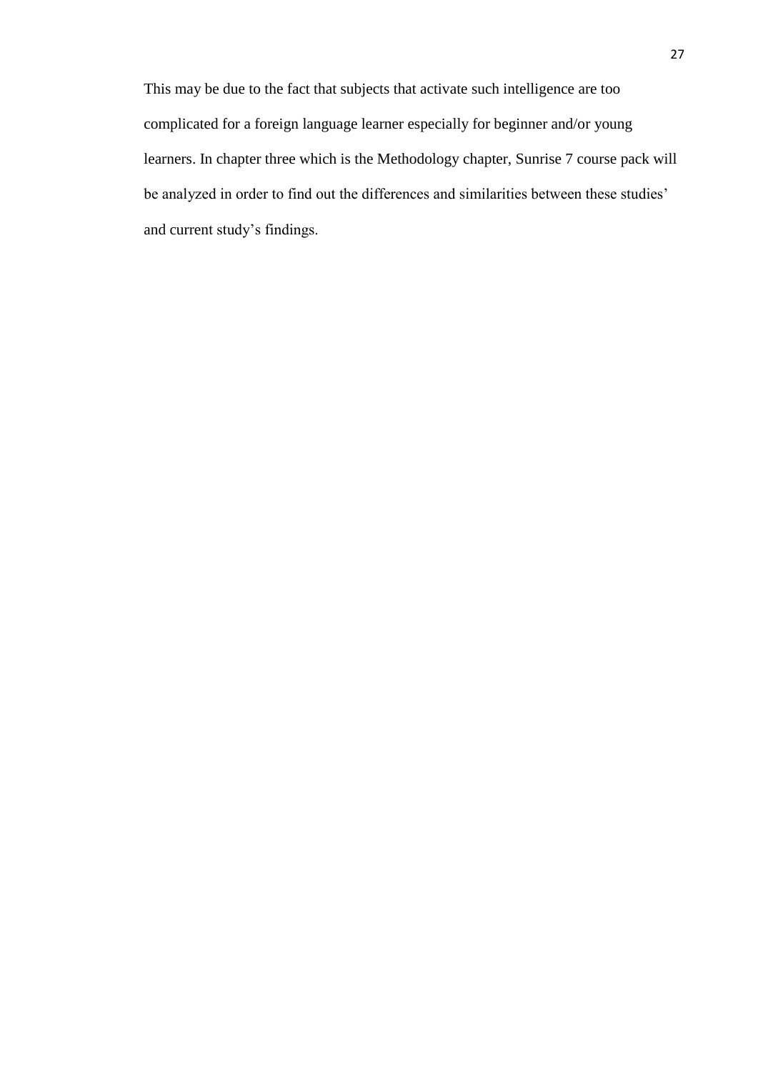This may be due to the fact that subjects that activate such intelligence are too complicated for a foreign language learner especially for beginner and/or young learners. In chapter three which is the Methodology chapter, Sunrise 7 course pack will be analyzed in order to find out the differences and similarities between these studies' and current study's findings.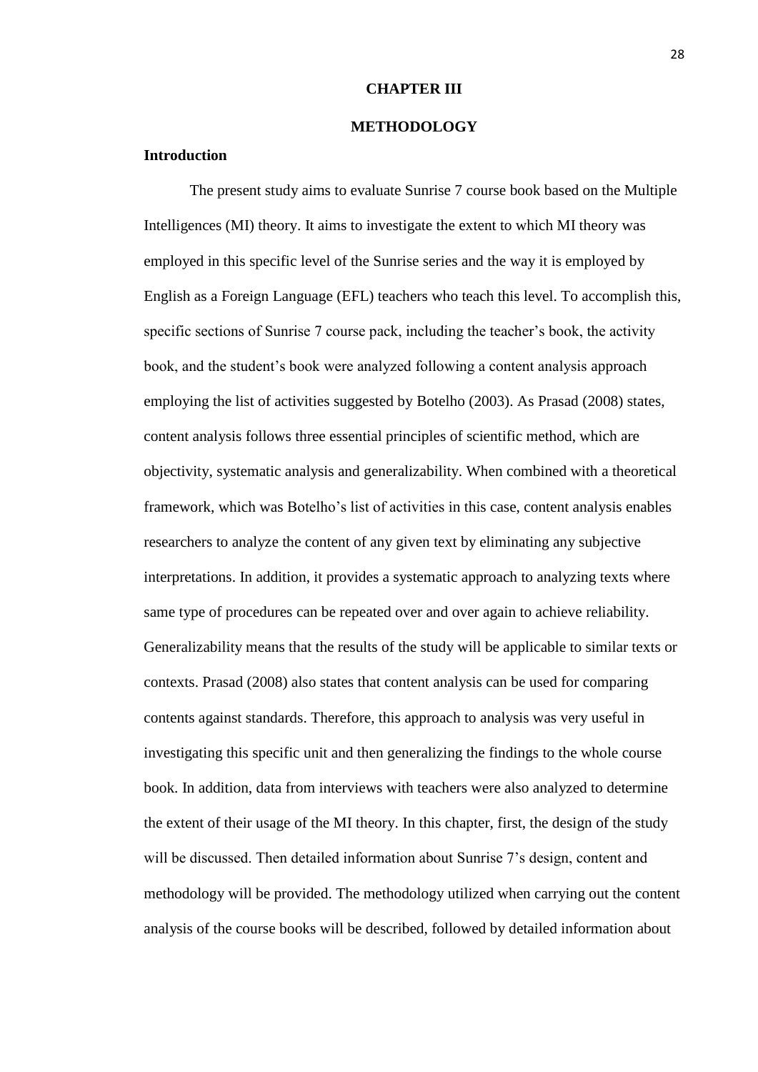#### **CHAPTER III**

#### **METHODOLOGY**

#### <span id="page-27-2"></span><span id="page-27-1"></span><span id="page-27-0"></span>**Introduction**

The present study aims to evaluate Sunrise 7 course book based on the Multiple Intelligences (MI) theory. It aims to investigate the extent to which MI theory was employed in this specific level of the Sunrise series and the way it is employed by English as a Foreign Language (EFL) teachers who teach this level. To accomplish this, specific sections of Sunrise 7 course pack, including the teacher's book, the activity book, and the student's book were analyzed following a content analysis approach employing the list of activities suggested by Botelho (2003). As Prasad (2008) states, content analysis follows three essential principles of scientific method, which are objectivity, systematic analysis and generalizability. When combined with a theoretical framework, which was Botelho's list of activities in this case, content analysis enables researchers to analyze the content of any given text by eliminating any subjective interpretations. In addition, it provides a systematic approach to analyzing texts where same type of procedures can be repeated over and over again to achieve reliability. Generalizability means that the results of the study will be applicable to similar texts or contexts. Prasad (2008) also states that content analysis can be used for comparing contents against standards. Therefore, this approach to analysis was very useful in investigating this specific unit and then generalizing the findings to the whole course book. In addition, data from interviews with teachers were also analyzed to determine the extent of their usage of the MI theory. In this chapter, first, the design of the study will be discussed. Then detailed information about Sunrise 7's design, content and methodology will be provided. The methodology utilized when carrying out the content analysis of the course books will be described, followed by detailed information about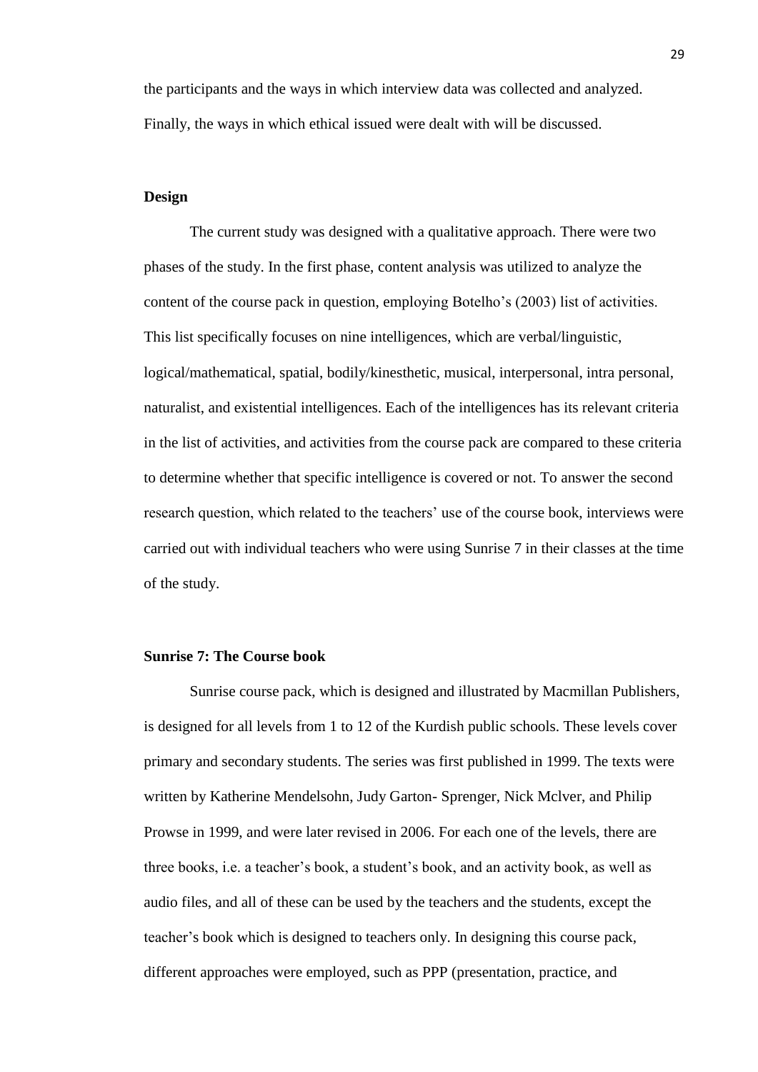the participants and the ways in which interview data was collected and analyzed. Finally, the ways in which ethical issued were dealt with will be discussed.

#### <span id="page-28-0"></span>**Design**

The current study was designed with a qualitative approach. There were two phases of the study. In the first phase, content analysis was utilized to analyze the content of the course pack in question, employing Botelho's (2003) list of activities. This list specifically focuses on nine intelligences, which are verbal/linguistic, logical/mathematical, spatial, bodily/kinesthetic, musical, interpersonal, intra personal, naturalist, and existential intelligences. Each of the intelligences has its relevant criteria in the list of activities, and activities from the course pack are compared to these criteria to determine whether that specific intelligence is covered or not. To answer the second research question, which related to the teachers' use of the course book, interviews were carried out with individual teachers who were using Sunrise 7 in their classes at the time of the study.

## <span id="page-28-1"></span>**Sunrise 7: The Course book**

Sunrise course pack, which is designed and illustrated by Macmillan Publishers, is designed for all levels from 1 to 12 of the Kurdish public schools. These levels cover primary and secondary students. The series was first published in 1999. The texts were written by Katherine Mendelsohn, Judy Garton- Sprenger, Nick Mclver, and Philip Prowse in 1999, and were later revised in 2006. For each one of the levels, there are three books, i.e. a teacher's book, a student's book, and an activity book, as well as audio files, and all of these can be used by the teachers and the students, except the teacher's book which is designed to teachers only. In designing this course pack, different approaches were employed, such as PPP (presentation, practice, and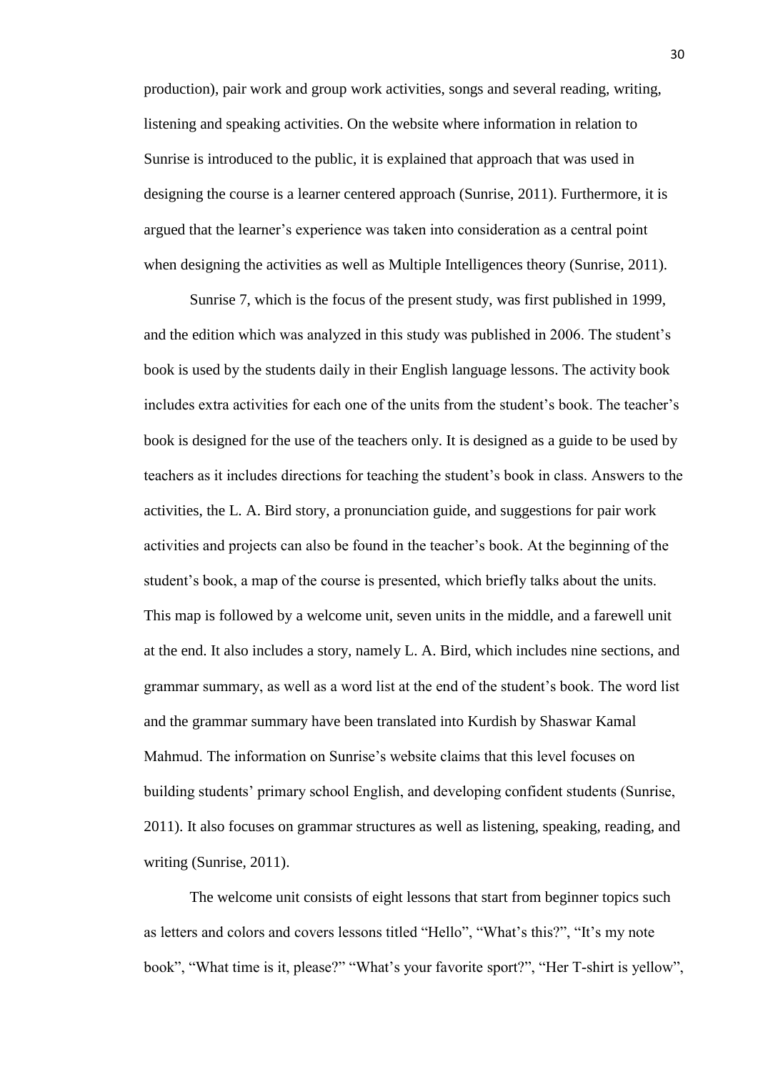production), pair work and group work activities, songs and several reading, writing, listening and speaking activities. On the website where information in relation to Sunrise is introduced to the public, it is explained that approach that was used in designing the course is a learner centered approach (Sunrise, 2011). Furthermore, it is argued that the learner's experience was taken into consideration as a central point when designing the activities as well as Multiple Intelligences theory (Sunrise, 2011).

Sunrise 7, which is the focus of the present study, was first published in 1999, and the edition which was analyzed in this study was published in 2006. The student's book is used by the students daily in their English language lessons. The activity book includes extra activities for each one of the units from the student's book. The teacher's book is designed for the use of the teachers only. It is designed as a guide to be used by teachers as it includes directions for teaching the student's book in class. Answers to the activities, the L. A. Bird story, a pronunciation guide, and suggestions for pair work activities and projects can also be found in the teacher's book. At the beginning of the student's book, a map of the course is presented, which briefly talks about the units. This map is followed by a welcome unit, seven units in the middle, and a farewell unit at the end. It also includes a story, namely L. A. Bird, which includes nine sections, and grammar summary, as well as a word list at the end of the student's book. The word list and the grammar summary have been translated into Kurdish by Shaswar Kamal Mahmud. The information on Sunrise's website claims that this level focuses on building students' primary school English, and developing confident students (Sunrise, 2011). It also focuses on grammar structures as well as listening, speaking, reading, and writing (Sunrise, 2011).

The welcome unit consists of eight lessons that start from beginner topics such as letters and colors and covers lessons titled "Hello", "What's this?", "It's my note book", "What time is it, please?" "What's your favorite sport?", "Her T-shirt is yellow",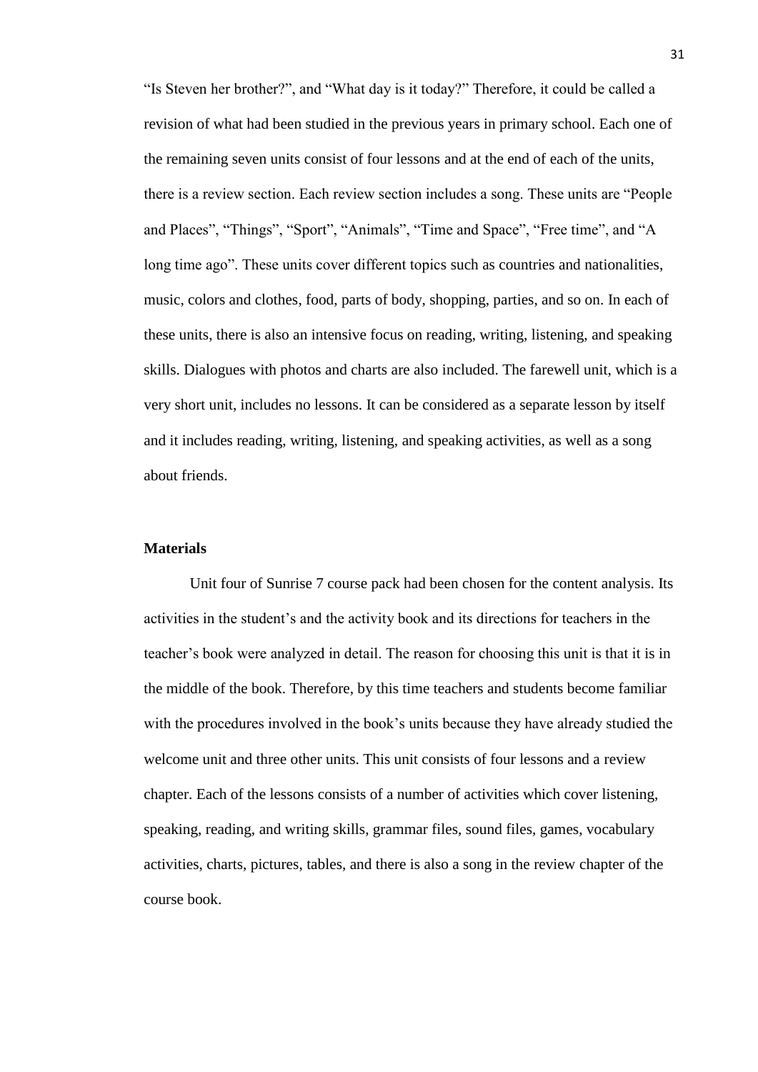"Is Steven her brother?", and "What day is it today?" Therefore, it could be called a revision of what had been studied in the previous years in primary school. Each one of the remaining seven units consist of four lessons and at the end of each of the units, there is a review section. Each review section includes a song. These units are "People and Places", "Things", "Sport", "Animals", "Time and Space", "Free time", and "A long time ago". These units cover different topics such as countries and nationalities, music, colors and clothes, food, parts of body, shopping, parties, and so on. In each of these units, there is also an intensive focus on reading, writing, listening, and speaking skills. Dialogues with photos and charts are also included. The farewell unit, which is a very short unit, includes no lessons. It can be considered as a separate lesson by itself and it includes reading, writing, listening, and speaking activities, as well as a song about friends.

## <span id="page-30-0"></span>**Materials**

Unit four of Sunrise 7 course pack had been chosen for the content analysis. Its activities in the student's and the activity book and its directions for teachers in the teacher's book were analyzed in detail. The reason for choosing this unit is that it is in the middle of the book. Therefore, by this time teachers and students become familiar with the procedures involved in the book's units because they have already studied the welcome unit and three other units. This unit consists of four lessons and a review chapter. Each of the lessons consists of a number of activities which cover listening, speaking, reading, and writing skills, grammar files, sound files, games, vocabulary activities, charts, pictures, tables, and there is also a song in the review chapter of the course book.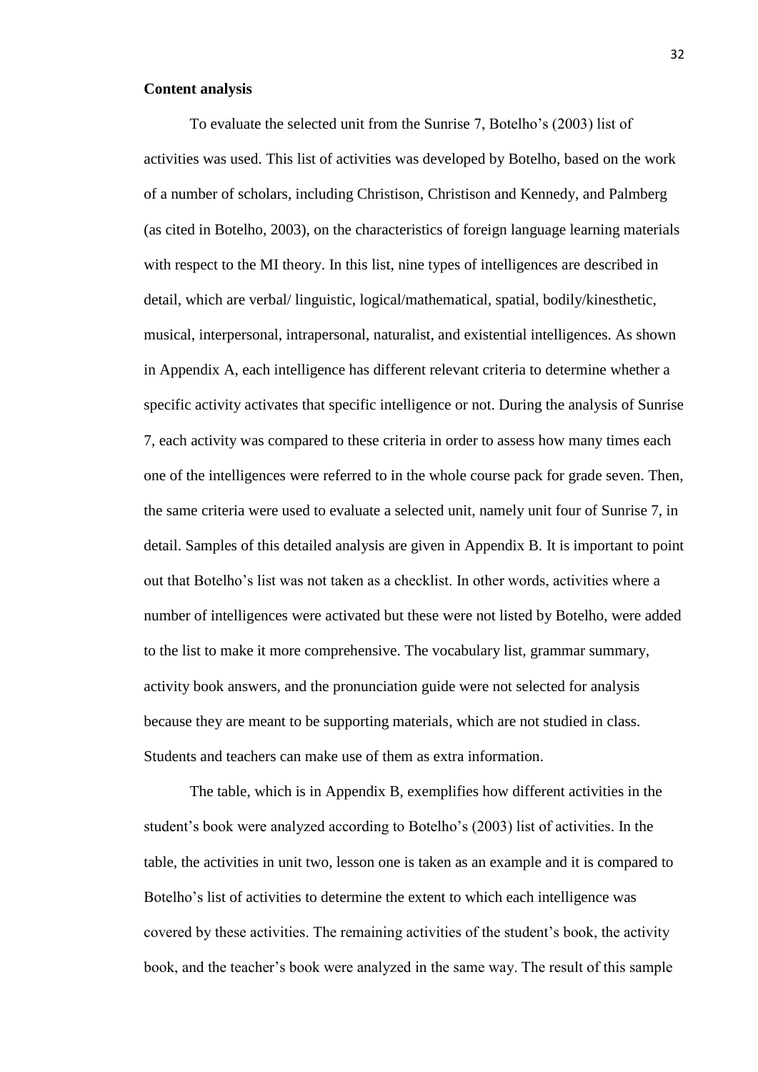#### <span id="page-31-0"></span>**Content analysis**

To evaluate the selected unit from the Sunrise 7, Botelho's (2003) list of activities was used. This list of activities was developed by Botelho, based on the work of a number of scholars, including Christison, Christison and Kennedy, and Palmberg (as cited in Botelho, 2003), on the characteristics of foreign language learning materials with respect to the MI theory. In this list, nine types of intelligences are described in detail, which are verbal/ linguistic, logical/mathematical, spatial, bodily/kinesthetic, musical, interpersonal, intrapersonal, naturalist, and existential intelligences. As shown in Appendix A, each intelligence has different relevant criteria to determine whether a specific activity activates that specific intelligence or not. During the analysis of Sunrise 7, each activity was compared to these criteria in order to assess how many times each one of the intelligences were referred to in the whole course pack for grade seven. Then, the same criteria were used to evaluate a selected unit, namely unit four of Sunrise 7, in detail. Samples of this detailed analysis are given in Appendix B. It is important to point out that Botelho's list was not taken as a checklist. In other words, activities where a number of intelligences were activated but these were not listed by Botelho, were added to the list to make it more comprehensive. The vocabulary list, grammar summary, activity book answers, and the pronunciation guide were not selected for analysis because they are meant to be supporting materials, which are not studied in class. Students and teachers can make use of them as extra information.

The table, which is in Appendix B, exemplifies how different activities in the student's book were analyzed according to Botelho's (2003) list of activities. In the table, the activities in unit two, lesson one is taken as an example and it is compared to Botelho's list of activities to determine the extent to which each intelligence was covered by these activities. The remaining activities of the student's book, the activity book, and the teacher's book were analyzed in the same way. The result of this sample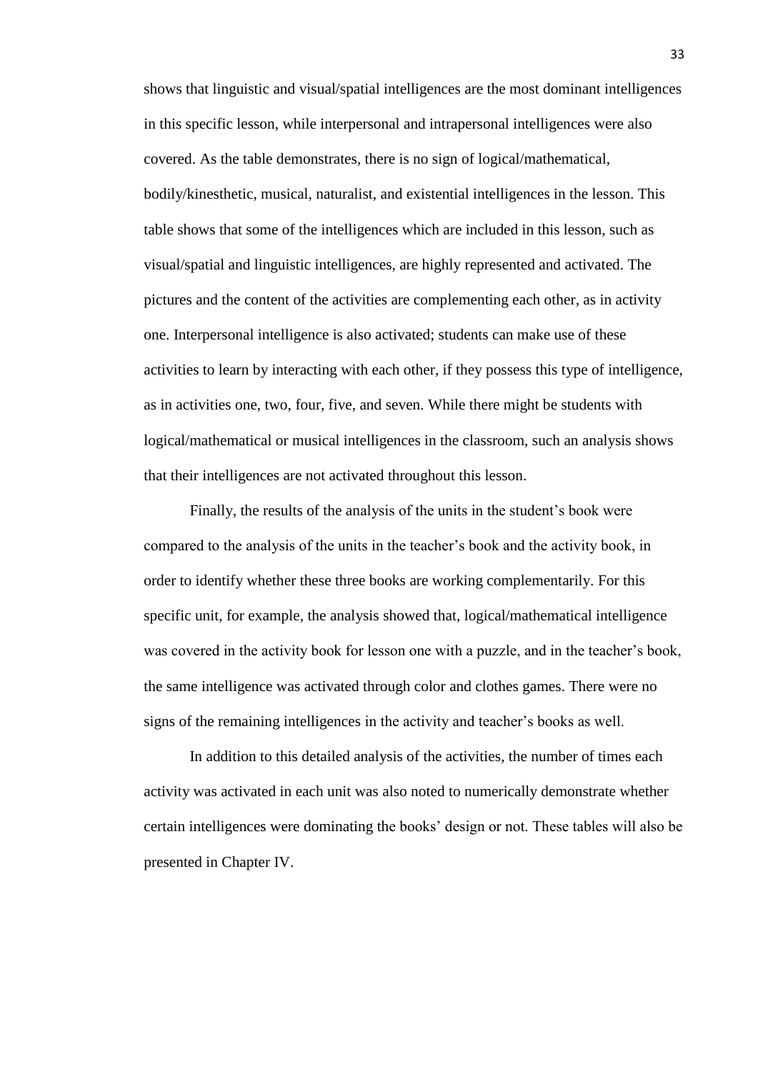shows that linguistic and visual/spatial intelligences are the most dominant intelligences in this specific lesson, while interpersonal and intrapersonal intelligences were also covered. As the table demonstrates, there is no sign of logical/mathematical, bodily/kinesthetic, musical, naturalist, and existential intelligences in the lesson. This table shows that some of the intelligences which are included in this lesson, such as visual/spatial and linguistic intelligences, are highly represented and activated. The pictures and the content of the activities are complementing each other, as in activity one. Interpersonal intelligence is also activated; students can make use of these activities to learn by interacting with each other, if they possess this type of intelligence, as in activities one, two, four, five, and seven. While there might be students with logical/mathematical or musical intelligences in the classroom, such an analysis shows that their intelligences are not activated throughout this lesson.

Finally, the results of the analysis of the units in the student's book were compared to the analysis of the units in the teacher's book and the activity book, in order to identify whether these three books are working complementarily. For this specific unit, for example, the analysis showed that, logical/mathematical intelligence was covered in the activity book for lesson one with a puzzle, and in the teacher's book, the same intelligence was activated through color and clothes games. There were no signs of the remaining intelligences in the activity and teacher's books as well.

In addition to this detailed analysis of the activities, the number of times each activity was activated in each unit was also noted to numerically demonstrate whether certain intelligences were dominating the books' design or not. These tables will also be presented in Chapter IV.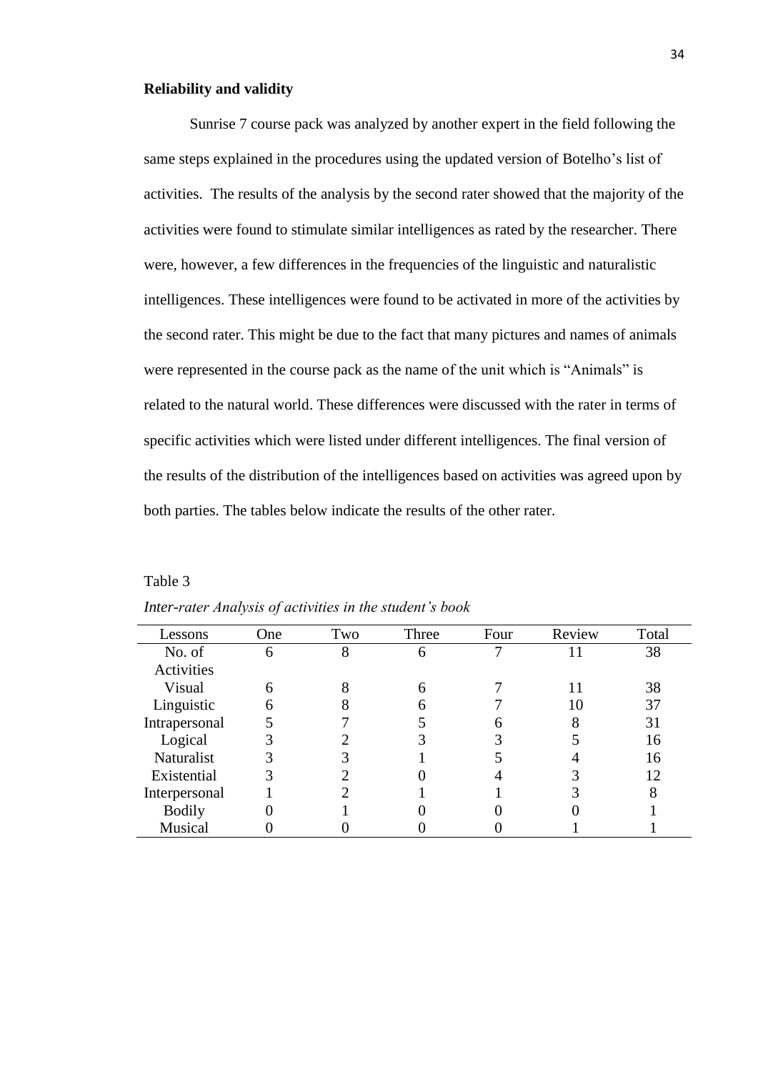#### <span id="page-33-0"></span>**Reliability and validity**

Sunrise 7 course pack was analyzed by another expert in the field following the same steps explained in the procedures using the updated version of Botelho's list of activities. The results of the analysis by the second rater showed that the majority of the activities were found to stimulate similar intelligences as rated by the researcher. There were, however, a few differences in the frequencies of the linguistic and naturalistic intelligences. These intelligences were found to be activated in more of the activities by the second rater. This might be due to the fact that many pictures and names of animals were represented in the course pack as the name of the unit which is "Animals" is related to the natural world. These differences were discussed with the rater in terms of specific activities which were listed under different intelligences. The final version of the results of the distribution of the intelligences based on activities was agreed upon by both parties. The tables below indicate the results of the other rater.

Table 3

| Lessons       | One | Two | Three | Four | Review | Total |
|---------------|-----|-----|-------|------|--------|-------|
| No. of        | 6   |     | n     |      |        | 38    |
| Activities    |     |     |       |      |        |       |
| Visual        | 6   |     | 6     |      |        | 38    |
| Linguistic    | 6   |     |       |      | 10     | 37    |
| Intrapersonal |     |     |       |      |        | 31    |
| Logical       |     |     |       |      |        | 16    |
| Naturalist    |     |     |       |      |        | 16    |
| Existential   |     |     |       |      |        | 12    |
| Interpersonal |     |     |       |      |        |       |
| <b>Bodily</b> |     |     |       |      |        |       |
| Musical       |     |     |       |      |        |       |

*Inter-rater Analysis of activities in the student's book*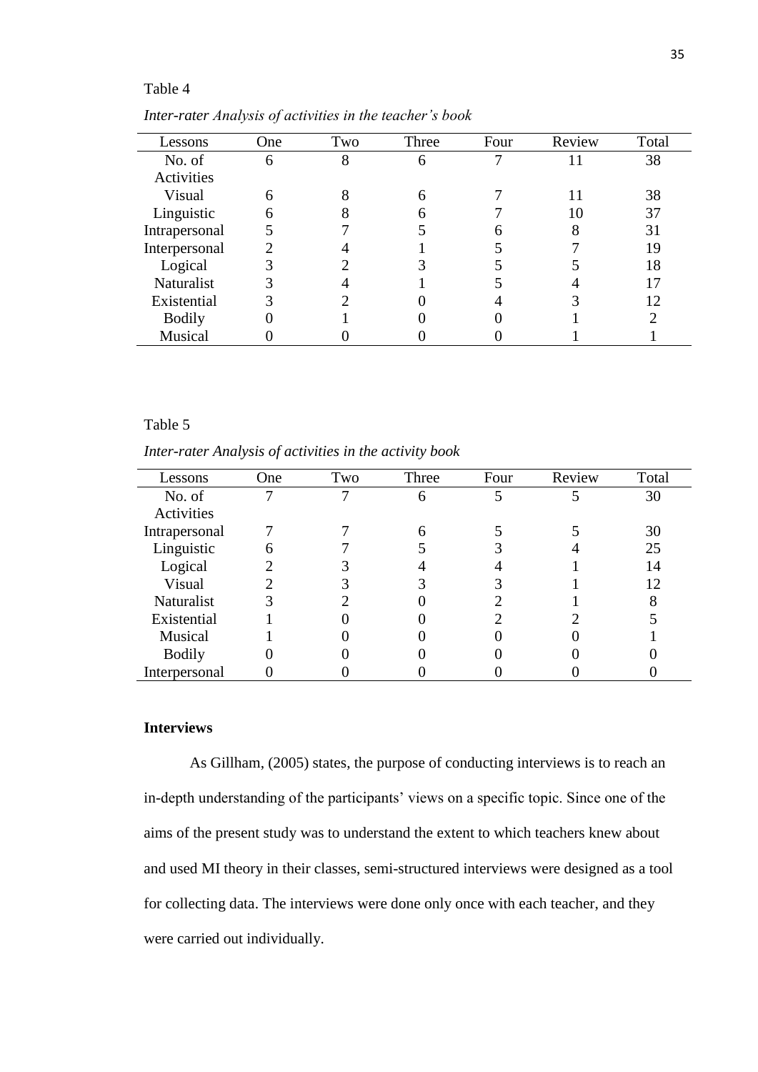## Table 4

| Lessons       | One | Two | Three | Four | Review | Total |
|---------------|-----|-----|-------|------|--------|-------|
| No. of        | 6   | 8   |       |      |        | 38    |
| Activities    |     |     |       |      |        |       |
| Visual        | 6   |     |       |      |        | 38    |
| Linguistic    |     |     |       |      | 10     | 37    |
| Intrapersonal |     |     |       |      |        | 31    |
| Interpersonal |     |     |       |      |        | 19    |
| Logical       |     |     |       |      |        | 18    |
| Naturalist    |     |     |       |      |        |       |
| Existential   |     |     |       |      |        | 12    |
| <b>Bodily</b> |     |     |       |      |        |       |
| Musical       |     |     |       |      |        |       |

*Inter-rater Analysis of activities in the teacher's book*

## Table 5

*Inter-rater Analysis of activities in the activity book*

| Lessons       | One | Two | Three | Four | Review | Total |
|---------------|-----|-----|-------|------|--------|-------|
| No. of        |     |     | 6     |      |        | 30    |
| Activities    |     |     |       |      |        |       |
| Intrapersonal |     |     | 6     |      |        | 30    |
| Linguistic    |     |     |       |      |        | 25    |
| Logical       |     |     |       |      |        | 14    |
| Visual        |     |     |       |      |        | 12    |
| Naturalist    |     |     |       |      |        |       |
| Existential   |     |     |       |      |        |       |
| Musical       |     |     |       |      |        |       |
| <b>Bodily</b> |     |     |       |      |        |       |
| Interpersonal |     |     |       |      |        |       |

## <span id="page-34-0"></span>**Interviews**

As Gillham, (2005) states, the purpose of conducting interviews is to reach an in-depth understanding of the participants' views on a specific topic. Since one of the aims of the present study was to understand the extent to which teachers knew about and used MI theory in their classes, semi-structured interviews were designed as a tool for collecting data. The interviews were done only once with each teacher, and they were carried out individually.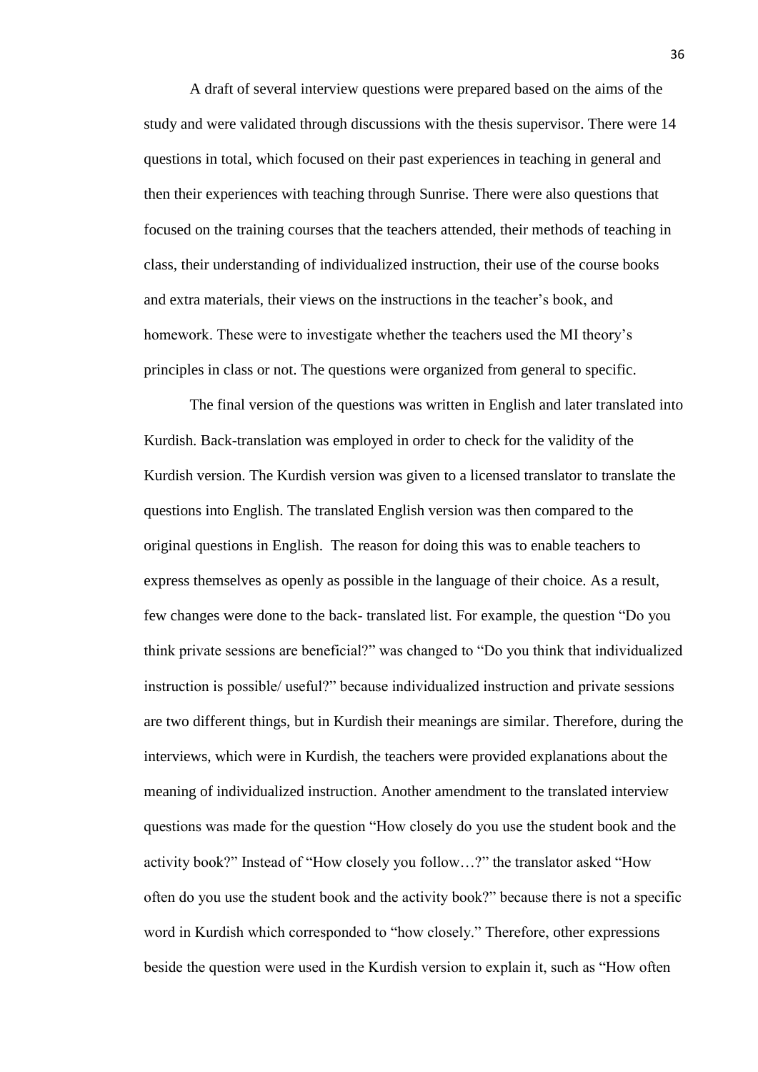A draft of several interview questions were prepared based on the aims of the study and were validated through discussions with the thesis supervisor. There were 14 questions in total, which focused on their past experiences in teaching in general and then their experiences with teaching through Sunrise. There were also questions that focused on the training courses that the teachers attended, their methods of teaching in class, their understanding of individualized instruction, their use of the course books and extra materials, their views on the instructions in the teacher's book, and homework. These were to investigate whether the teachers used the MI theory's principles in class or not. The questions were organized from general to specific.

The final version of the questions was written in English and later translated into Kurdish. Back-translation was employed in order to check for the validity of the Kurdish version. The Kurdish version was given to a licensed translator to translate the questions into English. The translated English version was then compared to the original questions in English. The reason for doing this was to enable teachers to express themselves as openly as possible in the language of their choice. As a result, few changes were done to the back- translated list. For example, the question "Do you think private sessions are beneficial?" was changed to "Do you think that individualized instruction is possible/ useful?" because individualized instruction and private sessions are two different things, but in Kurdish their meanings are similar. Therefore, during the interviews, which were in Kurdish, the teachers were provided explanations about the meaning of individualized instruction. Another amendment to the translated interview questions was made for the question "How closely do you use the student book and the activity book?" Instead of "How closely you follow…?" the translator asked "How often do you use the student book and the activity book?" because there is not a specific word in Kurdish which corresponded to "how closely." Therefore, other expressions beside the question were used in the Kurdish version to explain it, such as "How often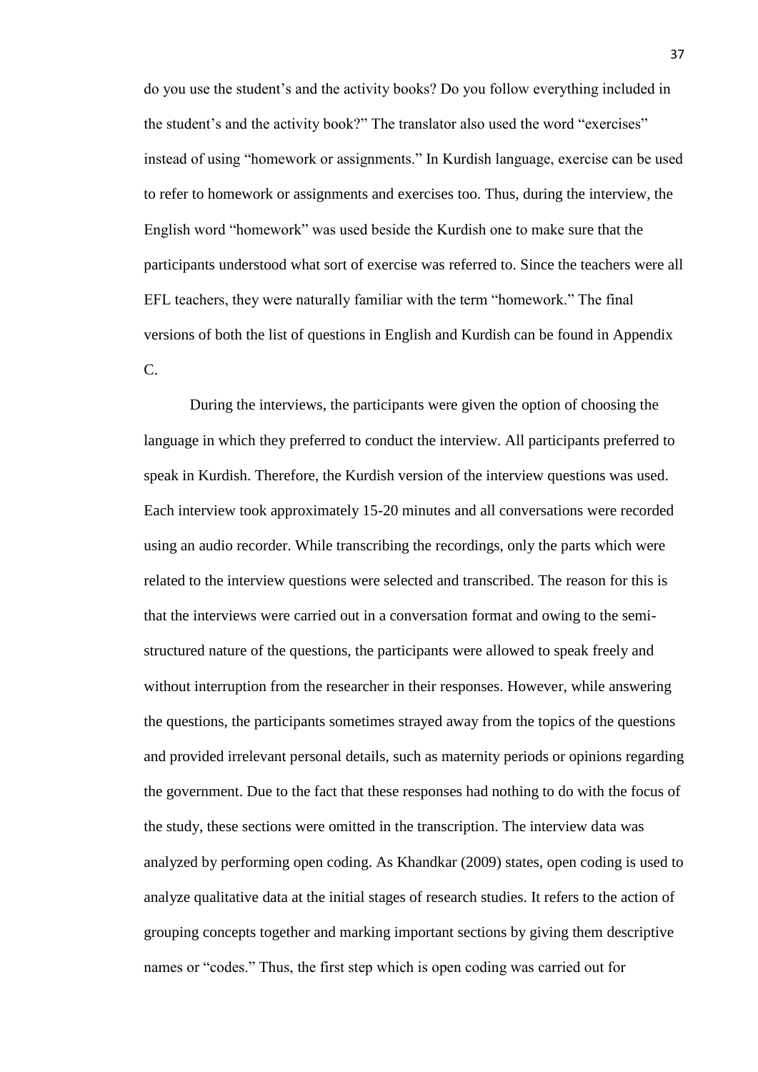do you use the student's and the activity books? Do you follow everything included in the student's and the activity book?" The translator also used the word "exercises" instead of using "homework or assignments." In Kurdish language, exercise can be used to refer to homework or assignments and exercises too. Thus, during the interview, the English word "homework" was used beside the Kurdish one to make sure that the participants understood what sort of exercise was referred to. Since the teachers were all EFL teachers, they were naturally familiar with the term "homework." The final versions of both the list of questions in English and Kurdish can be found in Appendix C.

During the interviews, the participants were given the option of choosing the language in which they preferred to conduct the interview. All participants preferred to speak in Kurdish. Therefore, the Kurdish version of the interview questions was used. Each interview took approximately 15-20 minutes and all conversations were recorded using an audio recorder. While transcribing the recordings, only the parts which were related to the interview questions were selected and transcribed. The reason for this is that the interviews were carried out in a conversation format and owing to the semistructured nature of the questions, the participants were allowed to speak freely and without interruption from the researcher in their responses. However, while answering the questions, the participants sometimes strayed away from the topics of the questions and provided irrelevant personal details, such as maternity periods or opinions regarding the government. Due to the fact that these responses had nothing to do with the focus of the study, these sections were omitted in the transcription. The interview data was analyzed by performing open coding. As Khandkar (2009) states, open coding is used to analyze qualitative data at the initial stages of research studies. It refers to the action of grouping concepts together and marking important sections by giving them descriptive names or "codes." Thus, the first step which is open coding was carried out for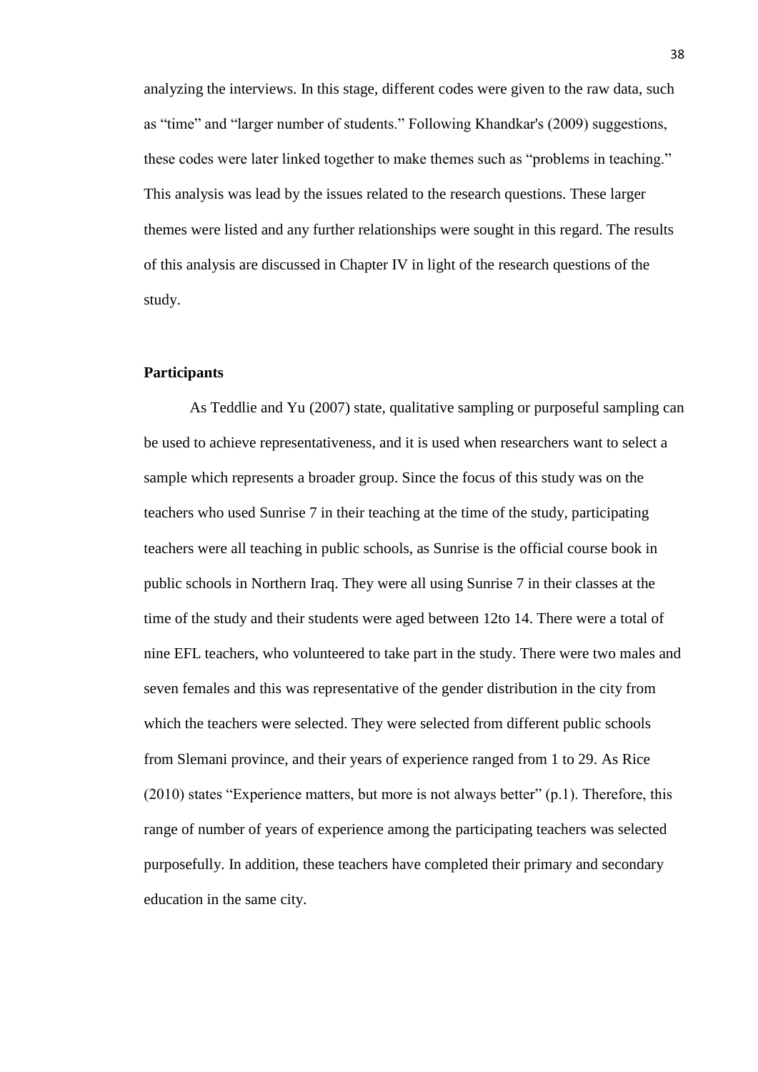analyzing the interviews. In this stage, different codes were given to the raw data, such as "time" and "larger number of students." Following Khandkar's (2009) suggestions, these codes were later linked together to make themes such as "problems in teaching." This analysis was lead by the issues related to the research questions. These larger themes were listed and any further relationships were sought in this regard. The results of this analysis are discussed in Chapter IV in light of the research questions of the study.

# **Participants**

As Teddlie and Yu (2007) state, qualitative sampling or purposeful sampling can be used to achieve representativeness, and it is used when researchers want to select a sample which represents a broader group. Since the focus of this study was on the teachers who used Sunrise 7 in their teaching at the time of the study, participating teachers were all teaching in public schools, as Sunrise is the official course book in public schools in Northern Iraq. They were all using Sunrise 7 in their classes at the time of the study and their students were aged between 12to 14. There were a total of nine EFL teachers, who volunteered to take part in the study. There were two males and seven females and this was representative of the gender distribution in the city from which the teachers were selected. They were selected from different public schools from Slemani province, and their years of experience ranged from 1 to 29. As Rice (2010) states "Experience matters, but more is not always better" (p.1). Therefore, this range of number of years of experience among the participating teachers was selected purposefully. In addition, these teachers have completed their primary and secondary education in the same city.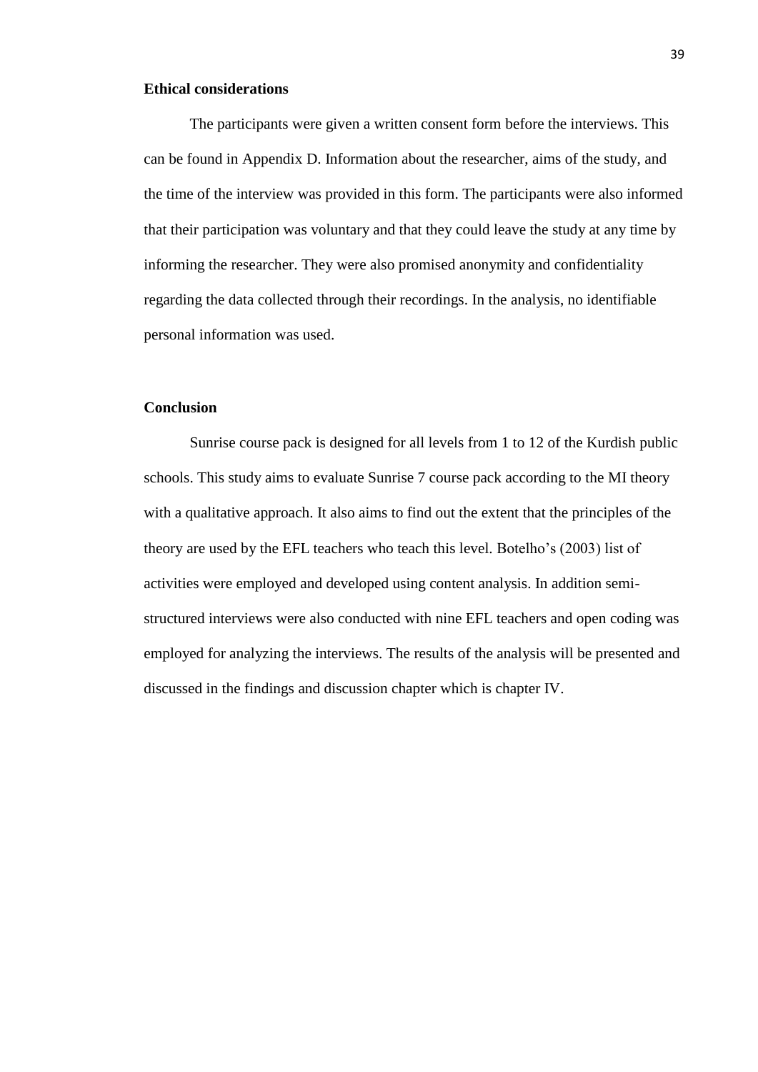#### **Ethical considerations**

The participants were given a written consent form before the interviews. This can be found in Appendix D. Information about the researcher, aims of the study, and the time of the interview was provided in this form. The participants were also informed that their participation was voluntary and that they could leave the study at any time by informing the researcher. They were also promised anonymity and confidentiality regarding the data collected through their recordings. In the analysis, no identifiable personal information was used.

#### **Conclusion**

Sunrise course pack is designed for all levels from 1 to 12 of the Kurdish public schools. This study aims to evaluate Sunrise 7 course pack according to the MI theory with a qualitative approach. It also aims to find out the extent that the principles of the theory are used by the EFL teachers who teach this level. Botelho's (2003) list of activities were employed and developed using content analysis. In addition semistructured interviews were also conducted with nine EFL teachers and open coding was employed for analyzing the interviews. The results of the analysis will be presented and discussed in the findings and discussion chapter which is chapter IV.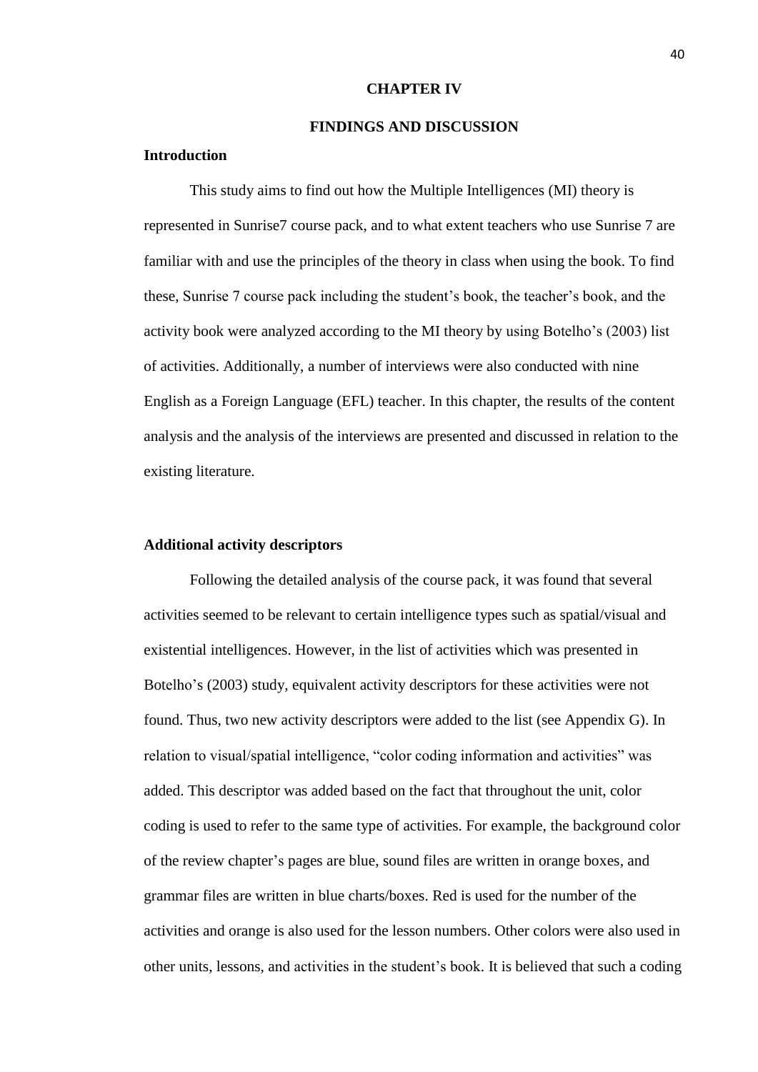#### **CHAPTER IV**

# **FINDINGS AND DISCUSSION**

## **Introduction**

This study aims to find out how the Multiple Intelligences (MI) theory is represented in Sunrise7 course pack, and to what extent teachers who use Sunrise 7 are familiar with and use the principles of the theory in class when using the book. To find these, Sunrise 7 course pack including the student's book, the teacher's book, and the activity book were analyzed according to the MI theory by using Botelho's (2003) list of activities. Additionally, a number of interviews were also conducted with nine English as a Foreign Language (EFL) teacher. In this chapter, the results of the content analysis and the analysis of the interviews are presented and discussed in relation to the existing literature.

## **Additional activity descriptors**

Following the detailed analysis of the course pack, it was found that several activities seemed to be relevant to certain intelligence types such as spatial/visual and existential intelligences. However, in the list of activities which was presented in Botelho's (2003) study, equivalent activity descriptors for these activities were not found. Thus, two new activity descriptors were added to the list (see Appendix G). In relation to visual/spatial intelligence, "color coding information and activities" was added. This descriptor was added based on the fact that throughout the unit, color coding is used to refer to the same type of activities. For example, the background color of the review chapter's pages are blue, sound files are written in orange boxes, and grammar files are written in blue charts/boxes. Red is used for the number of the activities and orange is also used for the lesson numbers. Other colors were also used in other units, lessons, and activities in the student's book. It is believed that such a coding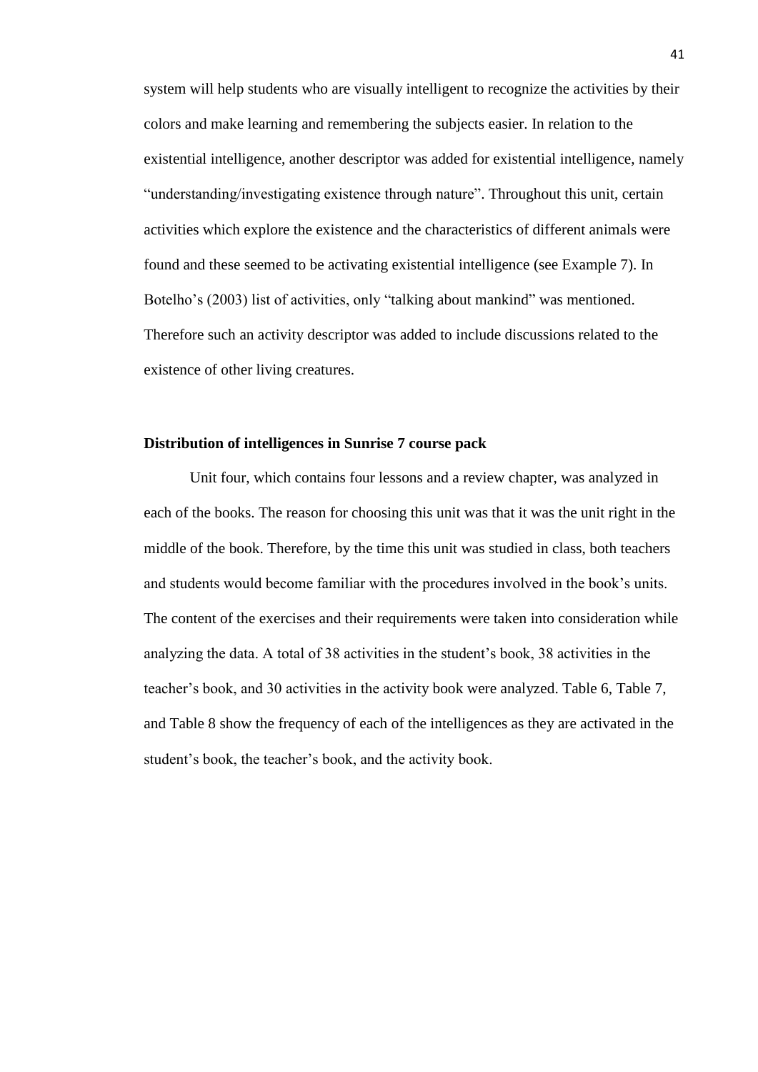system will help students who are visually intelligent to recognize the activities by their colors and make learning and remembering the subjects easier. In relation to the existential intelligence, another descriptor was added for existential intelligence, namely "understanding/investigating existence through nature". Throughout this unit, certain activities which explore the existence and the characteristics of different animals were found and these seemed to be activating existential intelligence (see Example 7). In Botelho's (2003) list of activities, only "talking about mankind" was mentioned. Therefore such an activity descriptor was added to include discussions related to the existence of other living creatures.

# **Distribution of intelligences in Sunrise 7 course pack**

Unit four, which contains four lessons and a review chapter, was analyzed in each of the books. The reason for choosing this unit was that it was the unit right in the middle of the book. Therefore, by the time this unit was studied in class, both teachers and students would become familiar with the procedures involved in the book's units. The content of the exercises and their requirements were taken into consideration while analyzing the data. A total of 38 activities in the student's book, 38 activities in the teacher's book, and 30 activities in the activity book were analyzed. Table 6, Table 7, and Table 8 show the frequency of each of the intelligences as they are activated in the student's book, the teacher's book, and the activity book.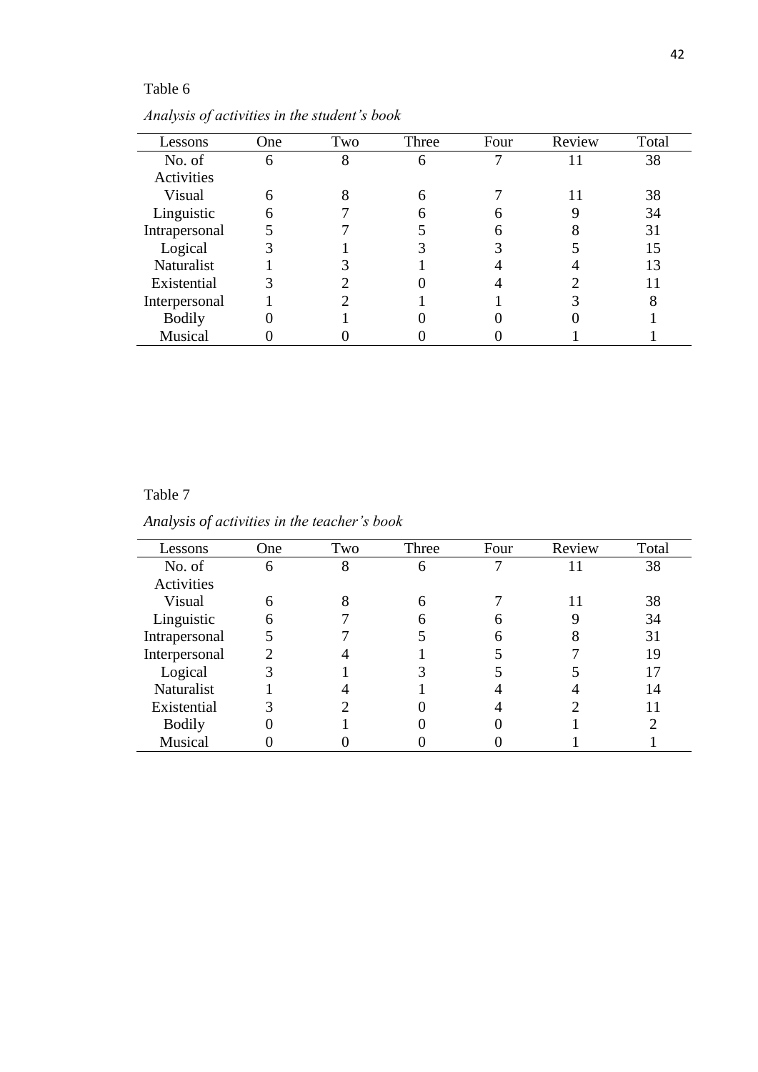# Table 6

| Lessons       | One | Two | Three | Four | Review | Total |
|---------------|-----|-----|-------|------|--------|-------|
| No. of        | 6   | 8   |       |      |        | 38    |
| Activities    |     |     |       |      |        |       |
| Visual        | 6   |     |       |      |        | 38    |
| Linguistic    |     |     |       |      |        | 34    |
| Intrapersonal |     |     |       |      |        | 31    |
| Logical       |     |     |       |      |        | 15    |
| Naturalist    |     |     |       |      |        | 13    |
| Existential   |     |     |       |      |        |       |
| Interpersonal |     |     |       |      |        |       |
| <b>Bodily</b> |     |     |       |      |        |       |
| Musical       |     |     |       |      |        |       |

*Analysis of activities in the student's book*

# Table 7

*Analysis of activities in the teacher's book*

| Lessons       | One | Two | Three | Four | Review | Total |
|---------------|-----|-----|-------|------|--------|-------|
| No. of        | 6   | 8   | 6     |      |        | 38    |
| Activities    |     |     |       |      |        |       |
| Visual        | 6   |     | 6     |      |        | 38    |
| Linguistic    | 6   |     |       | h    |        | 34    |
| Intrapersonal |     |     |       | h    |        | 31    |
| Interpersonal |     |     |       |      |        | 19    |
| Logical       |     |     |       |      |        | 17    |
| Naturalist    |     |     |       |      |        | 14    |
| Existential   |     |     |       |      |        |       |
| <b>Bodily</b> |     |     |       |      |        |       |
| Musical       |     |     |       |      |        |       |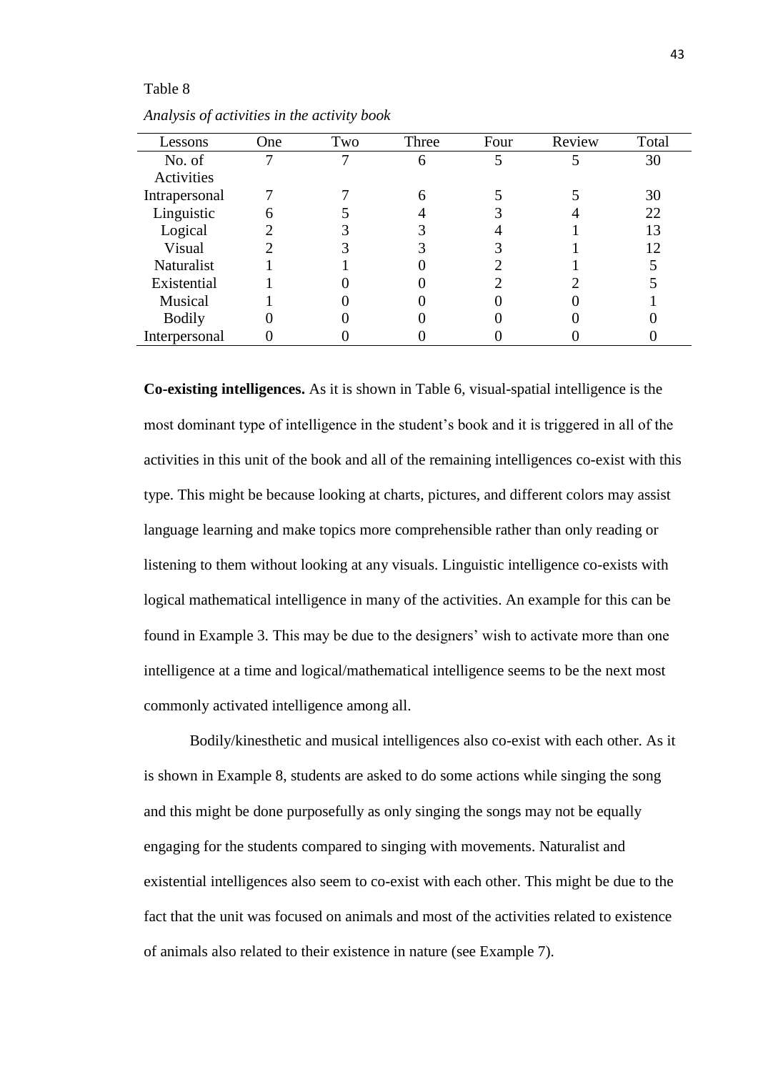#### Table 8

| Lessons       | One | Two | Three | Four | Review | Total |
|---------------|-----|-----|-------|------|--------|-------|
| No. of        |     |     |       |      |        | 30    |
| Activities    |     |     |       |      |        |       |
| Intrapersonal |     |     |       |      |        | 30    |
| Linguistic    | h   |     |       |      |        | 22    |
| Logical       |     |     |       |      |        | 13    |
| Visual        |     |     |       |      |        | 12    |
| Naturalist    |     |     |       |      |        |       |
| Existential   |     |     |       |      |        |       |
| Musical       |     |     |       |      |        |       |
| <b>Bodily</b> |     |     |       |      |        |       |
| Interpersonal |     |     |       |      |        |       |

*Analysis of activities in the activity book*

**Co-existing intelligences.** As it is shown in Table 6, visual-spatial intelligence is the most dominant type of intelligence in the student's book and it is triggered in all of the activities in this unit of the book and all of the remaining intelligences co-exist with this type. This might be because looking at charts, pictures, and different colors may assist language learning and make topics more comprehensible rather than only reading or listening to them without looking at any visuals. Linguistic intelligence co-exists with logical mathematical intelligence in many of the activities. An example for this can be found in Example 3. This may be due to the designers' wish to activate more than one intelligence at a time and logical/mathematical intelligence seems to be the next most commonly activated intelligence among all.

Bodily/kinesthetic and musical intelligences also co-exist with each other. As it is shown in Example 8, students are asked to do some actions while singing the song and this might be done purposefully as only singing the songs may not be equally engaging for the students compared to singing with movements. Naturalist and existential intelligences also seem to co-exist with each other. This might be due to the fact that the unit was focused on animals and most of the activities related to existence of animals also related to their existence in nature (see Example 7).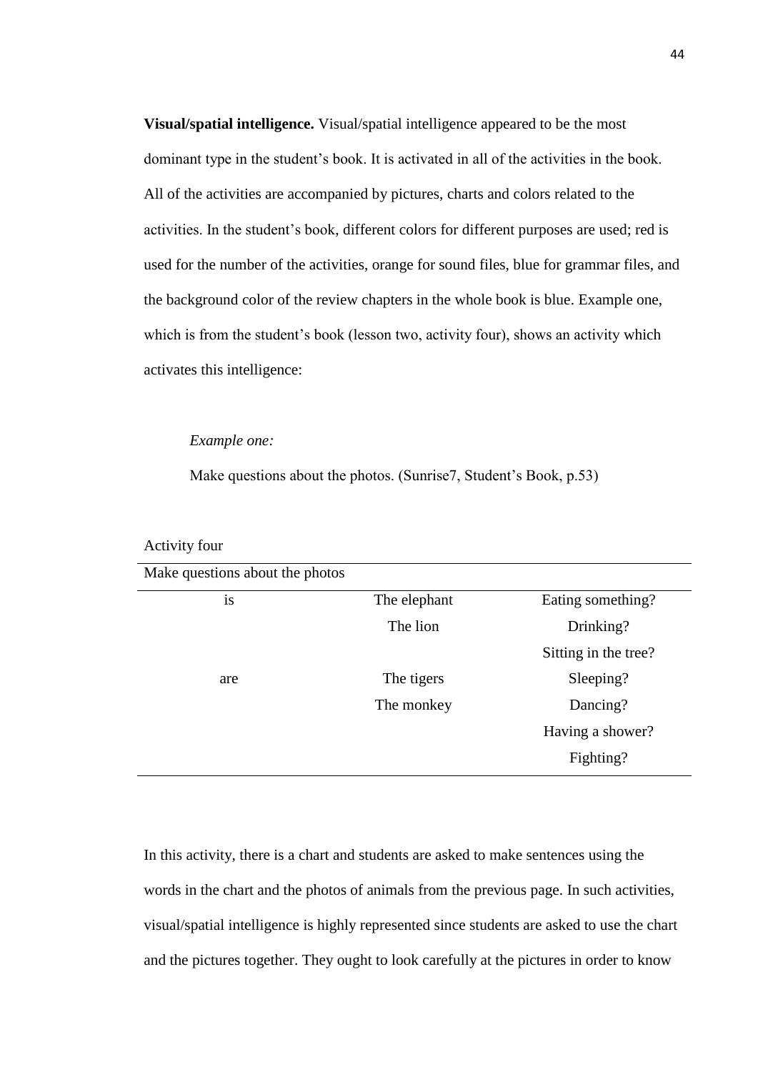**Visual/spatial intelligence.** Visual/spatial intelligence appeared to be the most dominant type in the student's book. It is activated in all of the activities in the book. All of the activities are accompanied by pictures, charts and colors related to the activities. In the student's book, different colors for different purposes are used; red is used for the number of the activities, orange for sound files, blue for grammar files, and the background color of the review chapters in the whole book is blue. Example one, which is from the student's book (lesson two, activity four), shows an activity which activates this intelligence:

## *Example one:*

Activity four

Make questions about the photos. (Sunrise7, Student's Book, p.53)

| Make questions about the photos |              |                      |
|---------------------------------|--------------|----------------------|
| is                              | The elephant | Eating something?    |
|                                 | The lion     | Drinking?            |
|                                 |              | Sitting in the tree? |
| are                             | The tigers   | Sleeping?            |
|                                 | The monkey   | Dancing?             |
|                                 |              | Having a shower?     |
|                                 |              | Fighting?            |

# In this activity, there is a chart and students are asked to make sentences using the words in the chart and the photos of animals from the previous page. In such activities, visual/spatial intelligence is highly represented since students are asked to use the chart and the pictures together. They ought to look carefully at the pictures in order to know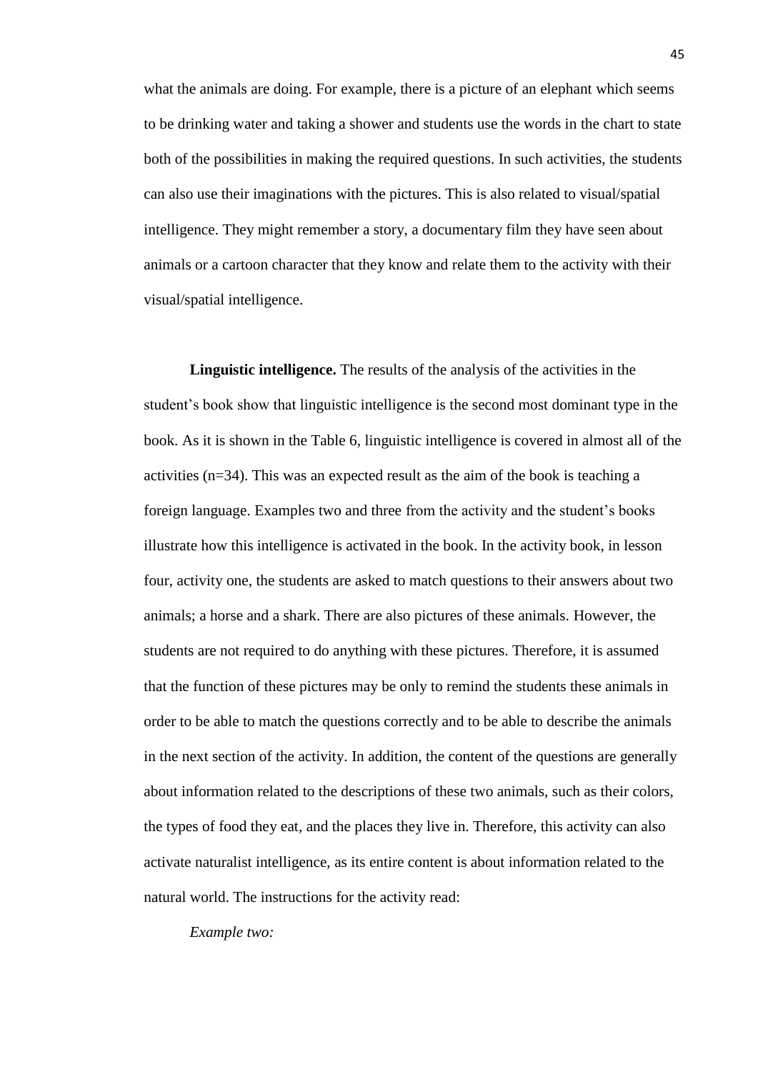what the animals are doing. For example, there is a picture of an elephant which seems to be drinking water and taking a shower and students use the words in the chart to state both of the possibilities in making the required questions. In such activities, the students can also use their imaginations with the pictures. This is also related to visual/spatial intelligence. They might remember a story, a documentary film they have seen about animals or a cartoon character that they know and relate them to the activity with their visual/spatial intelligence.

**Linguistic intelligence.** The results of the analysis of the activities in the student's book show that linguistic intelligence is the second most dominant type in the book. As it is shown in the Table 6, linguistic intelligence is covered in almost all of the activities (n=34). This was an expected result as the aim of the book is teaching a foreign language. Examples two and three from the activity and the student's books illustrate how this intelligence is activated in the book. In the activity book, in lesson four, activity one, the students are asked to match questions to their answers about two animals; a horse and a shark. There are also pictures of these animals. However, the students are not required to do anything with these pictures. Therefore, it is assumed that the function of these pictures may be only to remind the students these animals in order to be able to match the questions correctly and to be able to describe the animals in the next section of the activity. In addition, the content of the questions are generally about information related to the descriptions of these two animals, such as their colors, the types of food they eat, and the places they live in. Therefore, this activity can also activate naturalist intelligence, as its entire content is about information related to the natural world. The instructions for the activity read:

*Example two:*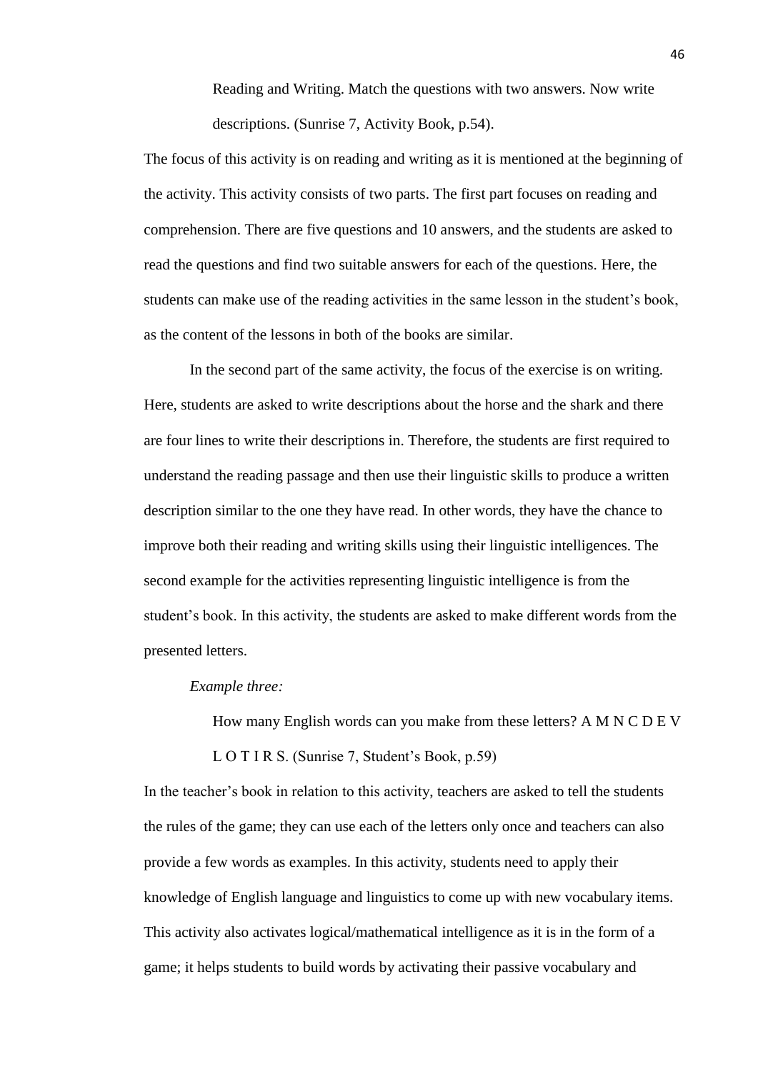Reading and Writing. Match the questions with two answers. Now write descriptions. (Sunrise 7, Activity Book, p.54).

The focus of this activity is on reading and writing as it is mentioned at the beginning of the activity. This activity consists of two parts. The first part focuses on reading and comprehension. There are five questions and 10 answers, and the students are asked to read the questions and find two suitable answers for each of the questions. Here, the students can make use of the reading activities in the same lesson in the student's book, as the content of the lessons in both of the books are similar.

In the second part of the same activity, the focus of the exercise is on writing. Here, students are asked to write descriptions about the horse and the shark and there are four lines to write their descriptions in. Therefore, the students are first required to understand the reading passage and then use their linguistic skills to produce a written description similar to the one they have read. In other words, they have the chance to improve both their reading and writing skills using their linguistic intelligences. The second example for the activities representing linguistic intelligence is from the student's book. In this activity, the students are asked to make different words from the presented letters.

#### *Example three:*

How many English words can you make from these letters? A M N C D E V

## L O T I R S. (Sunrise 7, Student's Book, p.59)

In the teacher's book in relation to this activity, teachers are asked to tell the students the rules of the game; they can use each of the letters only once and teachers can also provide a few words as examples. In this activity, students need to apply their knowledge of English language and linguistics to come up with new vocabulary items. This activity also activates logical/mathematical intelligence as it is in the form of a game; it helps students to build words by activating their passive vocabulary and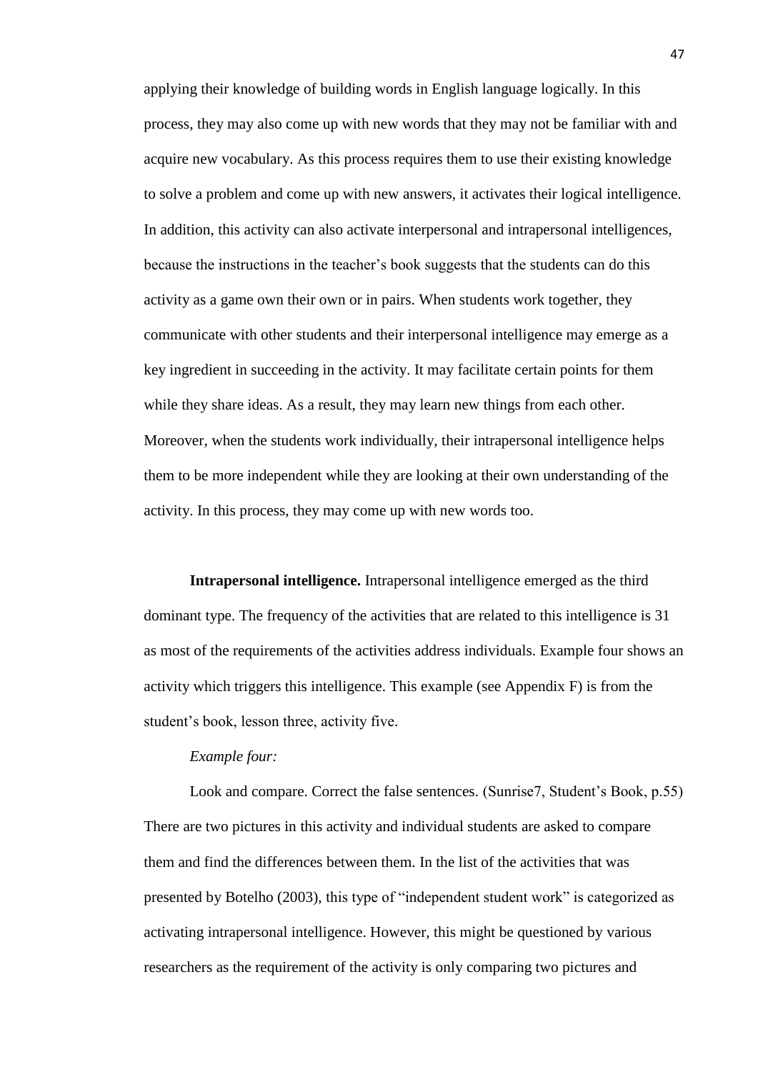applying their knowledge of building words in English language logically. In this process, they may also come up with new words that they may not be familiar with and acquire new vocabulary. As this process requires them to use their existing knowledge to solve a problem and come up with new answers, it activates their logical intelligence. In addition, this activity can also activate interpersonal and intrapersonal intelligences, because the instructions in the teacher's book suggests that the students can do this activity as a game own their own or in pairs. When students work together, they communicate with other students and their interpersonal intelligence may emerge as a key ingredient in succeeding in the activity. It may facilitate certain points for them while they share ideas. As a result, they may learn new things from each other. Moreover, when the students work individually, their intrapersonal intelligence helps them to be more independent while they are looking at their own understanding of the activity. In this process, they may come up with new words too.

**Intrapersonal intelligence.** Intrapersonal intelligence emerged as the third dominant type. The frequency of the activities that are related to this intelligence is 31 as most of the requirements of the activities address individuals. Example four shows an activity which triggers this intelligence. This example (see Appendix F) is from the student's book, lesson three, activity five.

## *Example four:*

Look and compare. Correct the false sentences. (Sunrise7, Student's Book, p.55) There are two pictures in this activity and individual students are asked to compare them and find the differences between them. In the list of the activities that was presented by Botelho (2003), this type of "independent student work" is categorized as activating intrapersonal intelligence. However, this might be questioned by various researchers as the requirement of the activity is only comparing two pictures and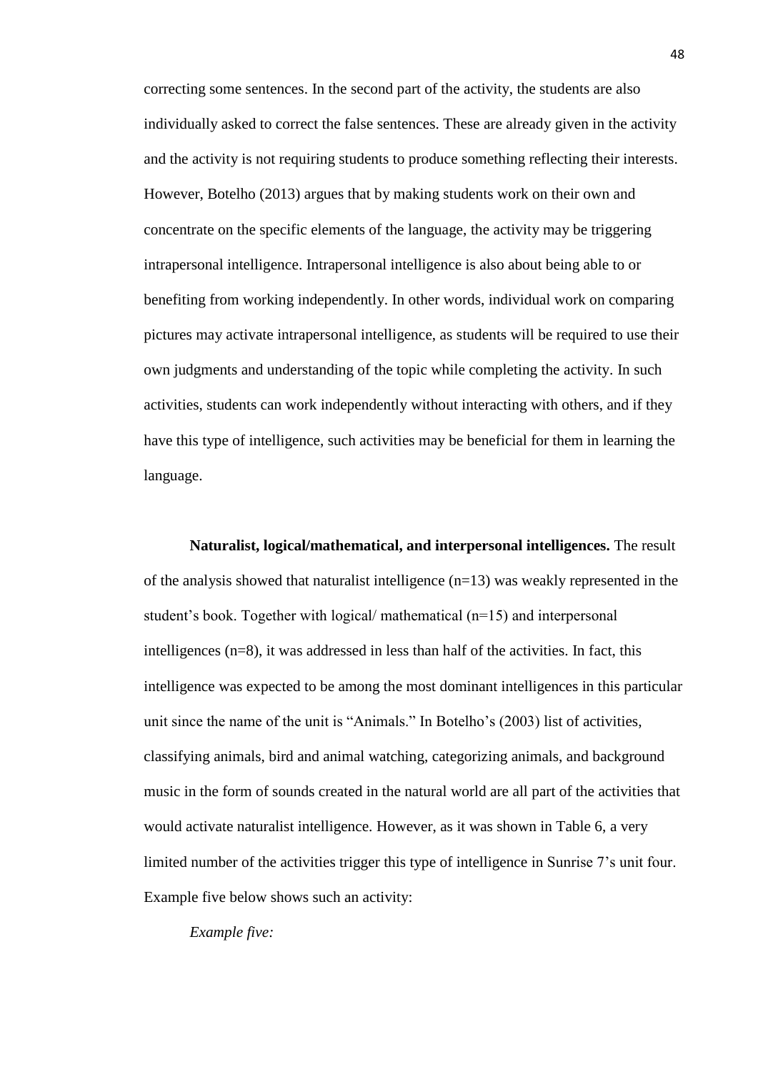correcting some sentences. In the second part of the activity, the students are also individually asked to correct the false sentences. These are already given in the activity and the activity is not requiring students to produce something reflecting their interests. However, Botelho (2013) argues that by making students work on their own and concentrate on the specific elements of the language, the activity may be triggering intrapersonal intelligence. Intrapersonal intelligence is also about being able to or benefiting from working independently. In other words, individual work on comparing pictures may activate intrapersonal intelligence, as students will be required to use their own judgments and understanding of the topic while completing the activity. In such activities, students can work independently without interacting with others, and if they have this type of intelligence, such activities may be beneficial for them in learning the language.

**Naturalist, logical/mathematical, and interpersonal intelligences.** The result of the analysis showed that naturalist intelligence  $(n=13)$  was weakly represented in the student's book. Together with logical/ mathematical (n=15) and interpersonal intelligences (n=8), it was addressed in less than half of the activities. In fact, this intelligence was expected to be among the most dominant intelligences in this particular unit since the name of the unit is "Animals." In Botelho's (2003) list of activities, classifying animals, bird and animal watching, categorizing animals, and background music in the form of sounds created in the natural world are all part of the activities that would activate naturalist intelligence. However, as it was shown in Table 6, a very limited number of the activities trigger this type of intelligence in Sunrise 7's unit four. Example five below shows such an activity:

*Example five:*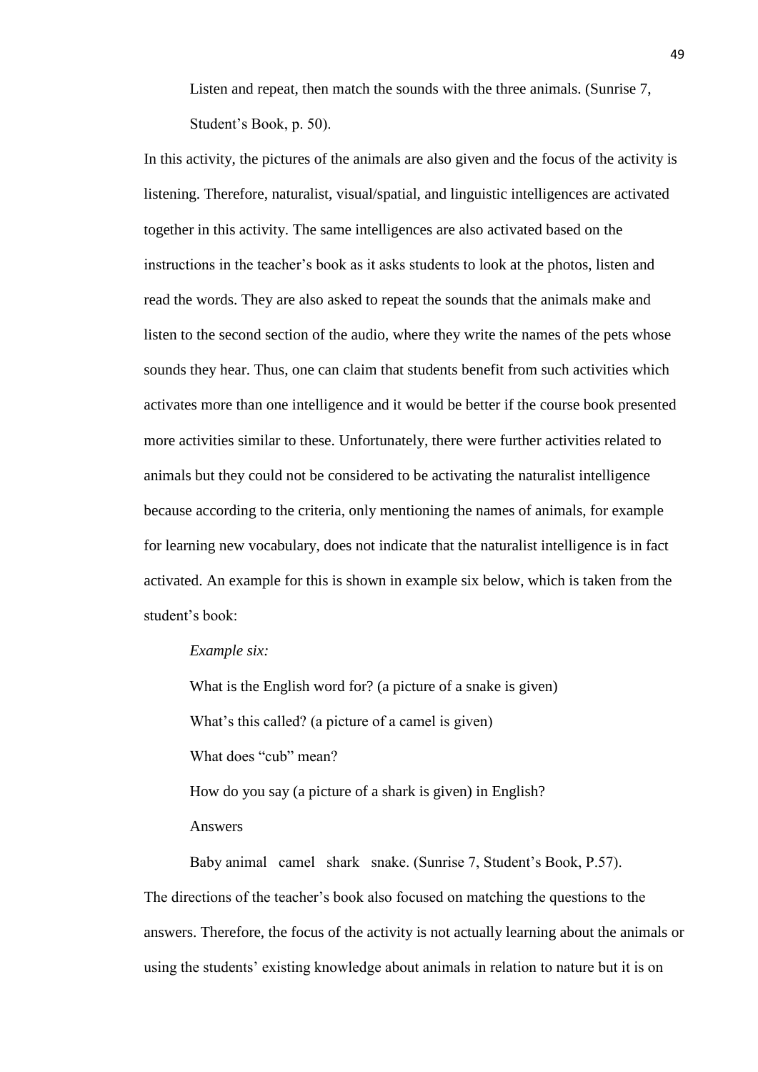Listen and repeat, then match the sounds with the three animals. (Sunrise 7, Student's Book, p. 50).

In this activity, the pictures of the animals are also given and the focus of the activity is listening. Therefore, naturalist, visual/spatial, and linguistic intelligences are activated together in this activity. The same intelligences are also activated based on the instructions in the teacher's book as it asks students to look at the photos, listen and read the words. They are also asked to repeat the sounds that the animals make and listen to the second section of the audio, where they write the names of the pets whose sounds they hear. Thus, one can claim that students benefit from such activities which activates more than one intelligence and it would be better if the course book presented more activities similar to these. Unfortunately, there were further activities related to animals but they could not be considered to be activating the naturalist intelligence because according to the criteria, only mentioning the names of animals, for example for learning new vocabulary, does not indicate that the naturalist intelligence is in fact activated. An example for this is shown in example six below, which is taken from the student's book:

## *Example six:*

What is the English word for? (a picture of a snake is given) What's this called? (a picture of a camel is given) What does "cub" mean? How do you say (a picture of a shark is given) in English?

Answers

Baby animal camel shark snake. (Sunrise 7, Student's Book, P.57). The directions of the teacher's book also focused on matching the questions to the answers. Therefore, the focus of the activity is not actually learning about the animals or using the students' existing knowledge about animals in relation to nature but it is on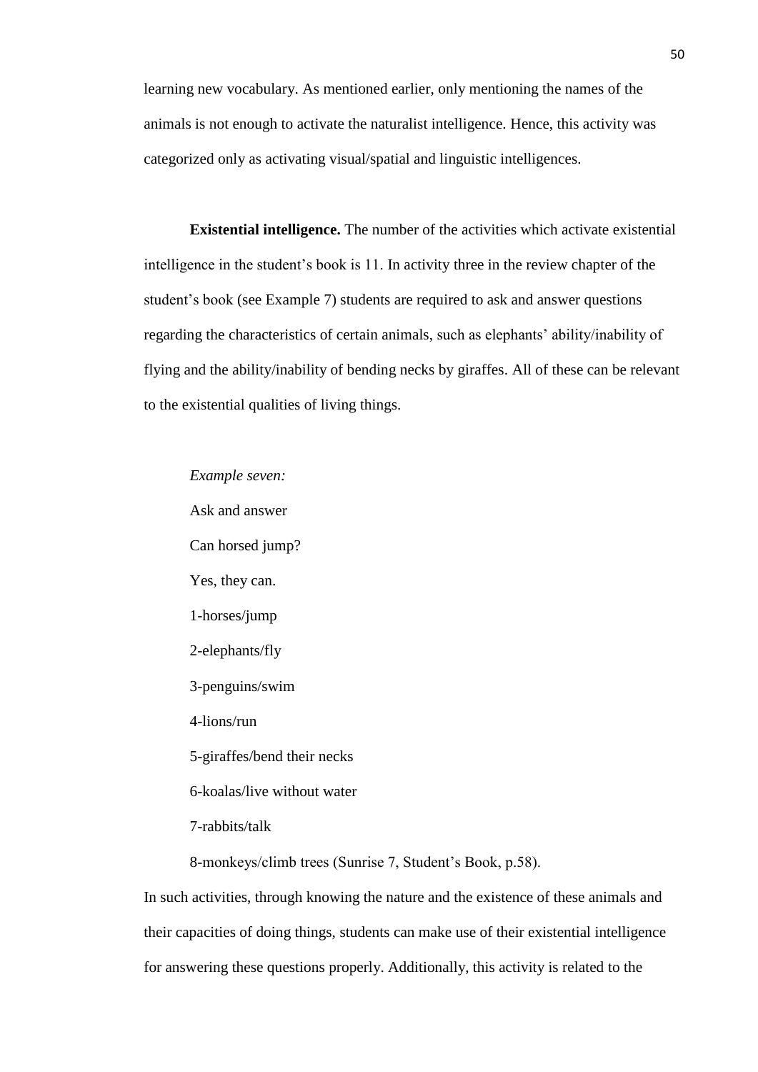learning new vocabulary. As mentioned earlier, only mentioning the names of the animals is not enough to activate the naturalist intelligence. Hence, this activity was categorized only as activating visual/spatial and linguistic intelligences.

**Existential intelligence.** The number of the activities which activate existential intelligence in the student's book is 11. In activity three in the review chapter of the student's book (see Example 7) students are required to ask and answer questions regarding the characteristics of certain animals, such as elephants' ability/inability of flying and the ability/inability of bending necks by giraffes. All of these can be relevant to the existential qualities of living things.

*Example seven:*

Ask and answer Can horsed jump? Yes, they can. 1-horses/jump 2-elephants/fly 3-penguins/swim 4-lions/run 5-giraffes/bend their necks 6-koalas/live without water 7-rabbits/talk

8-monkeys/climb trees (Sunrise 7, Student's Book, p.58).

In such activities, through knowing the nature and the existence of these animals and their capacities of doing things, students can make use of their existential intelligence for answering these questions properly. Additionally, this activity is related to the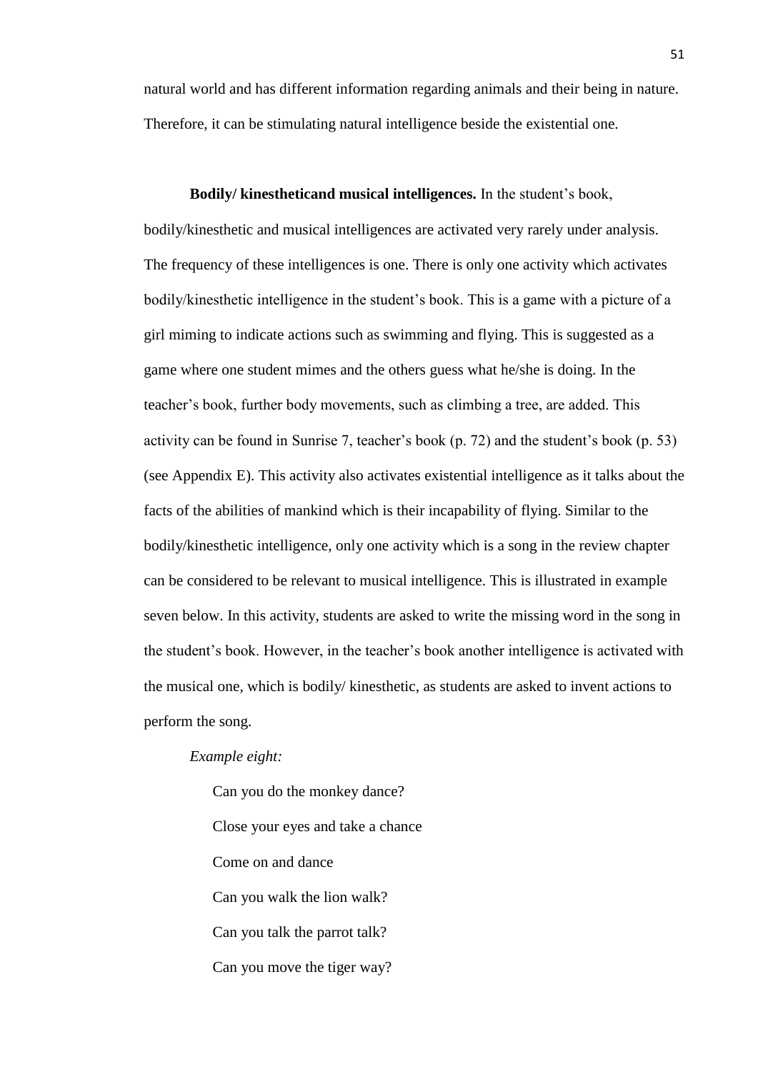natural world and has different information regarding animals and their being in nature. Therefore, it can be stimulating natural intelligence beside the existential one.

**Bodily/ kinestheticand musical intelligences.** In the student's book, bodily/kinesthetic and musical intelligences are activated very rarely under analysis. The frequency of these intelligences is one. There is only one activity which activates bodily/kinesthetic intelligence in the student's book. This is a game with a picture of a girl miming to indicate actions such as swimming and flying. This is suggested as a game where one student mimes and the others guess what he/she is doing. In the teacher's book, further body movements, such as climbing a tree, are added. This activity can be found in Sunrise 7, teacher's book (p. 72) and the student's book (p. 53) (see Appendix E). This activity also activates existential intelligence as it talks about the facts of the abilities of mankind which is their incapability of flying. Similar to the bodily/kinesthetic intelligence, only one activity which is a song in the review chapter can be considered to be relevant to musical intelligence. This is illustrated in example seven below. In this activity, students are asked to write the missing word in the song in the student's book. However, in the teacher's book another intelligence is activated with the musical one, which is bodily/ kinesthetic, as students are asked to invent actions to perform the song.

### *Example eight:*

Can you do the monkey dance? Close your eyes and take a chance Come on and dance Can you walk the lion walk? Can you talk the parrot talk? Can you move the tiger way?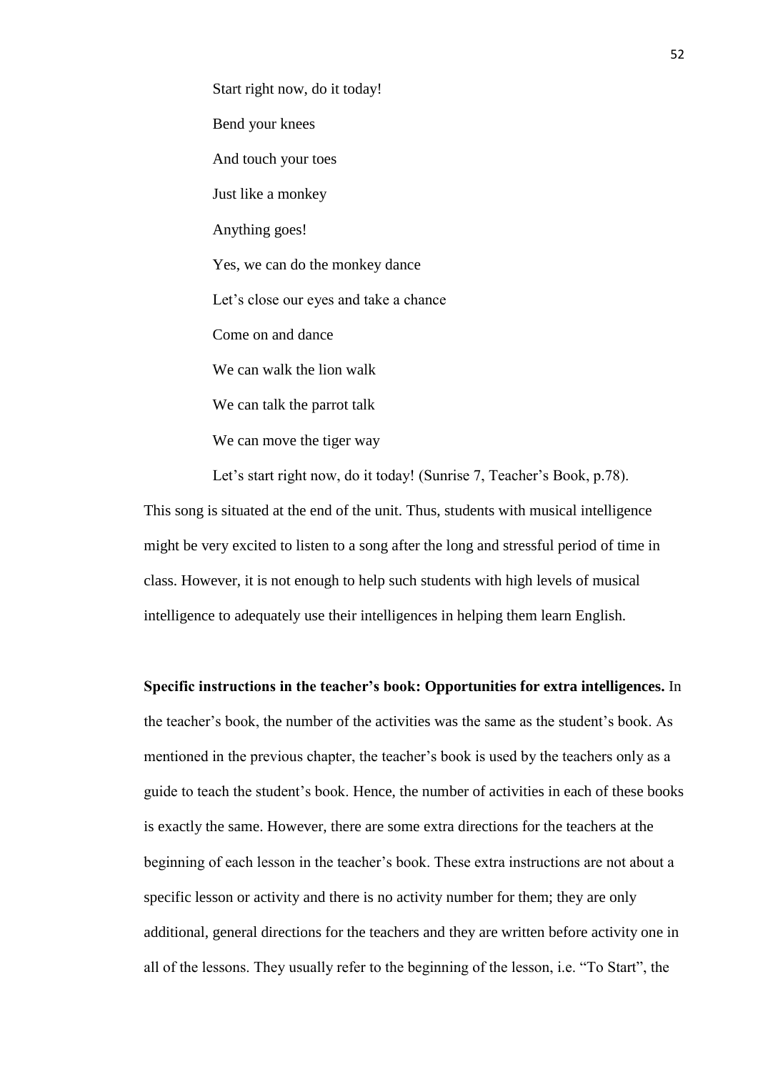Start right now, do it today! Bend your knees And touch your toes Just like a monkey Anything goes! Yes, we can do the monkey dance Let's close our eyes and take a chance Come on and dance We can walk the lion walk We can talk the parrot talk We can move the tiger way

Let's start right now, do it today! (Sunrise 7, Teacher's Book, p.78).

This song is situated at the end of the unit. Thus, students with musical intelligence might be very excited to listen to a song after the long and stressful period of time in class. However, it is not enough to help such students with high levels of musical intelligence to adequately use their intelligences in helping them learn English.

**Specific instructions in the teacher's book: Opportunities for extra intelligences.** In the teacher's book, the number of the activities was the same as the student's book. As mentioned in the previous chapter, the teacher's book is used by the teachers only as a guide to teach the student's book. Hence, the number of activities in each of these books is exactly the same. However, there are some extra directions for the teachers at the beginning of each lesson in the teacher's book. These extra instructions are not about a specific lesson or activity and there is no activity number for them; they are only additional, general directions for the teachers and they are written before activity one in all of the lessons. They usually refer to the beginning of the lesson, i.e. "To Start", the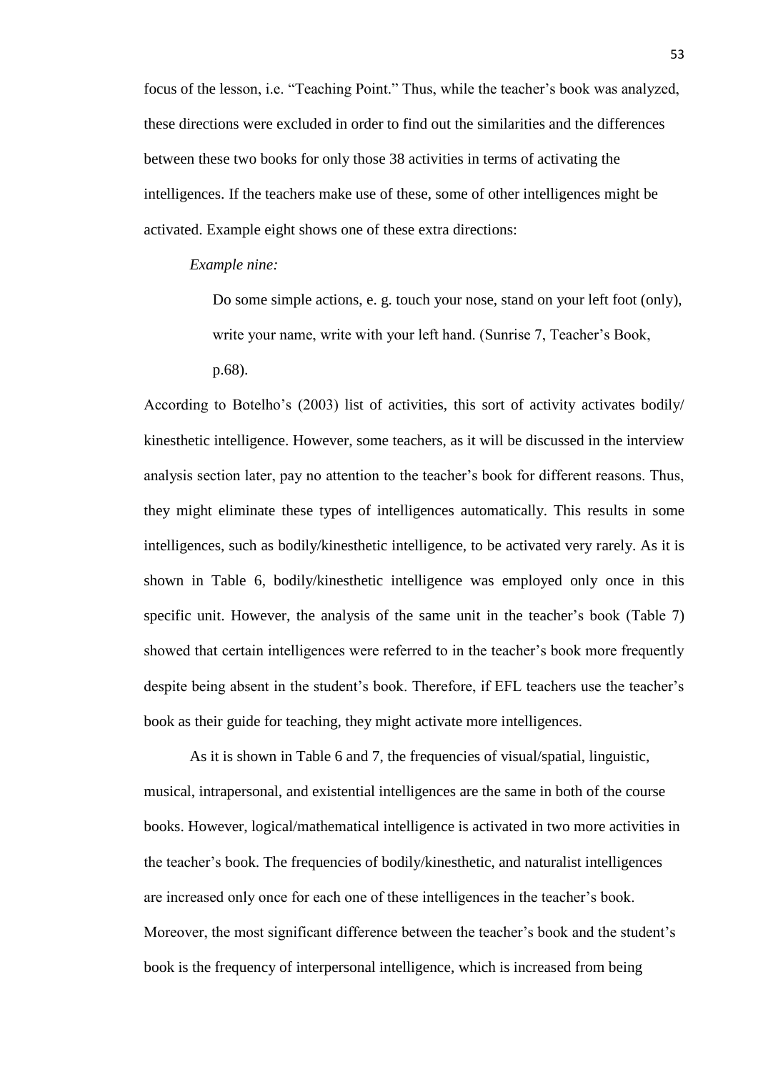focus of the lesson, i.e. "Teaching Point." Thus, while the teacher's book was analyzed, these directions were excluded in order to find out the similarities and the differences between these two books for only those 38 activities in terms of activating the intelligences. If the teachers make use of these, some of other intelligences might be activated. Example eight shows one of these extra directions:

*Example nine:*

Do some simple actions, e. g. touch your nose, stand on your left foot (only), write your name, write with your left hand. (Sunrise 7, Teacher's Book, p.68).

According to Botelho's (2003) list of activities, this sort of activity activates bodily/ kinesthetic intelligence. However, some teachers, as it will be discussed in the interview analysis section later, pay no attention to the teacher's book for different reasons. Thus, they might eliminate these types of intelligences automatically. This results in some intelligences, such as bodily/kinesthetic intelligence, to be activated very rarely. As it is shown in Table 6, bodily/kinesthetic intelligence was employed only once in this specific unit. However, the analysis of the same unit in the teacher's book (Table 7) showed that certain intelligences were referred to in the teacher's book more frequently despite being absent in the student's book. Therefore, if EFL teachers use the teacher's book as their guide for teaching, they might activate more intelligences.

As it is shown in Table 6 and 7, the frequencies of visual/spatial, linguistic, musical, intrapersonal, and existential intelligences are the same in both of the course books. However, logical/mathematical intelligence is activated in two more activities in the teacher's book. The frequencies of bodily/kinesthetic, and naturalist intelligences are increased only once for each one of these intelligences in the teacher's book. Moreover, the most significant difference between the teacher's book and the student's book is the frequency of interpersonal intelligence, which is increased from being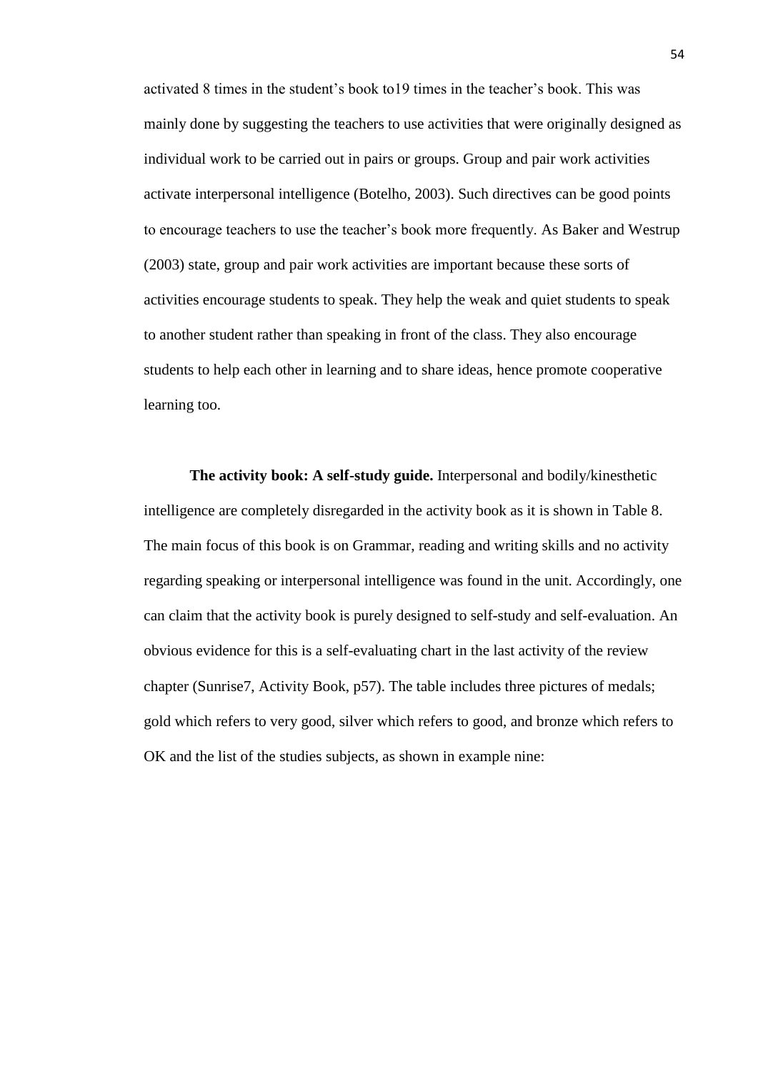activated 8 times in the student's book to19 times in the teacher's book. This was mainly done by suggesting the teachers to use activities that were originally designed as individual work to be carried out in pairs or groups. Group and pair work activities activate interpersonal intelligence (Botelho, 2003). Such directives can be good points to encourage teachers to use the teacher's book more frequently. As Baker and Westrup (2003) state, group and pair work activities are important because these sorts of activities encourage students to speak. They help the weak and quiet students to speak to another student rather than speaking in front of the class. They also encourage students to help each other in learning and to share ideas, hence promote cooperative learning too.

**The activity book: A self-study guide.** Interpersonal and bodily/kinesthetic intelligence are completely disregarded in the activity book as it is shown in Table 8. The main focus of this book is on Grammar, reading and writing skills and no activity regarding speaking or interpersonal intelligence was found in the unit. Accordingly, one can claim that the activity book is purely designed to self-study and self-evaluation. An obvious evidence for this is a self-evaluating chart in the last activity of the review chapter (Sunrise7, Activity Book, p57). The table includes three pictures of medals; gold which refers to very good, silver which refers to good, and bronze which refers to OK and the list of the studies subjects, as shown in example nine: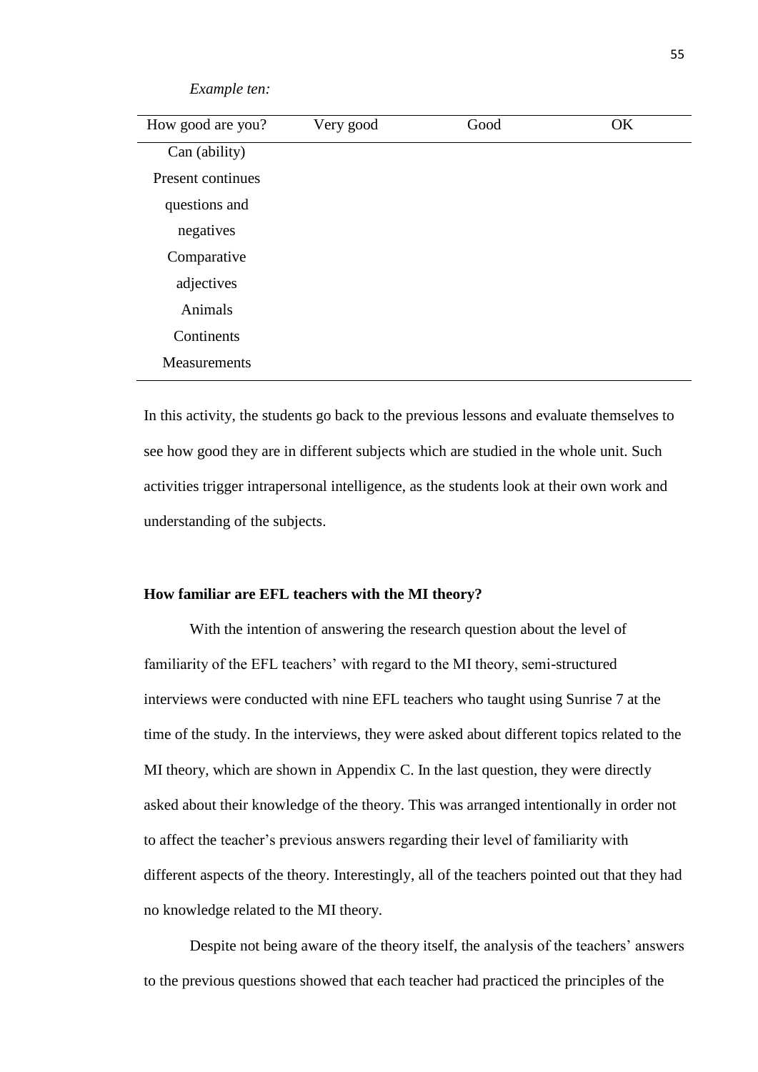| $L_{\mathcal{M}}$ |           |      |    |
|-------------------|-----------|------|----|
| How good are you? | Very good | Good | OK |
| Can (ability)     |           |      |    |
| Present continues |           |      |    |
| questions and     |           |      |    |
| negatives         |           |      |    |
| Comparative       |           |      |    |
| adjectives        |           |      |    |
| Animals           |           |      |    |
| Continents        |           |      |    |
| Measurements      |           |      |    |
|                   |           |      |    |

In this activity, the students go back to the previous lessons and evaluate themselves to see how good they are in different subjects which are studied in the whole unit. Such activities trigger intrapersonal intelligence, as the students look at their own work and understanding of the subjects.

## **How familiar are EFL teachers with the MI theory?**

*Example ten:*

With the intention of answering the research question about the level of familiarity of the EFL teachers' with regard to the MI theory, semi-structured interviews were conducted with nine EFL teachers who taught using Sunrise 7 at the time of the study. In the interviews, they were asked about different topics related to the MI theory, which are shown in Appendix C. In the last question, they were directly asked about their knowledge of the theory. This was arranged intentionally in order not to affect the teacher's previous answers regarding their level of familiarity with different aspects of the theory. Interestingly, all of the teachers pointed out that they had no knowledge related to the MI theory.

Despite not being aware of the theory itself, the analysis of the teachers' answers to the previous questions showed that each teacher had practiced the principles of the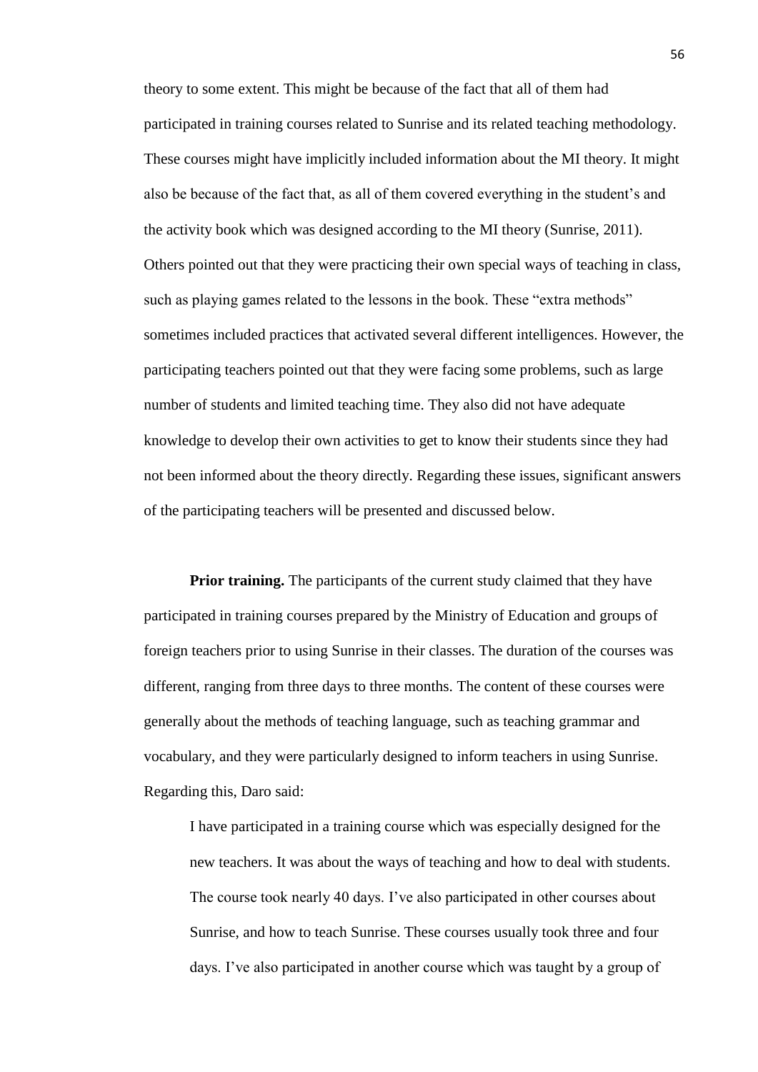theory to some extent. This might be because of the fact that all of them had participated in training courses related to Sunrise and its related teaching methodology. These courses might have implicitly included information about the MI theory. It might also be because of the fact that, as all of them covered everything in the student's and the activity book which was designed according to the MI theory (Sunrise, 2011). Others pointed out that they were practicing their own special ways of teaching in class, such as playing games related to the lessons in the book. These "extra methods" sometimes included practices that activated several different intelligences. However, the participating teachers pointed out that they were facing some problems, such as large number of students and limited teaching time. They also did not have adequate knowledge to develop their own activities to get to know their students since they had not been informed about the theory directly. Regarding these issues, significant answers of the participating teachers will be presented and discussed below.

**Prior training.** The participants of the current study claimed that they have participated in training courses prepared by the Ministry of Education and groups of foreign teachers prior to using Sunrise in their classes. The duration of the courses was different, ranging from three days to three months. The content of these courses were generally about the methods of teaching language, such as teaching grammar and vocabulary, and they were particularly designed to inform teachers in using Sunrise. Regarding this, Daro said:

I have participated in a training course which was especially designed for the new teachers. It was about the ways of teaching and how to deal with students. The course took nearly 40 days. I've also participated in other courses about Sunrise, and how to teach Sunrise. These courses usually took three and four days. I've also participated in another course which was taught by a group of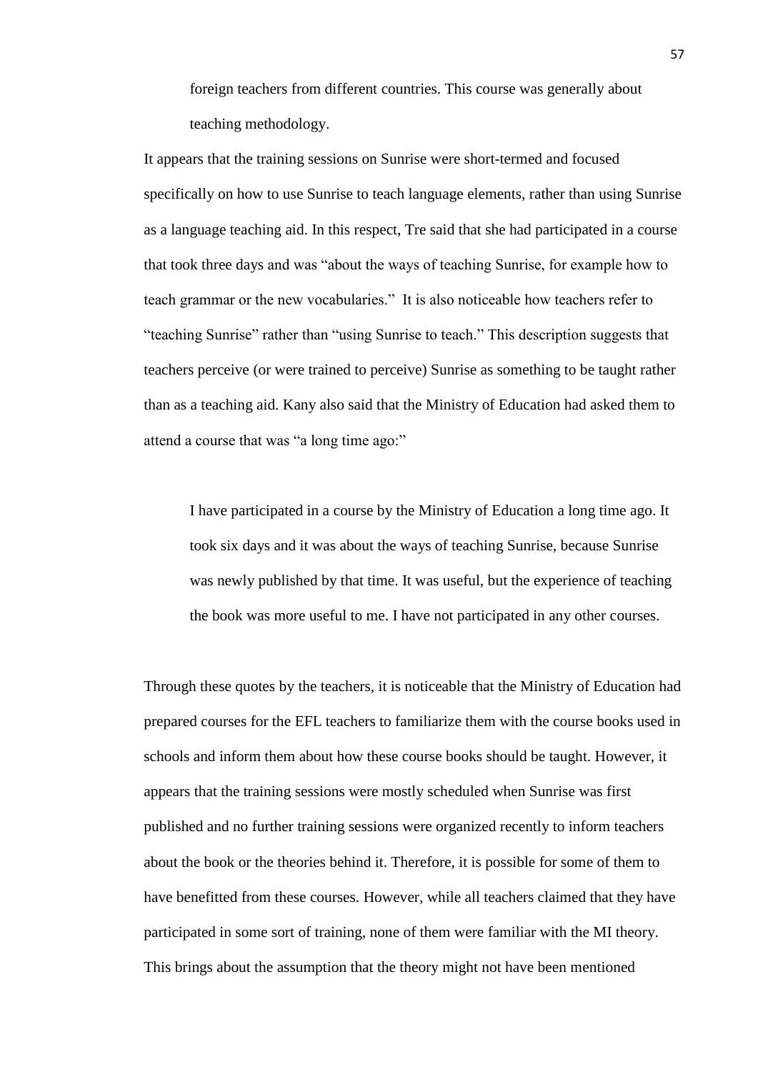foreign teachers from different countries. This course was generally about teaching methodology.

It appears that the training sessions on Sunrise were short-termed and focused specifically on how to use Sunrise to teach language elements, rather than using Sunrise as a language teaching aid. In this respect, Tre said that she had participated in a course that took three days and was "about the ways of teaching Sunrise, for example how to teach grammar or the new vocabularies." It is also noticeable how teachers refer to "teaching Sunrise" rather than "using Sunrise to teach." This description suggests that teachers perceive (or were trained to perceive) Sunrise as something to be taught rather than as a teaching aid. Kany also said that the Ministry of Education had asked them to attend a course that was "a long time ago:"

I have participated in a course by the Ministry of Education a long time ago. It took six days and it was about the ways of teaching Sunrise, because Sunrise was newly published by that time. It was useful, but the experience of teaching the book was more useful to me. I have not participated in any other courses.

Through these quotes by the teachers, it is noticeable that the Ministry of Education had prepared courses for the EFL teachers to familiarize them with the course books used in schools and inform them about how these course books should be taught. However, it appears that the training sessions were mostly scheduled when Sunrise was first published and no further training sessions were organized recently to inform teachers about the book or the theories behind it. Therefore, it is possible for some of them to have benefitted from these courses. However, while all teachers claimed that they have participated in some sort of training, none of them were familiar with the MI theory. This brings about the assumption that the theory might not have been mentioned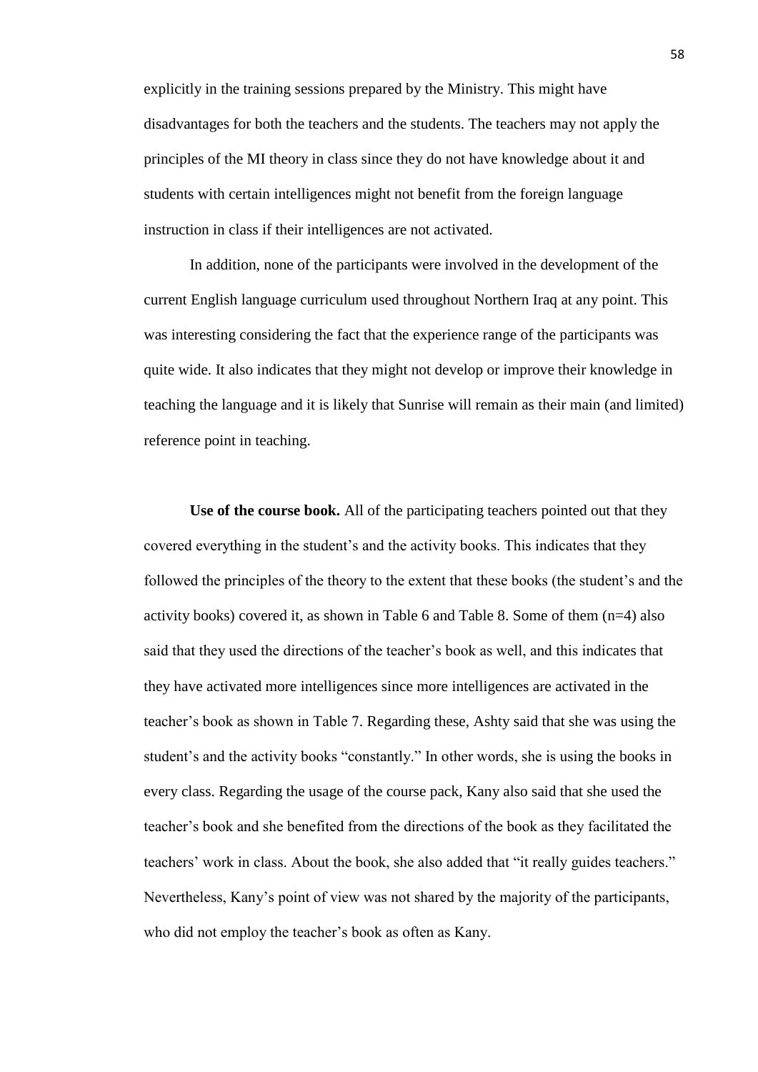explicitly in the training sessions prepared by the Ministry. This might have disadvantages for both the teachers and the students. The teachers may not apply the principles of the MI theory in class since they do not have knowledge about it and students with certain intelligences might not benefit from the foreign language instruction in class if their intelligences are not activated.

In addition, none of the participants were involved in the development of the current English language curriculum used throughout Northern Iraq at any point. This was interesting considering the fact that the experience range of the participants was quite wide. It also indicates that they might not develop or improve their knowledge in teaching the language and it is likely that Sunrise will remain as their main (and limited) reference point in teaching.

**Use of the course book.** All of the participating teachers pointed out that they covered everything in the student's and the activity books. This indicates that they followed the principles of the theory to the extent that these books (the student's and the activity books) covered it, as shown in Table 6 and Table 8. Some of them (n=4) also said that they used the directions of the teacher's book as well, and this indicates that they have activated more intelligences since more intelligences are activated in the teacher's book as shown in Table 7. Regarding these, Ashty said that she was using the student's and the activity books "constantly." In other words, she is using the books in every class. Regarding the usage of the course pack, Kany also said that she used the teacher's book and she benefited from the directions of the book as they facilitated the teachers' work in class. About the book, she also added that "it really guides teachers." Nevertheless, Kany's point of view was not shared by the majority of the participants, who did not employ the teacher's book as often as Kany.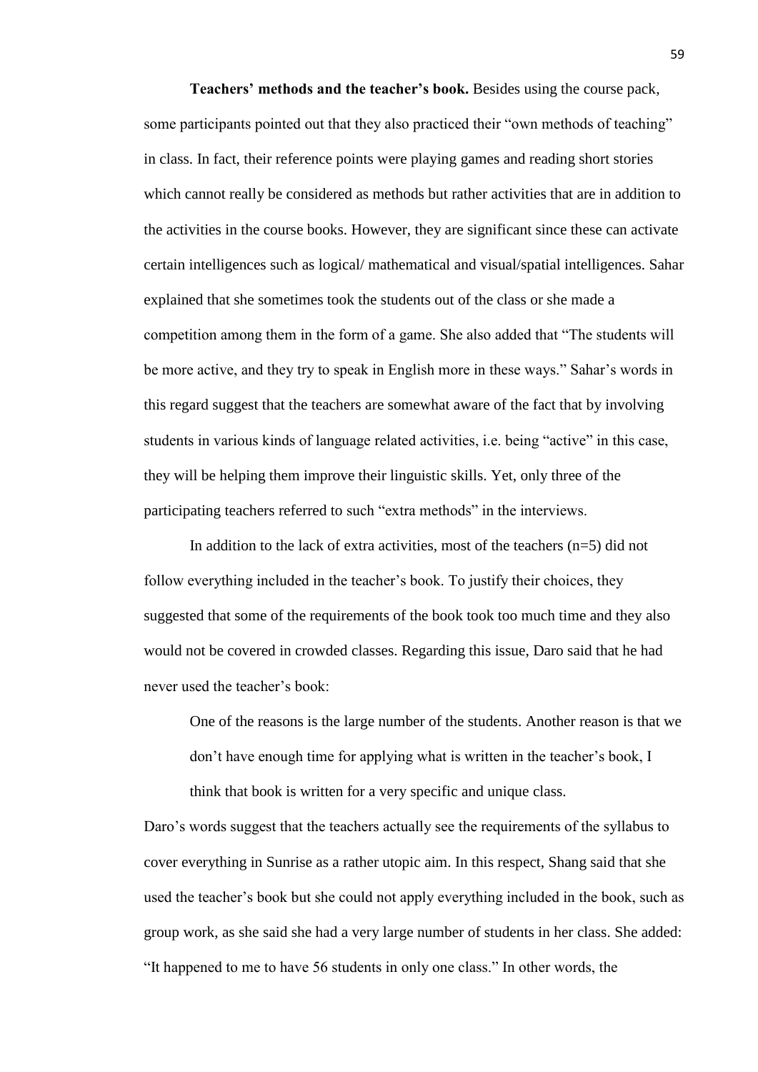**Teachers' methods and the teacher's book.** Besides using the course pack, some participants pointed out that they also practiced their "own methods of teaching" in class. In fact, their reference points were playing games and reading short stories which cannot really be considered as methods but rather activities that are in addition to the activities in the course books. However, they are significant since these can activate certain intelligences such as logical/ mathematical and visual/spatial intelligences. Sahar explained that she sometimes took the students out of the class or she made a competition among them in the form of a game. She also added that "The students will be more active, and they try to speak in English more in these ways." Sahar's words in this regard suggest that the teachers are somewhat aware of the fact that by involving students in various kinds of language related activities, i.e. being "active" in this case, they will be helping them improve their linguistic skills. Yet, only three of the participating teachers referred to such "extra methods" in the interviews.

In addition to the lack of extra activities, most of the teachers  $(n=5)$  did not follow everything included in the teacher's book. To justify their choices, they suggested that some of the requirements of the book took too much time and they also would not be covered in crowded classes. Regarding this issue, Daro said that he had never used the teacher's book:

One of the reasons is the large number of the students. Another reason is that we don't have enough time for applying what is written in the teacher's book, I think that book is written for a very specific and unique class.

Daro's words suggest that the teachers actually see the requirements of the syllabus to cover everything in Sunrise as a rather utopic aim. In this respect, Shang said that she used the teacher's book but she could not apply everything included in the book, such as group work, as she said she had a very large number of students in her class. She added: "It happened to me to have 56 students in only one class." In other words, the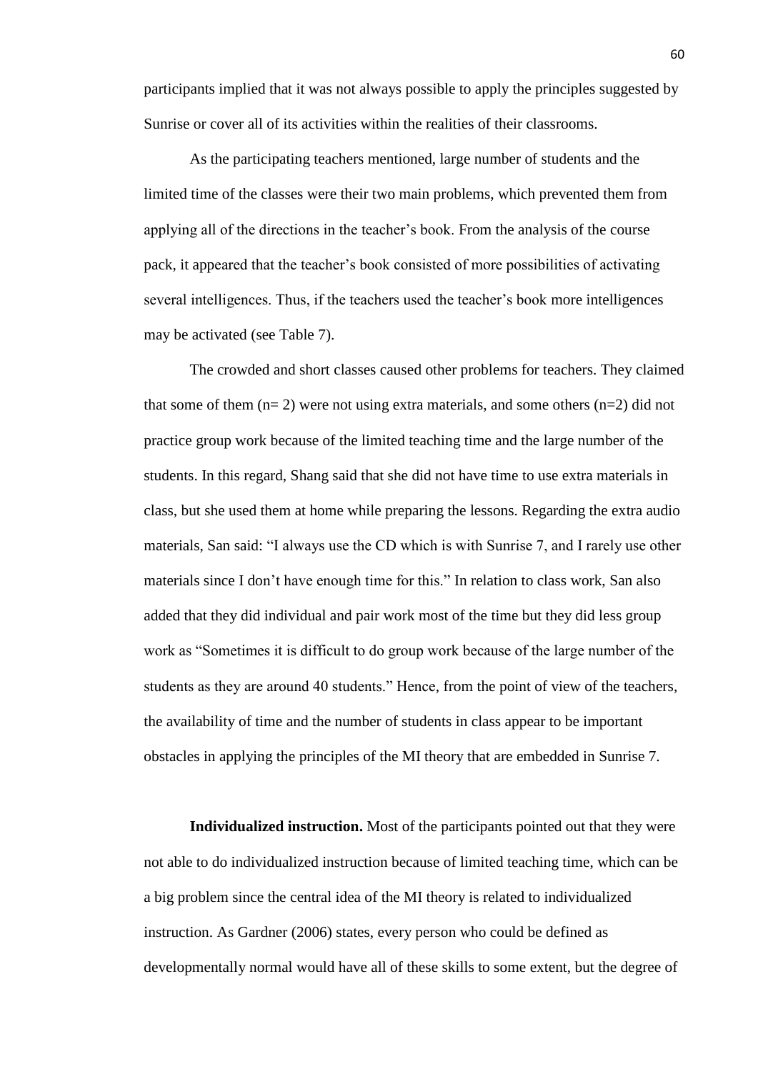participants implied that it was not always possible to apply the principles suggested by Sunrise or cover all of its activities within the realities of their classrooms.

As the participating teachers mentioned, large number of students and the limited time of the classes were their two main problems, which prevented them from applying all of the directions in the teacher's book. From the analysis of the course pack, it appeared that the teacher's book consisted of more possibilities of activating several intelligences. Thus, if the teachers used the teacher's book more intelligences may be activated (see Table 7).

The crowded and short classes caused other problems for teachers. They claimed that some of them  $(n=2)$  were not using extra materials, and some others  $(n=2)$  did not practice group work because of the limited teaching time and the large number of the students. In this regard, Shang said that she did not have time to use extra materials in class, but she used them at home while preparing the lessons. Regarding the extra audio materials, San said: "I always use the CD which is with Sunrise 7, and I rarely use other materials since I don't have enough time for this." In relation to class work, San also added that they did individual and pair work most of the time but they did less group work as "Sometimes it is difficult to do group work because of the large number of the students as they are around 40 students." Hence, from the point of view of the teachers, the availability of time and the number of students in class appear to be important obstacles in applying the principles of the MI theory that are embedded in Sunrise 7.

**Individualized instruction.** Most of the participants pointed out that they were not able to do individualized instruction because of limited teaching time, which can be a big problem since the central idea of the MI theory is related to individualized instruction. As Gardner (2006) states, every person who could be defined as developmentally normal would have all of these skills to some extent, but the degree of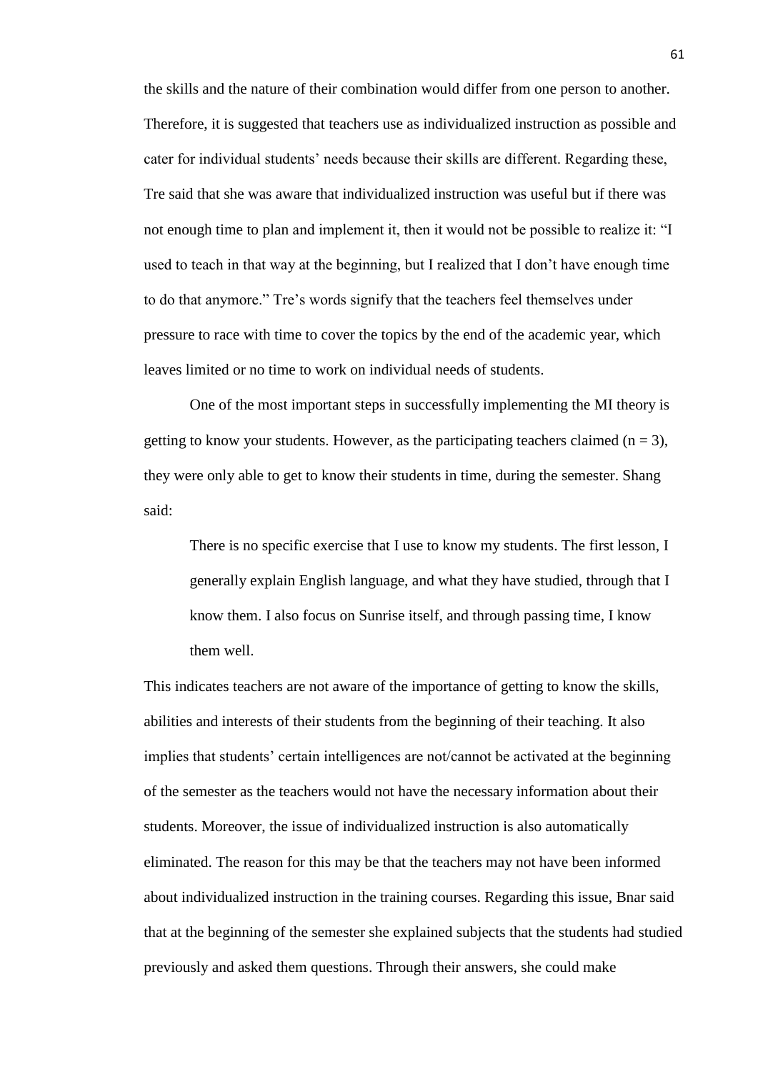the skills and the nature of their combination would differ from one person to another. Therefore, it is suggested that teachers use as individualized instruction as possible and cater for individual students' needs because their skills are different. Regarding these, Tre said that she was aware that individualized instruction was useful but if there was not enough time to plan and implement it, then it would not be possible to realize it: "I used to teach in that way at the beginning, but I realized that I don't have enough time to do that anymore." Tre's words signify that the teachers feel themselves under pressure to race with time to cover the topics by the end of the academic year, which leaves limited or no time to work on individual needs of students.

One of the most important steps in successfully implementing the MI theory is getting to know your students. However, as the participating teachers claimed  $(n = 3)$ , they were only able to get to know their students in time, during the semester. Shang said:

There is no specific exercise that I use to know my students. The first lesson, I generally explain English language, and what they have studied, through that I know them. I also focus on Sunrise itself, and through passing time, I know them well.

This indicates teachers are not aware of the importance of getting to know the skills, abilities and interests of their students from the beginning of their teaching. It also implies that students' certain intelligences are not/cannot be activated at the beginning of the semester as the teachers would not have the necessary information about their students. Moreover, the issue of individualized instruction is also automatically eliminated. The reason for this may be that the teachers may not have been informed about individualized instruction in the training courses. Regarding this issue, Bnar said that at the beginning of the semester she explained subjects that the students had studied previously and asked them questions. Through their answers, she could make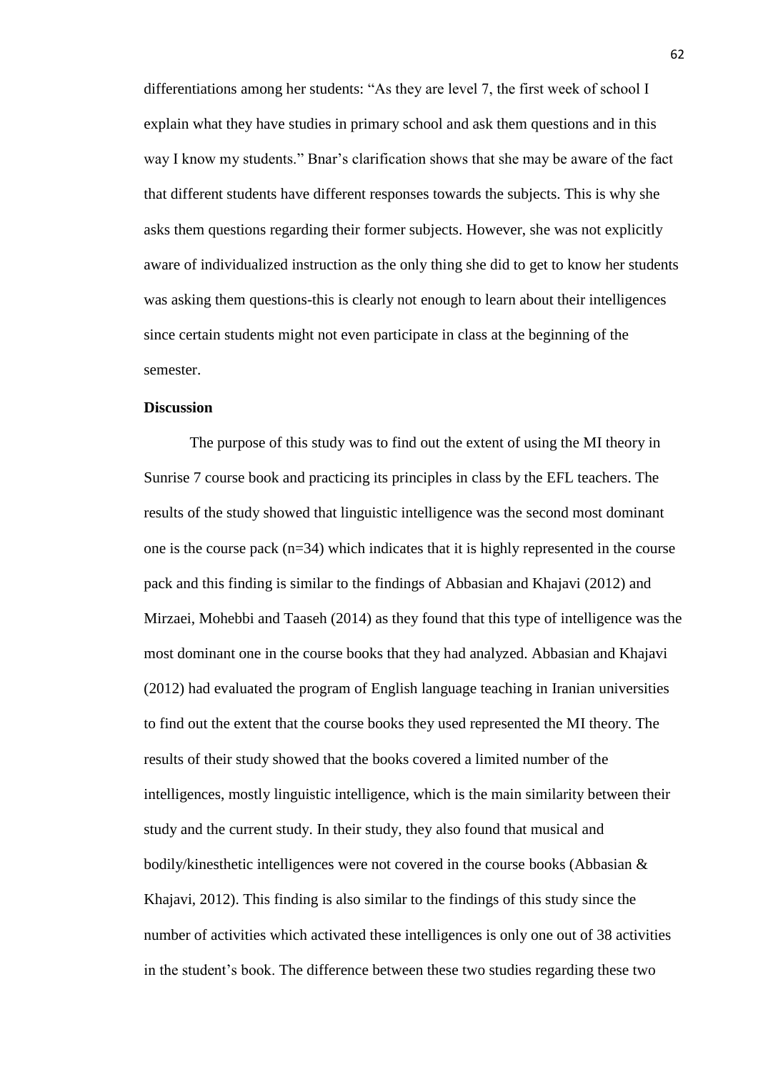differentiations among her students: "As they are level 7, the first week of school I explain what they have studies in primary school and ask them questions and in this way I know my students." Bnar's clarification shows that she may be aware of the fact that different students have different responses towards the subjects. This is why she asks them questions regarding their former subjects. However, she was not explicitly aware of individualized instruction as the only thing she did to get to know her students was asking them questions-this is clearly not enough to learn about their intelligences since certain students might not even participate in class at the beginning of the semester.

#### **Discussion**

The purpose of this study was to find out the extent of using the MI theory in Sunrise 7 course book and practicing its principles in class by the EFL teachers. The results of the study showed that linguistic intelligence was the second most dominant one is the course pack  $(n=34)$  which indicates that it is highly represented in the course pack and this finding is similar to the findings of Abbasian and Khajavi (2012) and Mirzaei, Mohebbi and Taaseh (2014) as they found that this type of intelligence was the most dominant one in the course books that they had analyzed. Abbasian and Khajavi (2012) had evaluated the program of English language teaching in Iranian universities to find out the extent that the course books they used represented the MI theory. The results of their study showed that the books covered a limited number of the intelligences, mostly linguistic intelligence, which is the main similarity between their study and the current study. In their study, they also found that musical and bodily/kinesthetic intelligences were not covered in the course books (Abbasian & Khajavi, 2012). This finding is also similar to the findings of this study since the number of activities which activated these intelligences is only one out of 38 activities in the student's book. The difference between these two studies regarding these two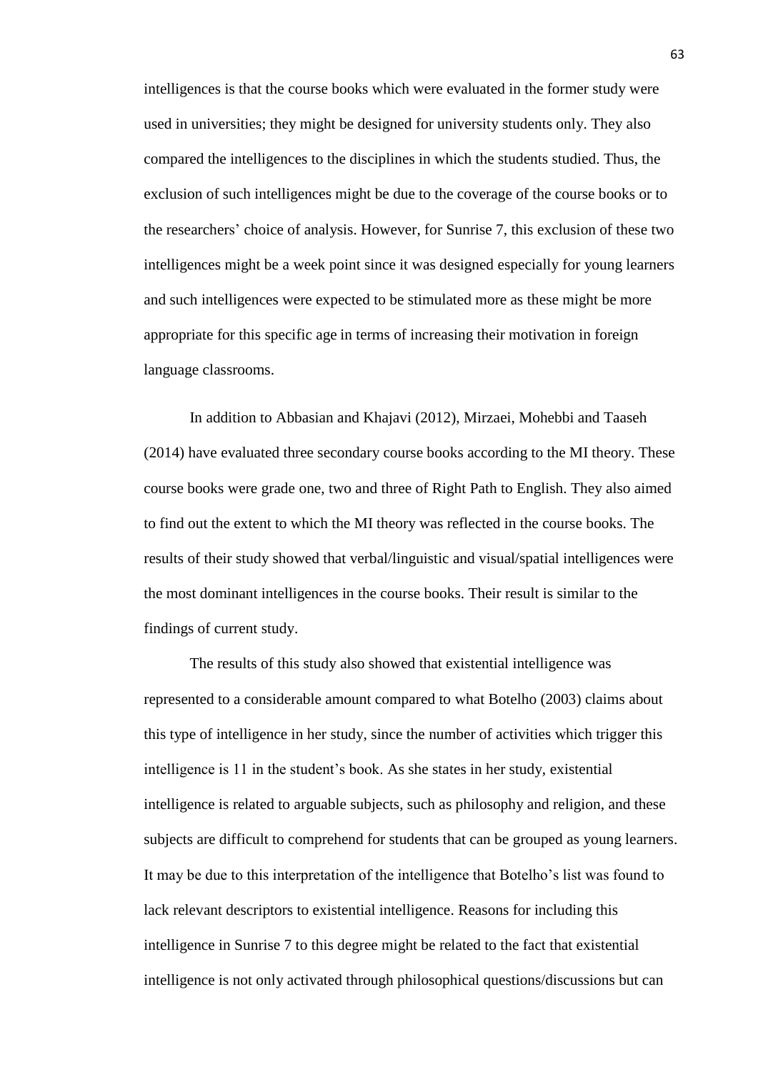intelligences is that the course books which were evaluated in the former study were used in universities; they might be designed for university students only. They also compared the intelligences to the disciplines in which the students studied. Thus, the exclusion of such intelligences might be due to the coverage of the course books or to the researchers' choice of analysis. However, for Sunrise 7, this exclusion of these two intelligences might be a week point since it was designed especially for young learners and such intelligences were expected to be stimulated more as these might be more appropriate for this specific age in terms of increasing their motivation in foreign language classrooms.

In addition to Abbasian and Khajavi (2012), Mirzaei, Mohebbi and Taaseh (2014) have evaluated three secondary course books according to the MI theory. These course books were grade one, two and three of Right Path to English. They also aimed to find out the extent to which the MI theory was reflected in the course books. The results of their study showed that verbal/linguistic and visual/spatial intelligences were the most dominant intelligences in the course books. Their result is similar to the findings of current study.

The results of this study also showed that existential intelligence was represented to a considerable amount compared to what Botelho (2003) claims about this type of intelligence in her study, since the number of activities which trigger this intelligence is 11 in the student's book. As she states in her study, existential intelligence is related to arguable subjects, such as philosophy and religion, and these subjects are difficult to comprehend for students that can be grouped as young learners. It may be due to this interpretation of the intelligence that Botelho's list was found to lack relevant descriptors to existential intelligence. Reasons for including this intelligence in Sunrise 7 to this degree might be related to the fact that existential intelligence is not only activated through philosophical questions/discussions but can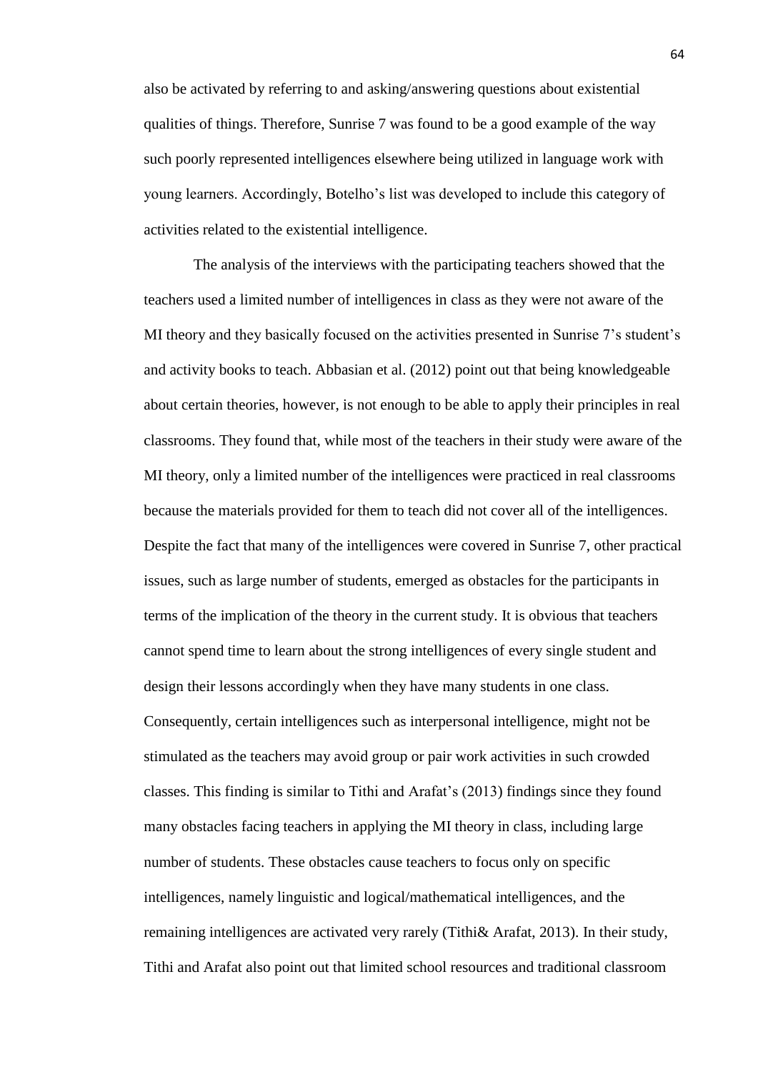also be activated by referring to and asking/answering questions about existential qualities of things. Therefore, Sunrise 7 was found to be a good example of the way such poorly represented intelligences elsewhere being utilized in language work with young learners. Accordingly, Botelho's list was developed to include this category of activities related to the existential intelligence.

The analysis of the interviews with the participating teachers showed that the teachers used a limited number of intelligences in class as they were not aware of the MI theory and they basically focused on the activities presented in Sunrise 7's student's and activity books to teach. Abbasian et al. (2012) point out that being knowledgeable about certain theories, however, is not enough to be able to apply their principles in real classrooms. They found that, while most of the teachers in their study were aware of the MI theory, only a limited number of the intelligences were practiced in real classrooms because the materials provided for them to teach did not cover all of the intelligences. Despite the fact that many of the intelligences were covered in Sunrise 7, other practical issues, such as large number of students, emerged as obstacles for the participants in terms of the implication of the theory in the current study. It is obvious that teachers cannot spend time to learn about the strong intelligences of every single student and design their lessons accordingly when they have many students in one class. Consequently, certain intelligences such as interpersonal intelligence, might not be stimulated as the teachers may avoid group or pair work activities in such crowded classes. This finding is similar to Tithi and Arafat's (2013) findings since they found many obstacles facing teachers in applying the MI theory in class, including large number of students. These obstacles cause teachers to focus only on specific intelligences, namely linguistic and logical/mathematical intelligences, and the remaining intelligences are activated very rarely (Tithi& Arafat, 2013). In their study, Tithi and Arafat also point out that limited school resources and traditional classroom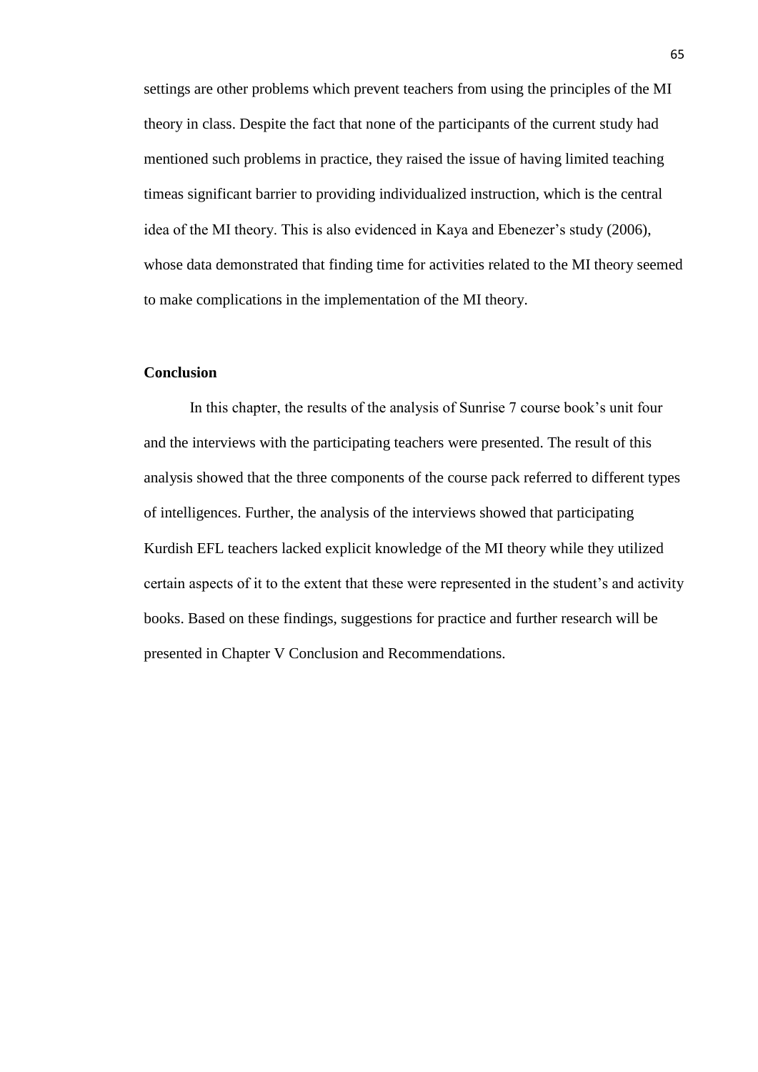settings are other problems which prevent teachers from using the principles of the MI theory in class. Despite the fact that none of the participants of the current study had mentioned such problems in practice, they raised the issue of having limited teaching timeas significant barrier to providing individualized instruction, which is the central idea of the MI theory. This is also evidenced in Kaya and Ebenezer's study (2006), whose data demonstrated that finding time for activities related to the MI theory seemed to make complications in the implementation of the MI theory.

# **Conclusion**

In this chapter, the results of the analysis of Sunrise 7 course book's unit four and the interviews with the participating teachers were presented. The result of this analysis showed that the three components of the course pack referred to different types of intelligences. Further, the analysis of the interviews showed that participating Kurdish EFL teachers lacked explicit knowledge of the MI theory while they utilized certain aspects of it to the extent that these were represented in the student's and activity books. Based on these findings, suggestions for practice and further research will be presented in Chapter V Conclusion and Recommendations.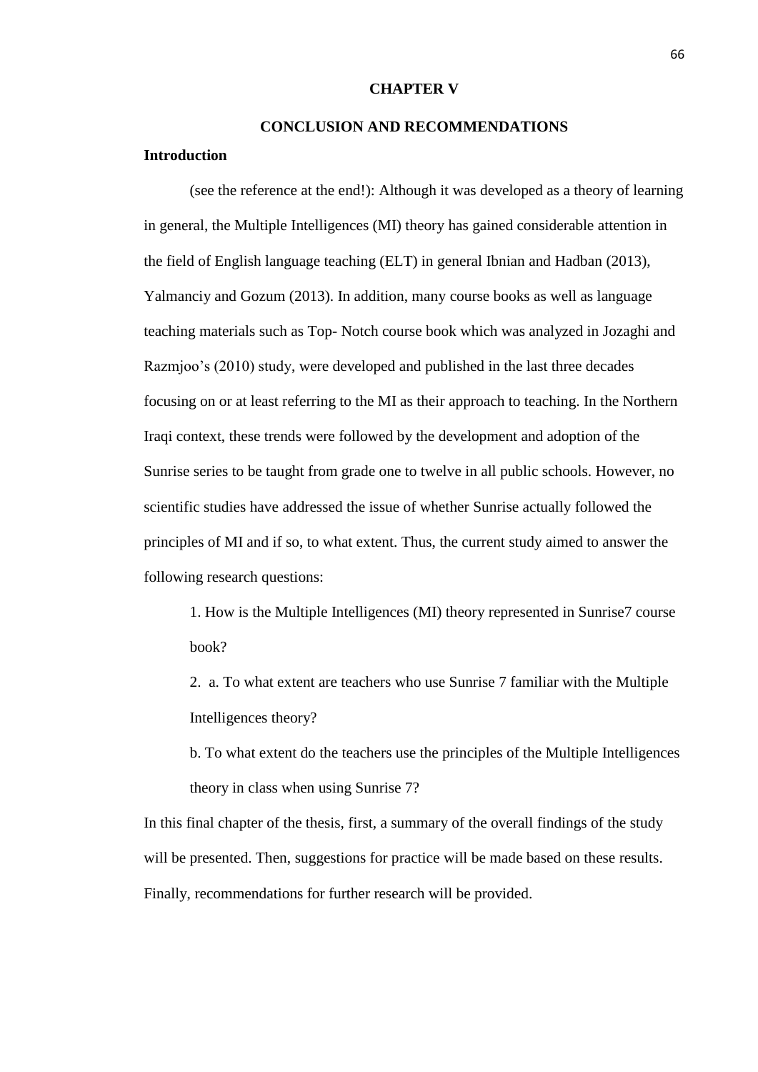#### **CHAPTER V**

# **CONCLUSION AND RECOMMENDATIONS**

# **Introduction**

(see the reference at the end!): Although it was developed as a theory of learning in general, the Multiple Intelligences (MI) theory has gained considerable attention in the field of English language teaching (ELT) in general Ibnian and Hadban (2013), Yalmanciy and Gozum (2013). In addition, many course books as well as language teaching materials such as Top- Notch course book which was analyzed in Jozaghi and Razmjoo's (2010) study, were developed and published in the last three decades focusing on or at least referring to the MI as their approach to teaching. In the Northern Iraqi context, these trends were followed by the development and adoption of the Sunrise series to be taught from grade one to twelve in all public schools. However, no scientific studies have addressed the issue of whether Sunrise actually followed the principles of MI and if so, to what extent. Thus, the current study aimed to answer the following research questions:

1. How is the Multiple Intelligences (MI) theory represented in Sunrise7 course book?

2. a. To what extent are teachers who use Sunrise 7 familiar with the Multiple Intelligences theory?

b. To what extent do the teachers use the principles of the Multiple Intelligences theory in class when using Sunrise 7?

In this final chapter of the thesis, first, a summary of the overall findings of the study will be presented. Then, suggestions for practice will be made based on these results. Finally, recommendations for further research will be provided.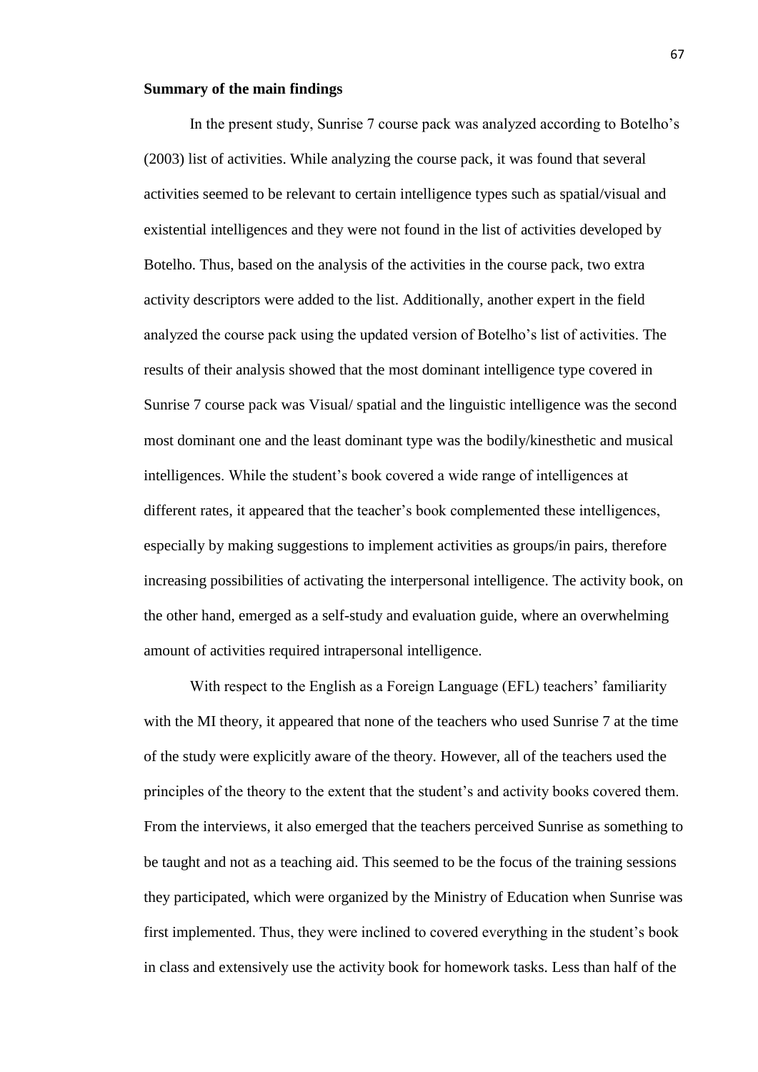#### **Summary of the main findings**

In the present study, Sunrise 7 course pack was analyzed according to Botelho's (2003) list of activities. While analyzing the course pack, it was found that several activities seemed to be relevant to certain intelligence types such as spatial/visual and existential intelligences and they were not found in the list of activities developed by Botelho. Thus, based on the analysis of the activities in the course pack, two extra activity descriptors were added to the list. Additionally, another expert in the field analyzed the course pack using the updated version of Botelho's list of activities. The results of their analysis showed that the most dominant intelligence type covered in Sunrise 7 course pack was Visual/ spatial and the linguistic intelligence was the second most dominant one and the least dominant type was the bodily/kinesthetic and musical intelligences. While the student's book covered a wide range of intelligences at different rates, it appeared that the teacher's book complemented these intelligences, especially by making suggestions to implement activities as groups/in pairs, therefore increasing possibilities of activating the interpersonal intelligence. The activity book, on the other hand, emerged as a self-study and evaluation guide, where an overwhelming amount of activities required intrapersonal intelligence.

With respect to the English as a Foreign Language (EFL) teachers' familiarity with the MI theory, it appeared that none of the teachers who used Sunrise 7 at the time of the study were explicitly aware of the theory. However, all of the teachers used the principles of the theory to the extent that the student's and activity books covered them. From the interviews, it also emerged that the teachers perceived Sunrise as something to be taught and not as a teaching aid. This seemed to be the focus of the training sessions they participated, which were organized by the Ministry of Education when Sunrise was first implemented. Thus, they were inclined to covered everything in the student's book in class and extensively use the activity book for homework tasks. Less than half of the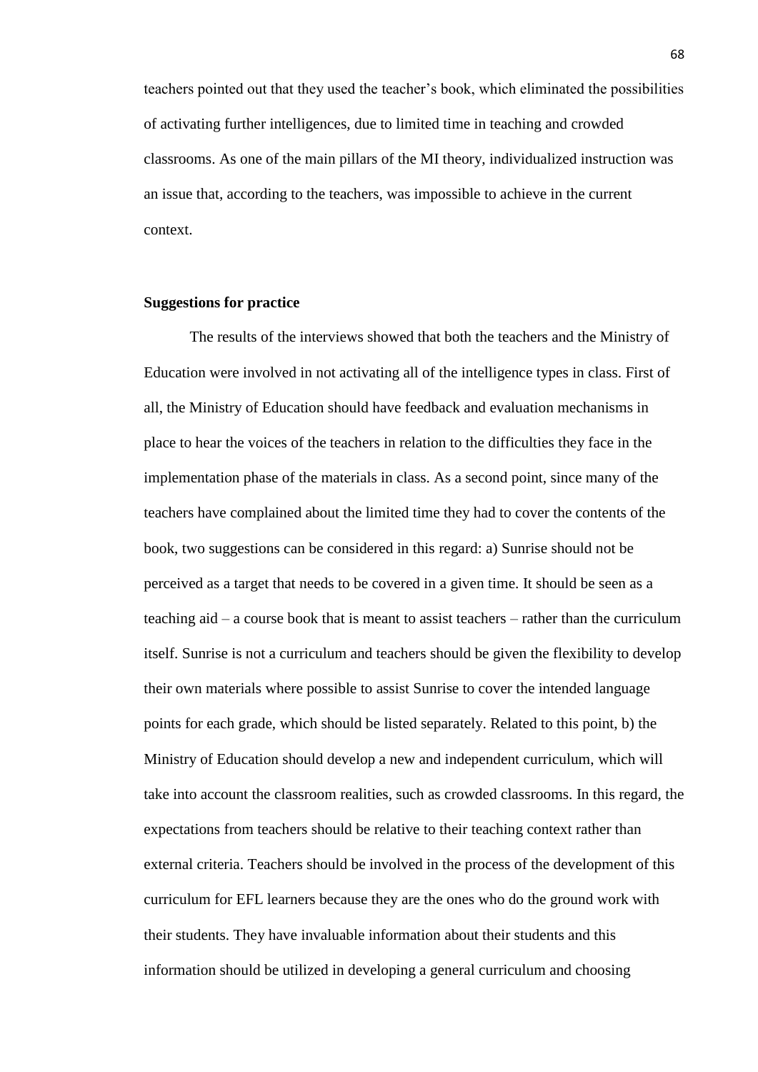teachers pointed out that they used the teacher's book, which eliminated the possibilities of activating further intelligences, due to limited time in teaching and crowded classrooms. As one of the main pillars of the MI theory, individualized instruction was an issue that, according to the teachers, was impossible to achieve in the current context.

## **Suggestions for practice**

The results of the interviews showed that both the teachers and the Ministry of Education were involved in not activating all of the intelligence types in class. First of all, the Ministry of Education should have feedback and evaluation mechanisms in place to hear the voices of the teachers in relation to the difficulties they face in the implementation phase of the materials in class. As a second point, since many of the teachers have complained about the limited time they had to cover the contents of the book, two suggestions can be considered in this regard: a) Sunrise should not be perceived as a target that needs to be covered in a given time. It should be seen as a teaching aid – a course book that is meant to assist teachers – rather than the curriculum itself. Sunrise is not a curriculum and teachers should be given the flexibility to develop their own materials where possible to assist Sunrise to cover the intended language points for each grade, which should be listed separately. Related to this point, b) the Ministry of Education should develop a new and independent curriculum, which will take into account the classroom realities, such as crowded classrooms. In this regard, the expectations from teachers should be relative to their teaching context rather than external criteria. Teachers should be involved in the process of the development of this curriculum for EFL learners because they are the ones who do the ground work with their students. They have invaluable information about their students and this information should be utilized in developing a general curriculum and choosing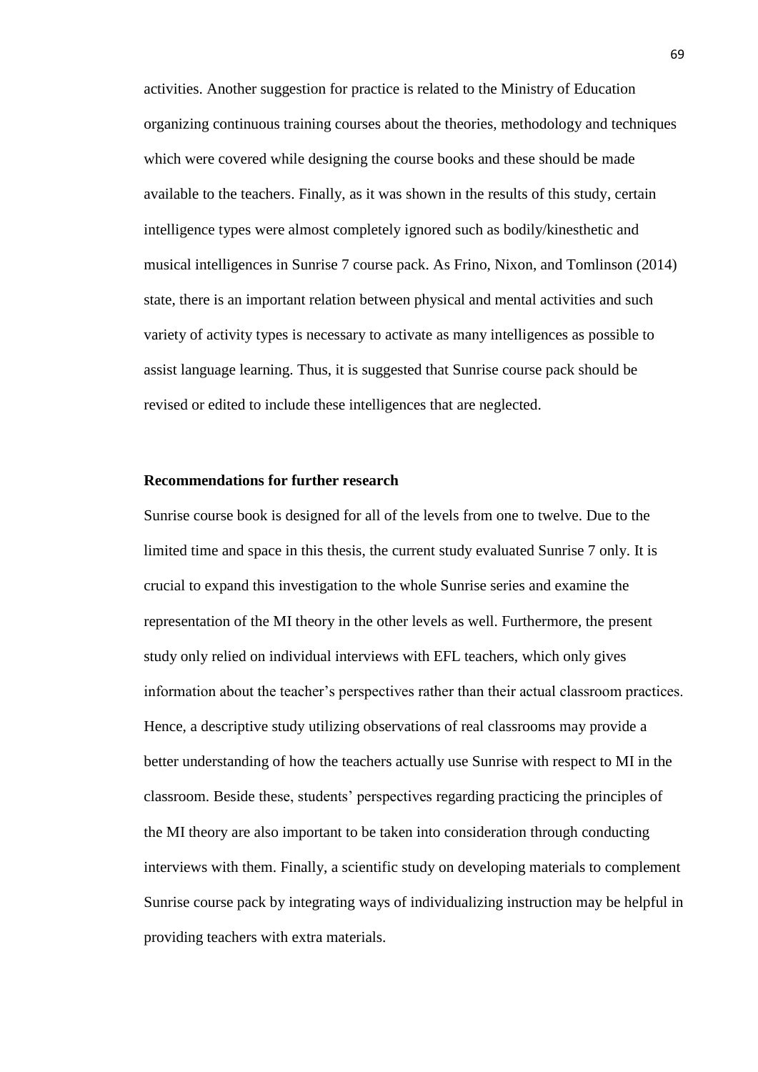activities. Another suggestion for practice is related to the Ministry of Education organizing continuous training courses about the theories, methodology and techniques which were covered while designing the course books and these should be made available to the teachers. Finally, as it was shown in the results of this study, certain intelligence types were almost completely ignored such as bodily/kinesthetic and musical intelligences in Sunrise 7 course pack. As Frino, Nixon, and Tomlinson (2014) state, there is an important relation between physical and mental activities and such variety of activity types is necessary to activate as many intelligences as possible to assist language learning. Thus, it is suggested that Sunrise course pack should be revised or edited to include these intelligences that are neglected.

## **Recommendations for further research**

Sunrise course book is designed for all of the levels from one to twelve. Due to the limited time and space in this thesis, the current study evaluated Sunrise 7 only. It is crucial to expand this investigation to the whole Sunrise series and examine the representation of the MI theory in the other levels as well. Furthermore, the present study only relied on individual interviews with EFL teachers, which only gives information about the teacher's perspectives rather than their actual classroom practices. Hence, a descriptive study utilizing observations of real classrooms may provide a better understanding of how the teachers actually use Sunrise with respect to MI in the classroom. Beside these, students' perspectives regarding practicing the principles of the MI theory are also important to be taken into consideration through conducting interviews with them. Finally, a scientific study on developing materials to complement Sunrise course pack by integrating ways of individualizing instruction may be helpful in providing teachers with extra materials.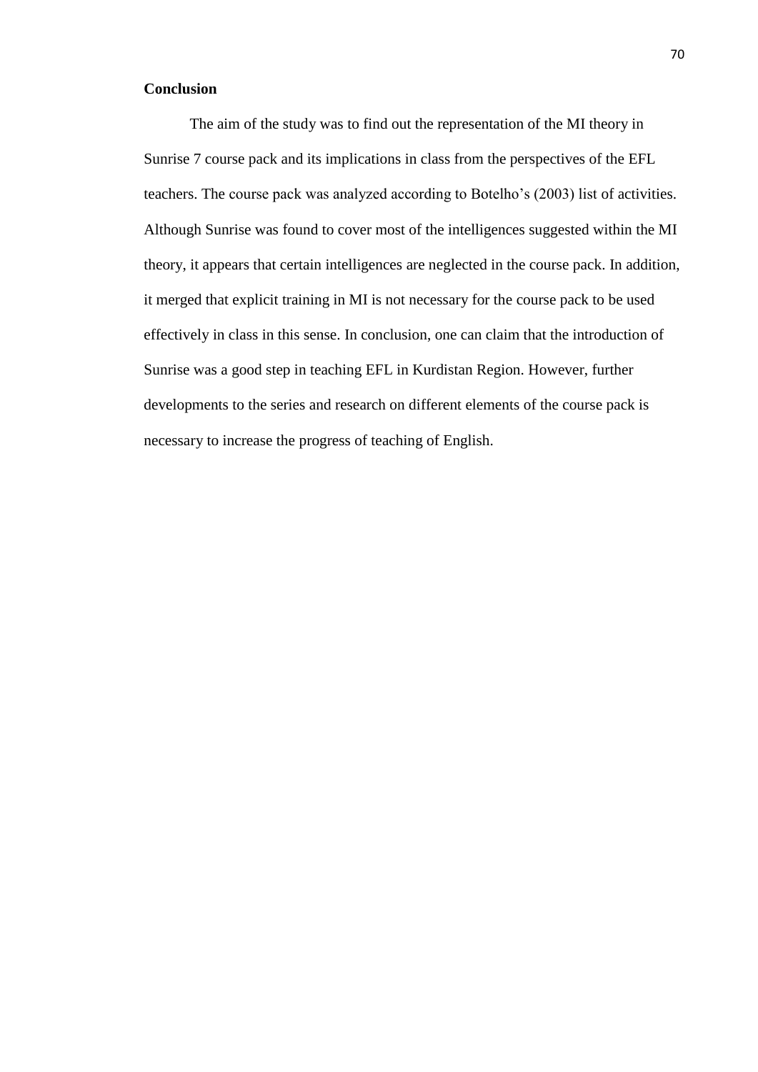## **Conclusion**

The aim of the study was to find out the representation of the MI theory in Sunrise 7 course pack and its implications in class from the perspectives of the EFL teachers. The course pack was analyzed according to Botelho's (2003) list of activities. Although Sunrise was found to cover most of the intelligences suggested within the MI theory, it appears that certain intelligences are neglected in the course pack. In addition, it merged that explicit training in MI is not necessary for the course pack to be used effectively in class in this sense. In conclusion, one can claim that the introduction of Sunrise was a good step in teaching EFL in Kurdistan Region. However, further developments to the series and research on different elements of the course pack is necessary to increase the progress of teaching of English.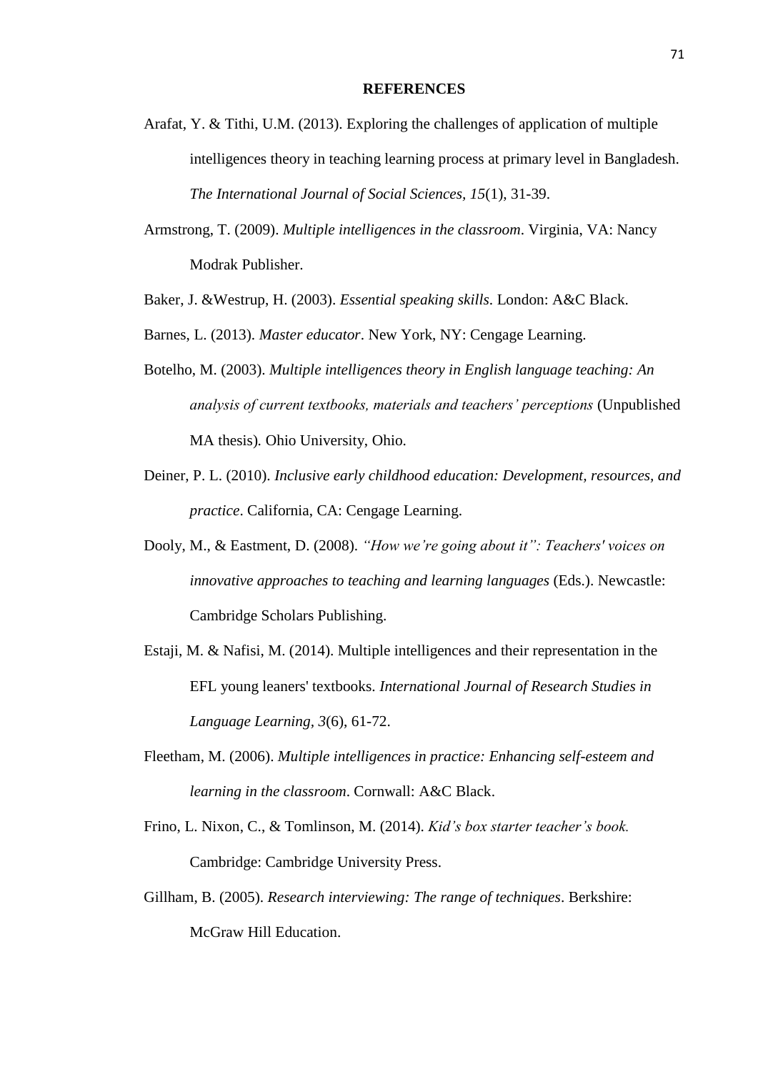- Arafat, Y. & Tithi, U.M. (2013). Exploring the challenges of application of multiple intelligences theory in teaching learning process at primary level in Bangladesh. *The International Journal of Social Sciences, 15*(1), 31-39.
- Armstrong, T. (2009). *Multiple intelligences in the classroom*. Virginia, VA: Nancy Modrak Publisher.
- Baker, J. &Westrup, H. (2003). *Essential speaking skills*. London: A&C Black.
- Barnes, L. (2013). *Master educator*. New York, NY: Cengage Learning.
- Botelho, M. (2003). *Multiple intelligences theory in English language teaching: An analysis of current textbooks, materials and teachers' perceptions* (Unpublished MA thesis)*.* Ohio University, Ohio.
- Deiner, P. L. (2010). *Inclusive early childhood education: Development, resources, and practice*. California, CA: Cengage Learning.
- Dooly, M., & Eastment, D. (2008). *"How we're going about it": Teachers' voices on innovative approaches to teaching and learning languages* (Eds.). Newcastle: Cambridge Scholars Publishing.
- Estaji, M. & Nafisi, M. (2014). Multiple intelligences and their representation in the EFL young leaners' textbooks. *International Journal of Research Studies in Language Learning, 3*(6), 61-72.
- Fleetham, M. (2006). *Multiple intelligences in practice: Enhancing self-esteem and learning in the classroom*. Cornwall: A&C Black.
- Frino, L. Nixon, C., & Tomlinson, M. (2014). *Kid's box starter teacher's book.*  Cambridge: Cambridge University Press.
- Gillham, B. (2005). *Research interviewing: The range of techniques*. Berkshire: McGraw Hill Education.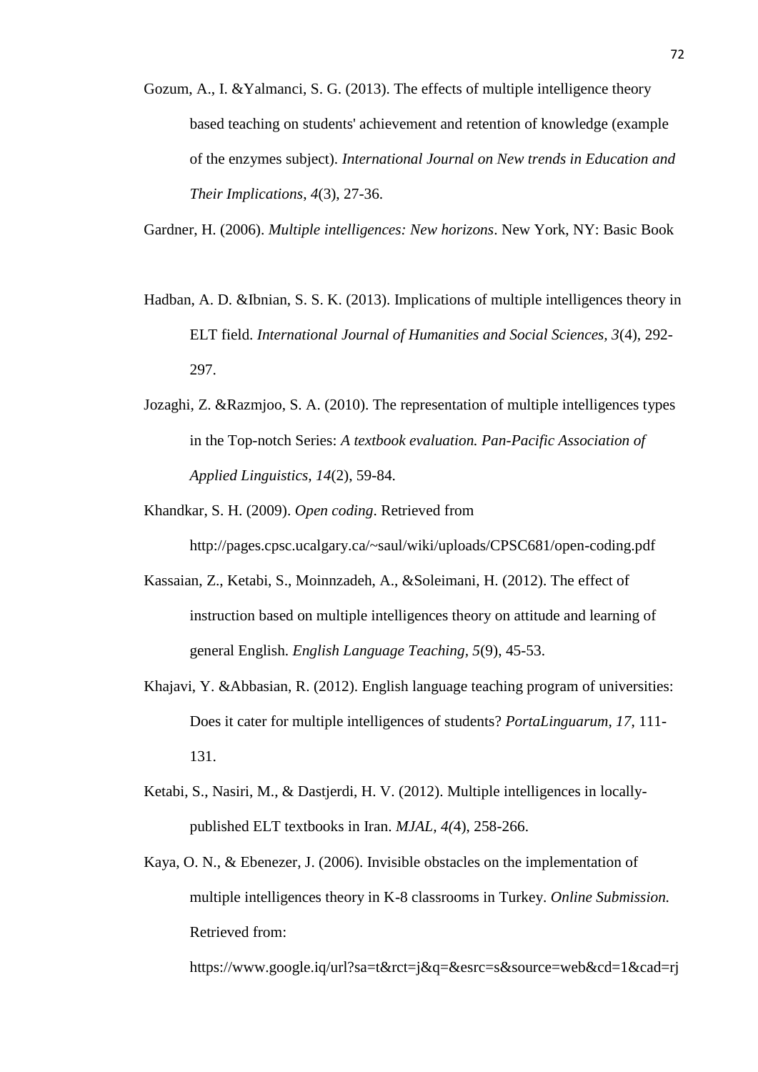Gozum, A., I. &Yalmanci, S. G. (2013). The effects of multiple intelligence theory based teaching on students' achievement and retention of knowledge (example of the enzymes subject). *International Journal on New trends in Education and Their Implications*, *4*(3), 27-36.

Gardner, H. (2006). *Multiple intelligences: New horizons*. New York, NY: Basic Book

- Hadban, A. D. &Ibnian, S. S. K. (2013). Implications of multiple intelligences theory in ELT field. *International Journal of Humanities and Social Sciences, 3*(4), 292- 297.
- Jozaghi, Z. &Razmjoo, S. A. (2010). The representation of multiple intelligences types in the Top-notch Series: *A textbook evaluation. Pan-Pacific Association of Applied Linguistics, 14*(2), 59-84.
- Khandkar, S. H. (2009). *Open coding*. Retrieved from <http://pages.cpsc.ucalgary.ca/~saul/wiki/uploads/CPSC681/open-coding.pdf>
- Kassaian, Z., Ketabi, S., Moinnzadeh, A., &Soleimani, H. (2012). The effect of instruction based on multiple intelligences theory on attitude and learning of general English. *English Language Teaching, 5*(9), 45-53.
- Khajavi, Y. &Abbasian, R. (2012). English language teaching program of universities: Does it cater for multiple intelligences of students? *PortaLinguarum, 17*, 111- 131.
- Ketabi, S., Nasiri, M., & Dastjerdi, H. V. (2012). Multiple intelligences in locallypublished ELT textbooks in Iran. *MJAL, 4(*4), 258-266.
- Kaya, O. N., & Ebenezer, J. (2006). Invisible obstacles on the implementation of multiple intelligences theory in K-8 classrooms in Turkey. *Online Submission.* Retrieved from:

https://www.google.iq/url?sa=t&rct=j&q=&esrc=s&source=web&cd=1&cad=rj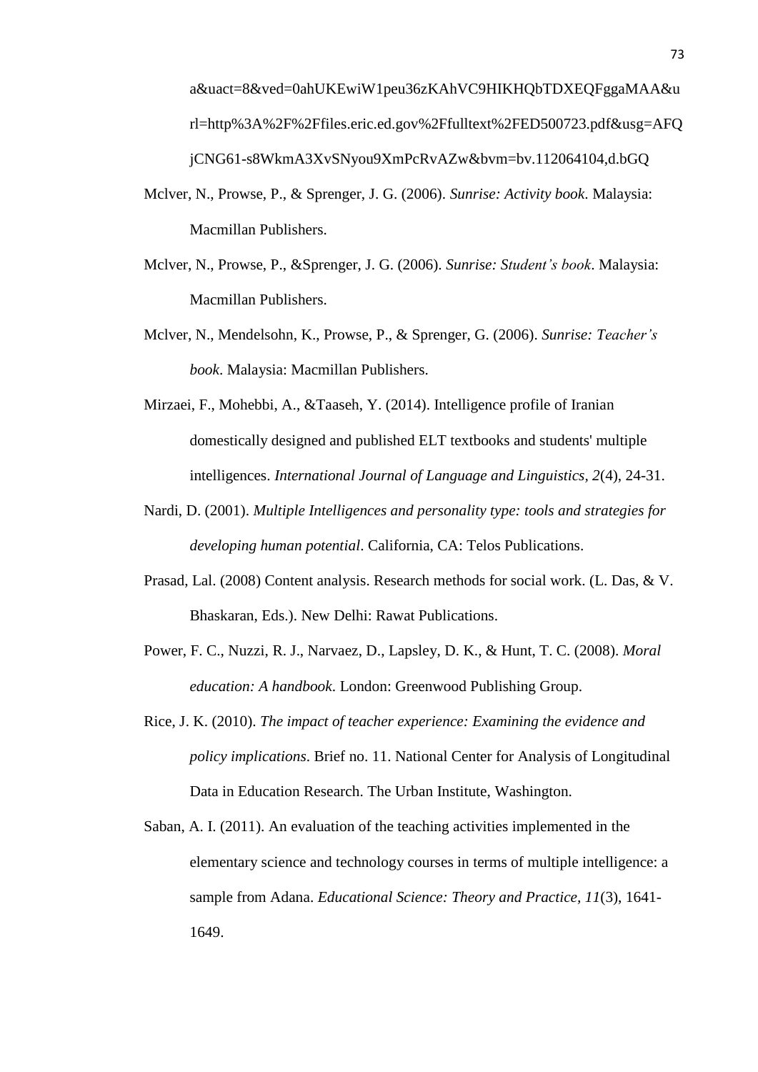a&uact=8&ved=0ahUKEwiW1peu36zKAhVC9HIKHQbTDXEQFggaMAA&u rl=http%3A%2F%2Ffiles.eric.ed.gov%2Ffulltext%2FED500723.pdf&usg=AFQ jCNG61-s8WkmA3XvSNyou9XmPcRvAZw&bvm=bv.112064104,d.bGQ

- Mclver, N., Prowse, P., & Sprenger, J. G. (2006). *Sunrise: Activity book*. Malaysia: Macmillan Publishers.
- Mclver, N., Prowse, P., &Sprenger, J. G. (2006). *Sunrise: Student's book*. Malaysia: Macmillan Publishers.
- Mclver, N., Mendelsohn, K., Prowse, P., & Sprenger, G. (2006). *Sunrise: Teacher's book*. Malaysia: Macmillan Publishers.
- Mirzaei, F., Mohebbi, A., &Taaseh, Y. (2014). Intelligence profile of Iranian domestically designed and published ELT textbooks and students' multiple intelligences. *International Journal of Language and Linguistics, 2*(4), 24-31.
- Nardi, D. (2001). *Multiple Intelligences and personality type: tools and strategies for developing human potential*. California, CA: Telos Publications.
- Prasad, Lal. (2008) Content analysis. Research methods for social work. (L. Das, & V. Bhaskaran, Eds.). New Delhi: Rawat Publications.
- Power, F. C., Nuzzi, R. J., Narvaez, D., Lapsley, D. K., & Hunt, T. C. (2008). *Moral education: A handbook*. London: Greenwood Publishing Group.
- Rice, J. K. (2010). *The impact of teacher experience: Examining the evidence and policy implications*. Brief no. 11. National Center for Analysis of Longitudinal Data in Education Research. The Urban Institute, Washington.
- Saban, A. I. (2011). An evaluation of the teaching activities implemented in the elementary science and technology courses in terms of multiple intelligence: a sample from Adana. *Educational Science: Theory and Practice, 11*(3), 1641- 1649.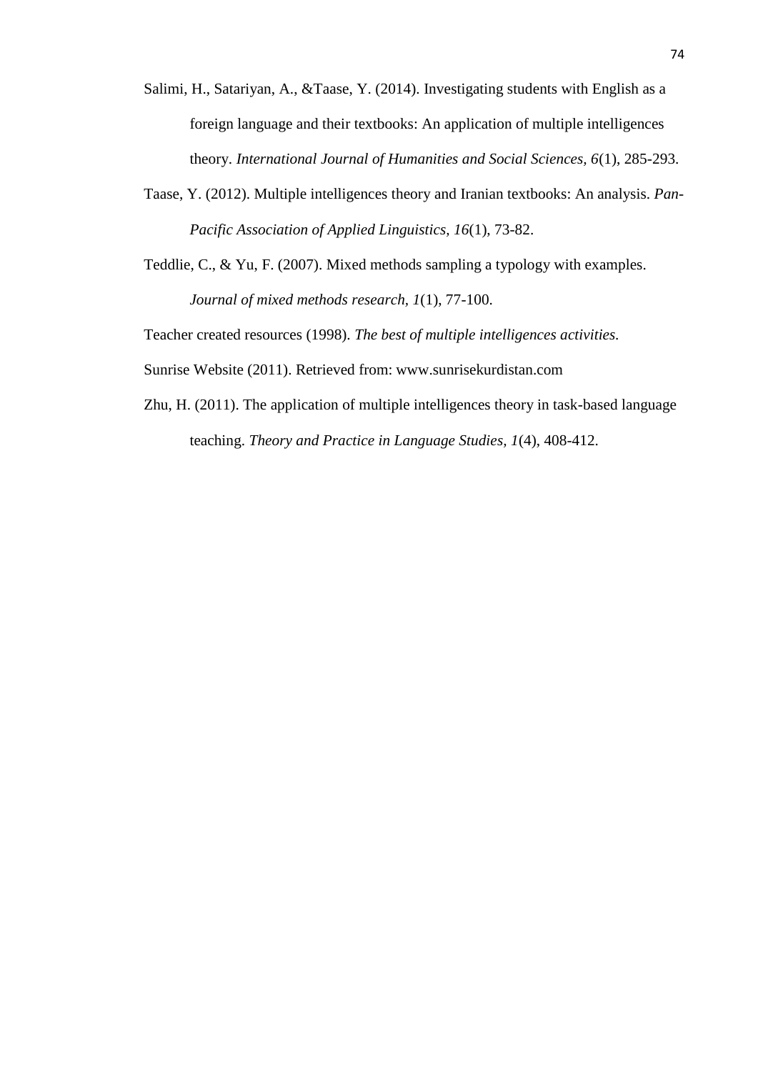- Salimi, H., Satariyan, A., &Taase, Y. (2014). Investigating students with English as a foreign language and their textbooks: An application of multiple intelligences theory. *International Journal of Humanities and Social Sciences, 6*(1), 285-293.
- Taase, Y. (2012). Multiple intelligences theory and Iranian textbooks: An analysis. *Pan-Pacific Association of Applied Linguistics, 16*(1), 73-82.
- Teddlie, C., & Yu, F. (2007). Mixed methods sampling a typology with examples. *Journal of mixed methods research, 1*(1), 77-100.

Teacher created resources (1998). *The best of multiple intelligences activities.* 

Sunrise Website (2011). Retrieved from: [www.sunrisekurdistan.com](http://www.sunrisekurdistan.com/)

Zhu, H. (2011). The application of multiple intelligences theory in task-based language teaching. *Theory and Practice in Language Studies, 1*(4), 408-412.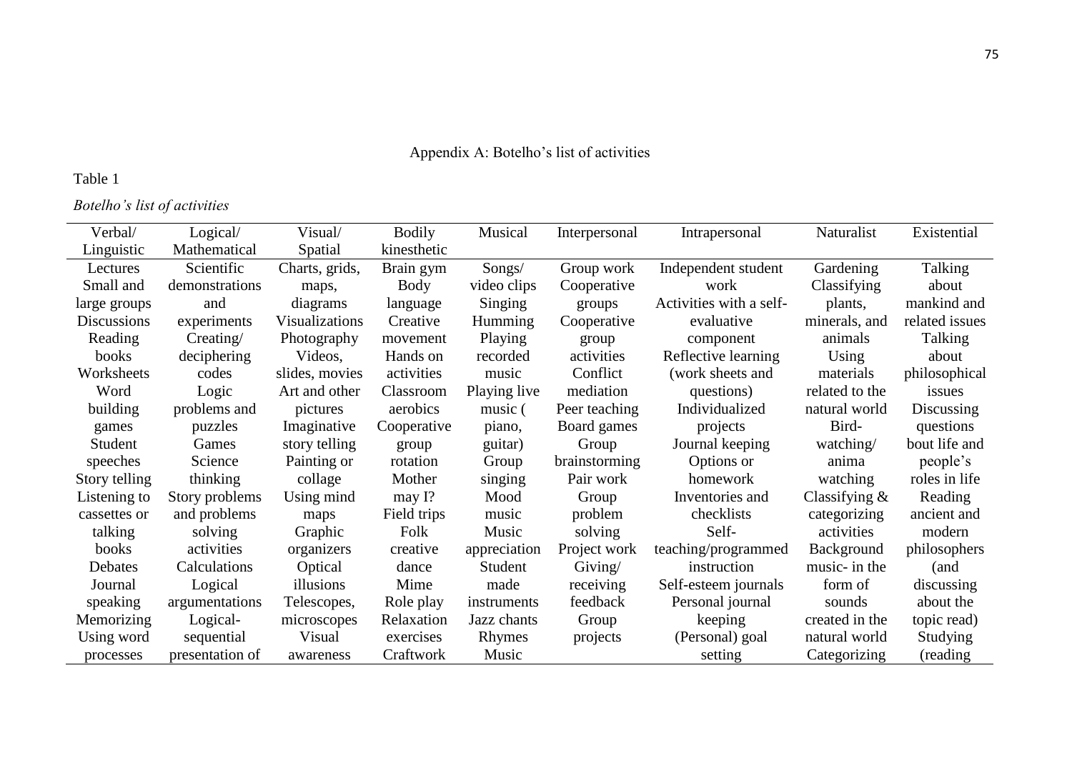# Appendix A: Botelho's list of activities

## Table 1

*Botelho's list of activities*

| Verbal/            | Logical/        | Visual/               | <b>Bodily</b> | Musical        | Interpersonal | Intrapersonal           | Naturalist       | Existential    |
|--------------------|-----------------|-----------------------|---------------|----------------|---------------|-------------------------|------------------|----------------|
| Linguistic         | Mathematical    | Spatial               | kinesthetic   |                |               |                         |                  |                |
| Lectures           | Scientific      | Charts, grids,        | Brain gym     | Songs/         | Group work    | Independent student     | Gardening        | Talking        |
| Small and          | demonstrations  | maps,                 | Body          | video clips    | Cooperative   | work                    | Classifying      | about          |
| large groups       | and             | diagrams              | language      | Singing        | groups        | Activities with a self- | plants,          | mankind and    |
| <b>Discussions</b> | experiments     | <b>Visualizations</b> | Creative      | <b>Humming</b> | Cooperative   | evaluative              | minerals, and    | related issues |
| Reading            | Creating/       | Photography           | movement      | Playing        | group         | component               | animals          | Talking        |
| books              | deciphering     | Videos,               | Hands on      | recorded       | activities    | Reflective learning     | Using            | about          |
| Worksheets         | codes           | slides, movies        | activities    | music          | Conflict      | (work sheets and        | materials        | philosophical  |
| Word               | Logic           | Art and other         | Classroom     | Playing live   | mediation     | questions)              | related to the   | issues         |
| building           | problems and    | pictures              | aerobics      | music (        | Peer teaching | Individualized          | natural world    | Discussing     |
| games              | puzzles         | Imaginative           | Cooperative   | piano,         | Board games   | projects                | Bird-            | questions      |
| Student            | Games           | story telling         | group         | guitar)        | Group         | Journal keeping         | watching/        | bout life and  |
| speeches           | Science         | Painting or           | rotation      | Group          | brainstorming | Options or              | anima            | people's       |
| Story telling      | thinking        | collage               | Mother        | singing        | Pair work     | homework                | watching         | roles in life  |
| Listening to       | Story problems  | Using mind            | may $I$ ?     | Mood           | Group         | Inventories and         | Classifying $\&$ | Reading        |
| cassettes or       | and problems    | maps                  | Field trips   | music          | problem       | checklists              | categorizing     | ancient and    |
| talking            | solving         | Graphic               | Folk          | Music          | solving       | Self-                   | activities       | modern         |
| books              | activities      | organizers            | creative      | appreciation   | Project work  | teaching/programmed     | Background       | philosophers   |
| Debates            | Calculations    | Optical               | dance         | Student        | Giving/       | instruction             | music- in the    | (and           |
| Journal            | Logical         | illusions             | Mime          | made           | receiving     | Self-esteem journals    | form of          | discussing     |
| speaking           | argumentations  | Telescopes,           | Role play     | instruments    | feedback      | Personal journal        | sounds           | about the      |
| Memorizing         | Logical-        | microscopes           | Relaxation    | Jazz chants    | Group         | keeping                 | created in the   | topic read)    |
| Using word         | sequential      | Visual                | exercises     | Rhymes         | projects      | (Personal) goal         | natural world    | Studying       |
| processes          | presentation of | awareness             | Craftwork     | Music          |               | setting                 | Categorizing     | (reading)      |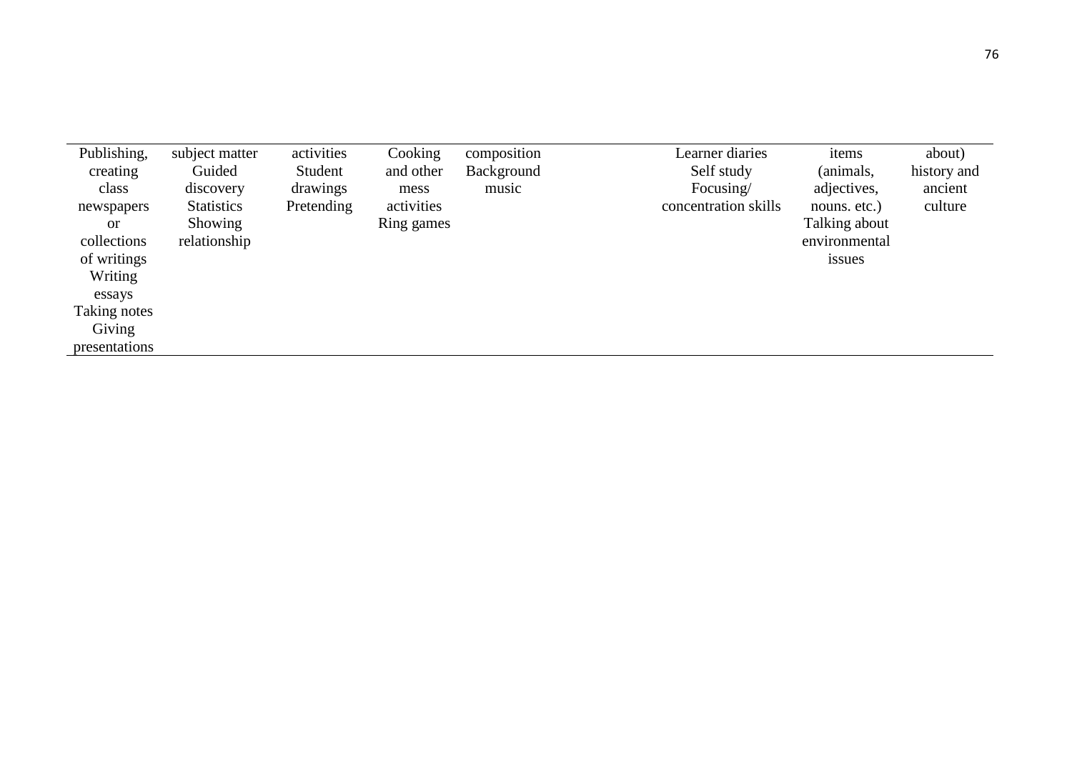| Publishing,   | subject matter    | activities | Cooking    | composition | Learner diaries      | items         | about)      |
|---------------|-------------------|------------|------------|-------------|----------------------|---------------|-------------|
| creating      | Guided            | Student    | and other  | Background  | Self study           | (animals,     | history and |
| class         | discovery         | drawings   | mess       | music       | Focusing/            | adjectives,   | ancient     |
| newspapers    | <b>Statistics</b> | Pretending | activities |             | concentration skills | nouns. etc.)  | culture     |
| <sub>or</sub> | Showing           |            | Ring games |             |                      | Talking about |             |
| collections   | relationship      |            |            |             |                      | environmental |             |
| of writings   |                   |            |            |             |                      | issues        |             |
| Writing       |                   |            |            |             |                      |               |             |
| essays        |                   |            |            |             |                      |               |             |
| Taking notes  |                   |            |            |             |                      |               |             |
| Giving        |                   |            |            |             |                      |               |             |
| presentations |                   |            |            |             |                      |               |             |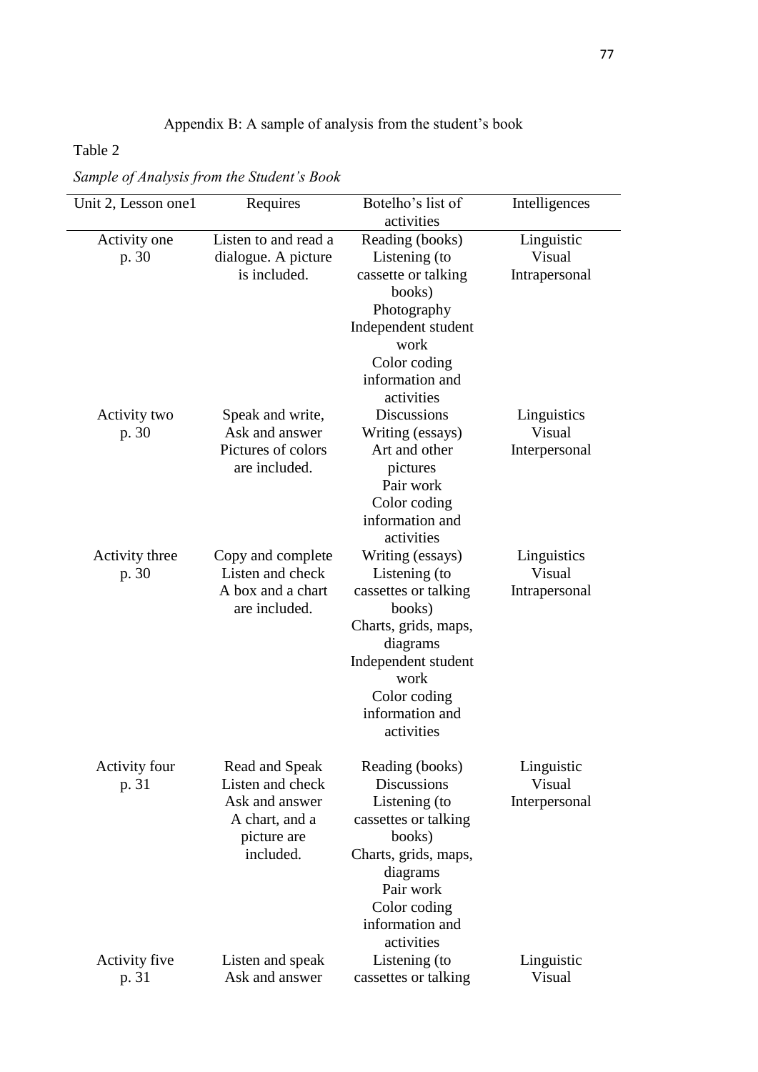## Appendix B: A sample of analysis from the student's book

## Table 2

*Sample of Analysis from the Student's Book*

| Unit 2, Lesson one1           | Requires                                                                                           | Botelho's list of                                                                                                                                                                          | Intelligences                          |
|-------------------------------|----------------------------------------------------------------------------------------------------|--------------------------------------------------------------------------------------------------------------------------------------------------------------------------------------------|----------------------------------------|
|                               |                                                                                                    | activities                                                                                                                                                                                 |                                        |
| Activity one<br>p. 30         | Listen to and read a<br>dialogue. A picture<br>is included.                                        | Reading (books)<br>Listening (to<br>cassette or talking<br>books)<br>Photography<br>Independent student<br>work<br>Color coding<br>information and                                         | Linguistic<br>Visual<br>Intrapersonal  |
| Activity two<br>p. 30         | Speak and write,<br>Ask and answer<br>Pictures of colors<br>are included.                          | activities<br><b>Discussions</b><br>Writing (essays)<br>Art and other<br>pictures<br>Pair work<br>Color coding<br>information and<br>activities                                            | Linguistics<br>Visual<br>Interpersonal |
| Activity three<br>p. 30       | Copy and complete<br>Listen and check<br>A box and a chart<br>are included.                        | Writing (essays)<br>Listening (to<br>cassettes or talking<br>books)<br>Charts, grids, maps,<br>diagrams<br>Independent student<br>work<br>Color coding<br>information and<br>activities    | Linguistics<br>Visual<br>Intrapersonal |
| <b>Activity four</b><br>p. 31 | Read and Speak<br>Listen and check<br>Ask and answer<br>A chart, and a<br>picture are<br>included. | Reading (books)<br><b>Discussions</b><br>Listening (to<br>cassettes or talking<br>books)<br>Charts, grids, maps,<br>diagrams<br>Pair work<br>Color coding<br>information and<br>activities | Linguistic<br>Visual<br>Interpersonal  |
| Activity five<br>p. 31        | Listen and speak<br>Ask and answer                                                                 | Listening (to<br>cassettes or talking                                                                                                                                                      | Linguistic<br>Visual                   |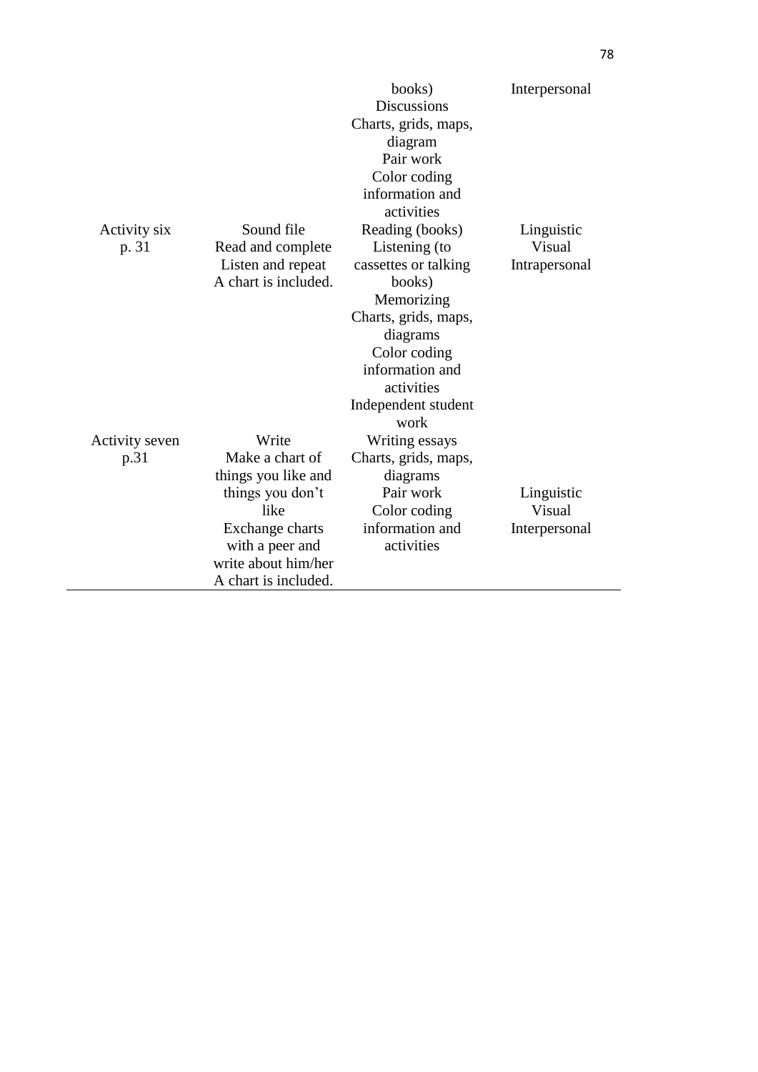|                |                      | books)<br><b>Discussions</b><br>Charts, grids, maps,<br>diagram<br>Pair work<br>Color coding<br>information and<br>activities | Interpersonal |
|----------------|----------------------|-------------------------------------------------------------------------------------------------------------------------------|---------------|
| Activity six   | Sound file           | Reading (books)                                                                                                               | Linguistic    |
| p. 31          | Read and complete    | Listening (to                                                                                                                 | Visual        |
|                | Listen and repeat    | cassettes or talking                                                                                                          | Intrapersonal |
|                | A chart is included. | books)                                                                                                                        |               |
|                |                      | Memorizing                                                                                                                    |               |
|                |                      | Charts, grids, maps,                                                                                                          |               |
|                |                      | diagrams                                                                                                                      |               |
|                |                      | Color coding                                                                                                                  |               |
|                |                      | information and                                                                                                               |               |
|                |                      | activities                                                                                                                    |               |
|                |                      | Independent student<br>work                                                                                                   |               |
| Activity seven | Write                | Writing essays                                                                                                                |               |
| p.31           | Make a chart of      | Charts, grids, maps,                                                                                                          |               |
|                | things you like and  | diagrams                                                                                                                      |               |
|                | things you don't     | Pair work                                                                                                                     | Linguistic    |
|                | like                 | Color coding                                                                                                                  | Visual        |
|                | Exchange charts      | information and                                                                                                               | Interpersonal |
|                | with a peer and      | activities                                                                                                                    |               |
|                | write about him/her  |                                                                                                                               |               |
|                | A chart is included. |                                                                                                                               |               |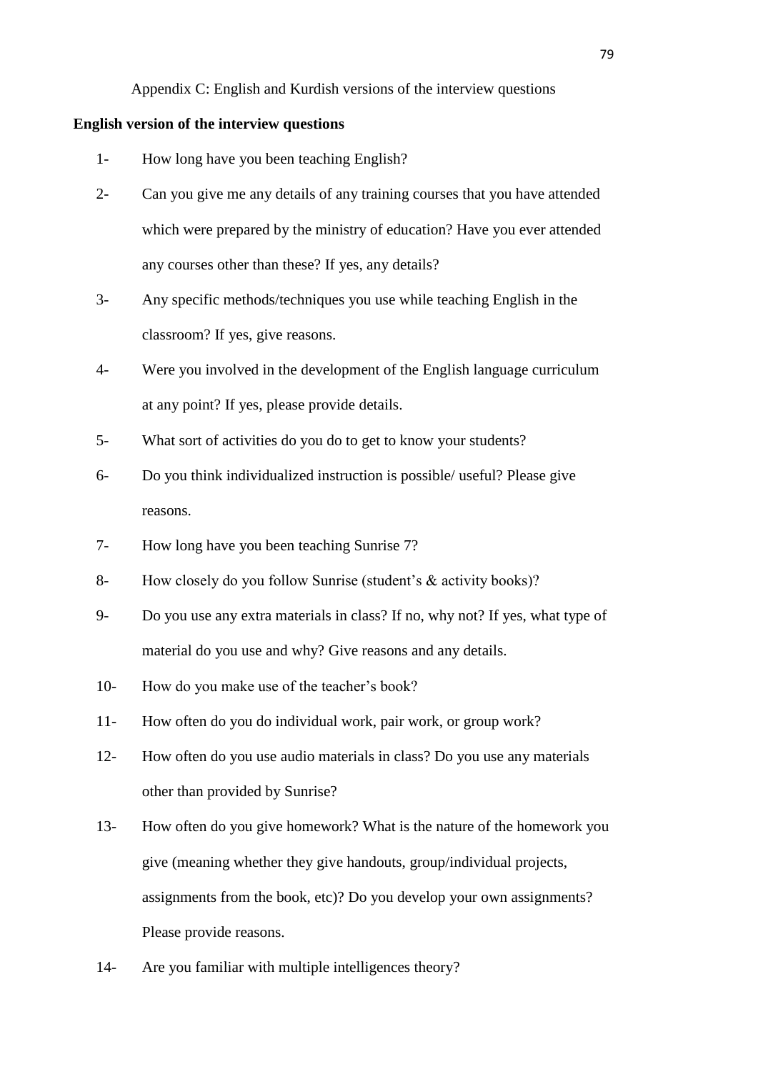Appendix C: English and Kurdish versions of the interview questions

#### **English version of the interview questions**

- 1- How long have you been teaching English?
- 2- Can you give me any details of any training courses that you have attended which were prepared by the ministry of education? Have you ever attended any courses other than these? If yes, any details?
- 3- Any specific methods/techniques you use while teaching English in the classroom? If yes, give reasons.
- 4- Were you involved in the development of the English language curriculum at any point? If yes, please provide details.
- 5- What sort of activities do you do to get to know your students?
- 6- Do you think individualized instruction is possible/ useful? Please give reasons.
- 7- How long have you been teaching Sunrise 7?
- 8- How closely do you follow Sunrise (student's & activity books)?
- 9- Do you use any extra materials in class? If no, why not? If yes, what type of material do you use and why? Give reasons and any details.
- 10- How do you make use of the teacher's book?
- 11- How often do you do individual work, pair work, or group work?
- 12- How often do you use audio materials in class? Do you use any materials other than provided by Sunrise?
- 13- How often do you give homework? What is the nature of the homework you give (meaning whether they give handouts, group/individual projects, assignments from the book, etc)? Do you develop your own assignments? Please provide reasons.
- 14- Are you familiar with multiple intelligences theory?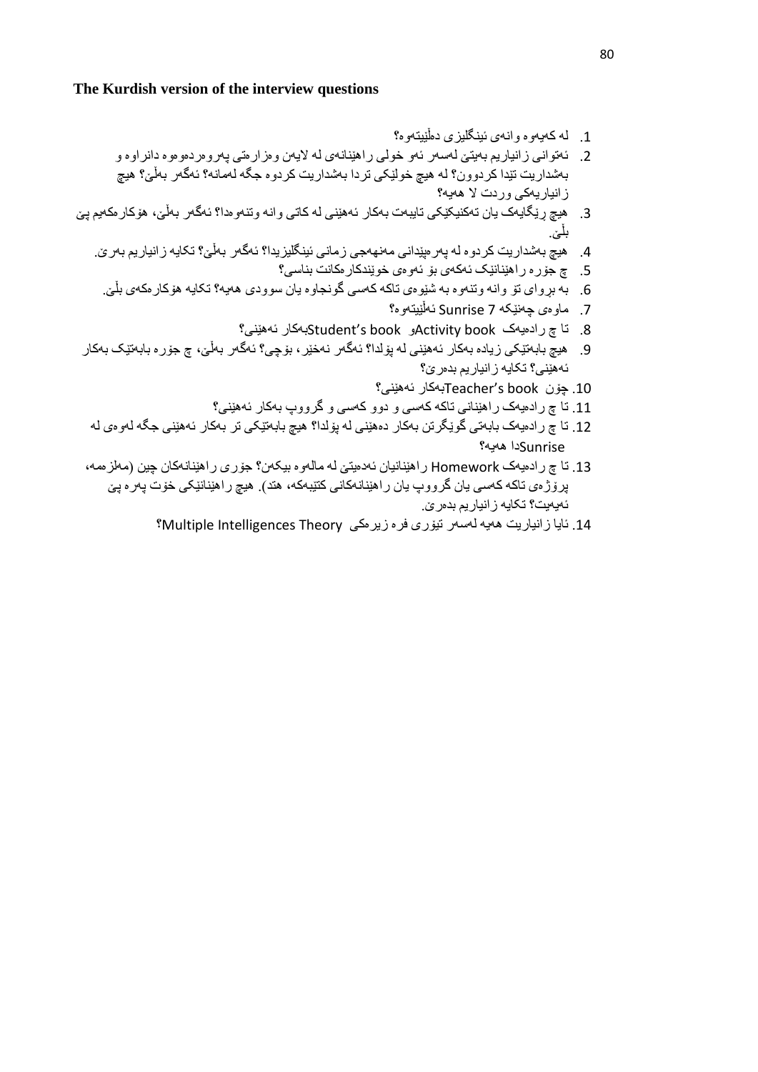#### **The Kurdish version of the interview questions**

- .1 لە کەیەوە وانەی ئینگلیزی دەڵێیتەوە؟
- .2 ئەتوانی زانیاریم بەیتێ لەسەر ئەو خولی راهێنانەی لە الیەن وەزارەتی پەروەردەوەوە دانراوە و بەشداریت تێدا کردوون؟ لە هیچ خولێکی تردا بەشداریت کردوە جگە لەمانە؟ ئەگەر بەڵێ؟ هیچ زانیاریەکی وردت ال هەیە؟
- .3 هیچ ڕێگایەک یان تەکنیکێکی تایبەت بەکار ئەهێنی لە کاتی وانە وتنەوەدا؟ ئەگەر بەڵێ، هۆکارەکەیم پێ بلێ.
	- .4 هیچ بەشداریت کردوە لە پەرەپێدانی مەنهەجی زمانی ئینگلیزیدا؟ ئەگەر بەڵێ؟ تکایە زانیاریم بەرێ.
		- .5 چ جۆرە راهێنانێک ئەکەی بۆ ئەوەی خوێندکارەکانت بناسی؟
		- .6 بە بڕوای تۆ وانە وتنەوە بە شێوەی تاکە کەسی گونجاوە یان سوودی هەیە؟ تکایە هۆکارەکەی بڵێ.
			- .7 ماوەی چەنێکە 7 Sunrise ئەڵێیتەوە؟
			- .8 تا چ رادەیەک book Activityو book s'Studentبەکار ئەهێنی؟
- .9 هیچ بابەتێکی زیادە بەکار ئەهێنی لە پۆلدا؟ ئەگەر نەخێر، بۆچی؟ ئەگەر بەڵێ، چ جۆرە بابەتێک بەکار ئەهێنی؟ تکایە زانیاریم بدەرێ؟
	- .11 چۆن book s'Teacherبەکار ئەهێنی؟
	- .11 تا چ رادەیەک راهێنانی تاکە کەسی و دوو کەسی و گرووپ بەکار ئەهێنی؟
- .12 تا چ رادەیەک بابەتی گوێگرتن بەکار دەهێنی لە پۆلدا؟ هیچ بابەتێکی تر بەکار ئەهێنی جگە لەوەی لە Sunriseدا هەیە؟
- .13 تا چ رادەیەک Homework راهێنانیان ئەدەیتێ لە مالەوە بیکەن؟ جۆری راهێنانەکان چین )مەلزەمە، پرۆژەی تاکە کەسی یان گرووپ یان راهێنانەکانی کتێبەکە، هتد). هیچ راهێنانێکی خۆت پەرە پێ ئەیەیت؟ تکایە زانیاریم بدەرێ.
	- 14. ئایا زانیاریت هەیە لەسەر تیۆری فرە زیرەکی Multiple Intelligences Theory؟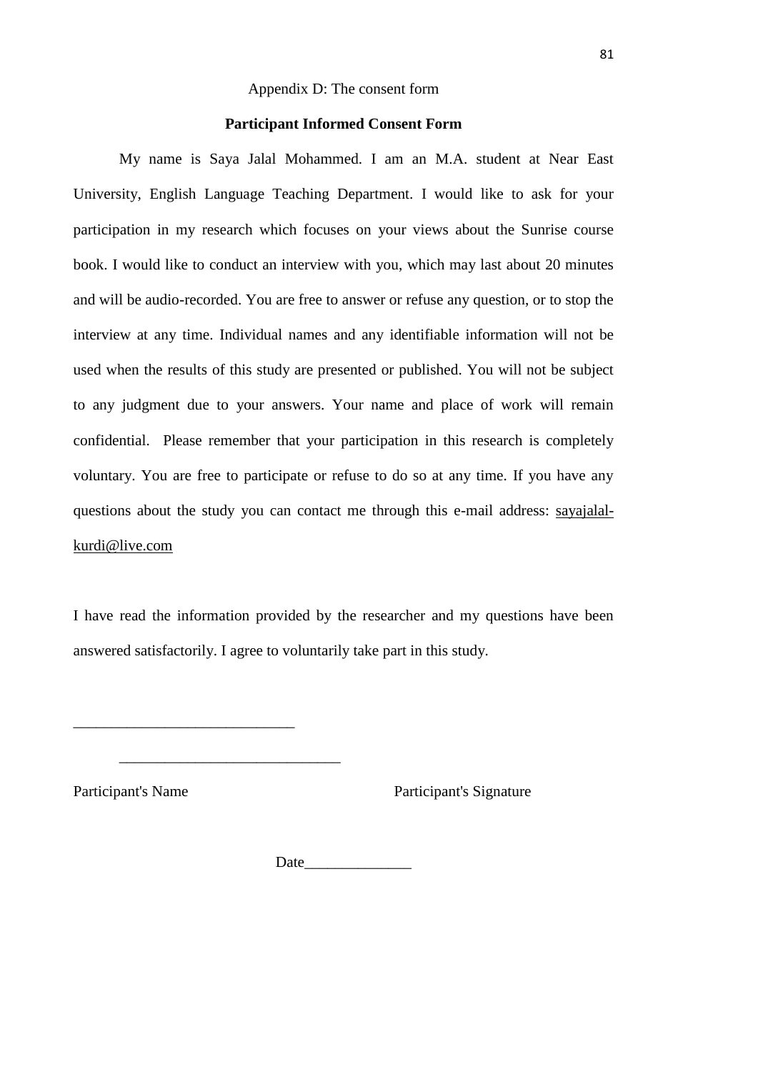#### Appendix D: The consent form

#### **Participant Informed Consent Form**

My name is Saya Jalal Mohammed. I am an M.A. student at Near East University, English Language Teaching Department. I would like to ask for your participation in my research which focuses on your views about the Sunrise course book. I would like to conduct an interview with you, which may last about 20 minutes and will be audio-recorded. You are free to answer or refuse any question, or to stop the interview at any time. Individual names and any identifiable information will not be used when the results of this study are presented or published. You will not be subject to any judgment due to your answers. Your name and place of work will remain confidential. Please remember that your participation in this research is completely voluntary. You are free to participate or refuse to do so at any time. If you have any questions about the study you can contact me through this e-mail address: sayajalalkurdi@live.com

I have read the information provided by the researcher and my questions have been answered satisfactorily. I agree to voluntarily take part in this study.

\_\_\_\_\_\_\_\_\_\_\_\_\_\_\_\_\_\_\_\_\_\_\_\_\_\_\_\_\_

\_\_\_\_\_\_\_\_\_\_\_\_\_\_\_\_\_\_\_\_\_\_\_\_\_\_\_\_\_

Participant's Name<br>
Participant's Signature

Date\_\_\_\_\_\_\_\_\_\_\_\_\_\_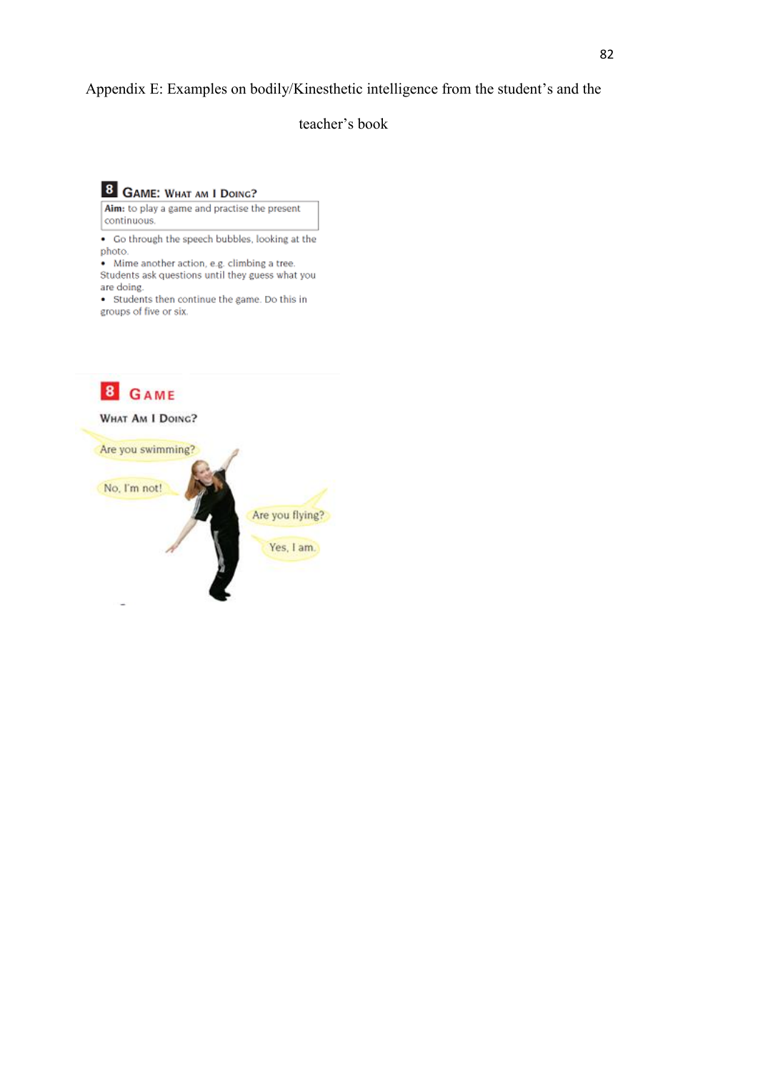### Appendix E: Examples on bodily/Kinesthetic intelligence from the student's and the

teacher's book

8 GAME: WHAT AM I DOING?

Aim: to play a game and practise the present continuous

• Go through the speech bubbles, looking at the photo.

• Mime another action, e.g. climbing a tree. Students ask questions until they guess what you are doing.

• Students then continue the game. Do this in groups of five or six.

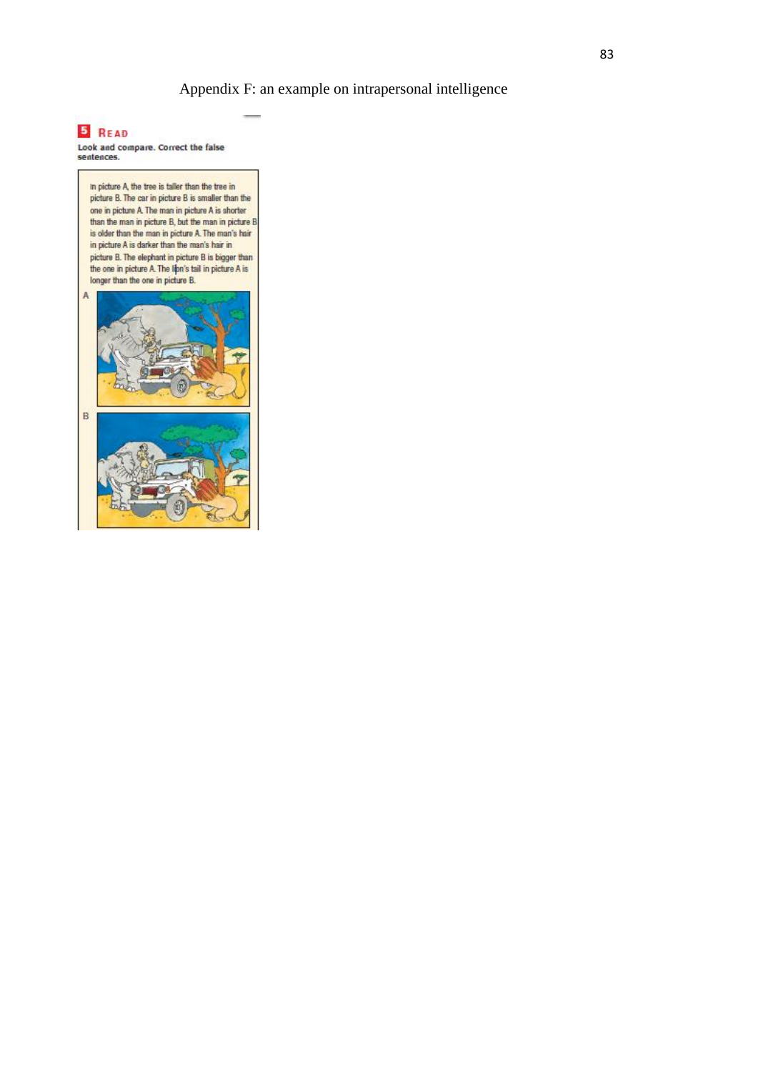Appendix F: an example on intrapersonal intelligence

### **5** READ

Look and compare. Correct the false<br>sentences.

in picture A, the tree is taller than the tree in picture B. The car in picture B is smaller than the one in picture A. The man in picture A is shorter than the man in picture B, but the man in picture B is older than the man in picture A. The man's hair in picture A is darker than the man's hair in picture B. The elephant in picture B is bigger than the one in picture A. The libn's tail in picture A is longer than the one in picture B. A  $\overline{B}$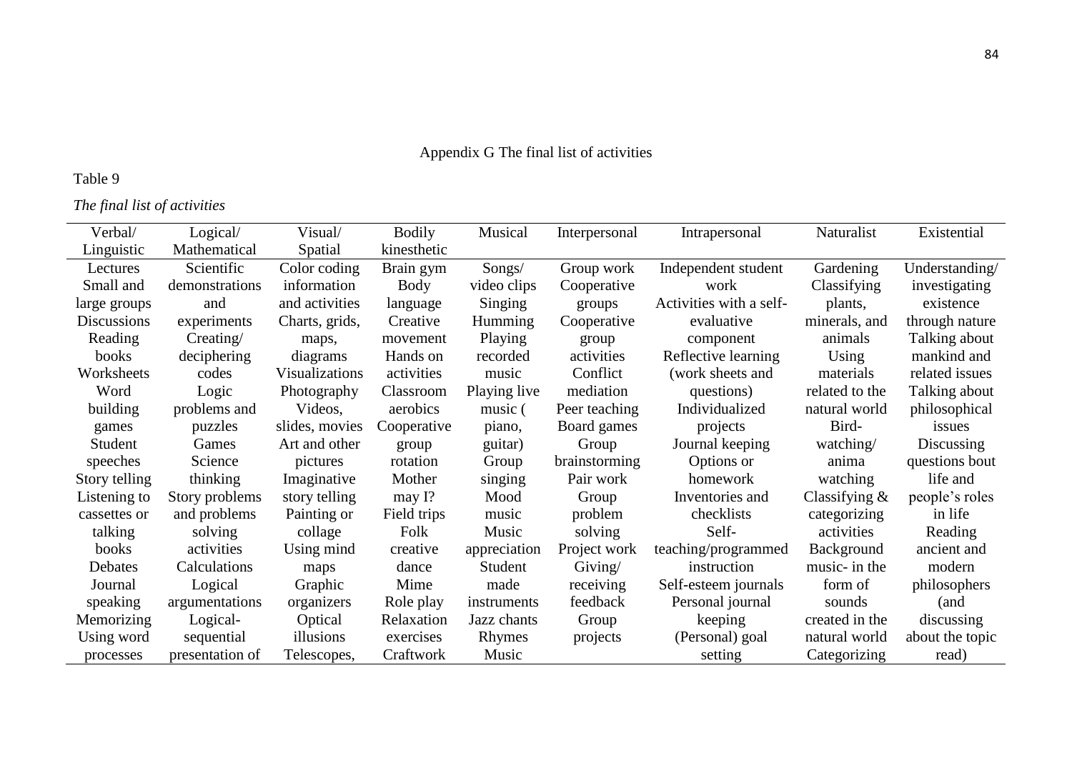# Appendix G The final list of activities

## Table 9

*The final list of activities*

| Verbal/            | Logical/        | Visual/               | <b>Bodily</b> | Musical      | Interpersonal | Intrapersonal           | Naturalist       | Existential     |
|--------------------|-----------------|-----------------------|---------------|--------------|---------------|-------------------------|------------------|-----------------|
| Linguistic         | Mathematical    | Spatial               | kinesthetic   |              |               |                         |                  |                 |
| Lectures           | Scientific      | Color coding          | Brain gym     | Songs/       | Group work    | Independent student     | Gardening        | Understanding/  |
| Small and          | demonstrations  | information           | Body          | video clips  | Cooperative   | work                    | Classifying      | investigating   |
| large groups       | and             | and activities        | language      | Singing      | groups        | Activities with a self- | plants,          | existence       |
| <b>Discussions</b> | experiments     | Charts, grids,        | Creative      | Humming      | Cooperative   | evaluative              | minerals, and    | through nature  |
| Reading            | Creating/       | maps,                 | movement      | Playing      | group         | component               | animals          | Talking about   |
| books              | deciphering     | diagrams              | Hands on      | recorded     | activities    | Reflective learning     | Using            | mankind and     |
| Worksheets         | codes           | <b>Visualizations</b> | activities    | music        | Conflict      | (work sheets and        | materials        | related issues  |
| Word               | Logic           | Photography           | Classroom     | Playing live | mediation     | questions)              | related to the   | Talking about   |
| building           | problems and    | Videos,               | aerobics      | music (      | Peer teaching | Individualized          | natural world    | philosophical   |
| games              | puzzles         | slides, movies        | Cooperative   | piano,       | Board games   | projects                | Bird-            | issues          |
| Student            | Games           | Art and other         | group         | guitar)      | Group         | Journal keeping         | watching/        | Discussing      |
| speeches           | Science         | pictures              | rotation      | Group        | brainstorming | Options or              | anima            | questions bout  |
| Story telling      | thinking        | Imaginative           | Mother        | singing      | Pair work     | homework                | watching         | life and        |
| Listening to       | Story problems  | story telling         | may I?        | Mood         | Group         | Inventories and         | Classifying $\&$ | people's roles  |
| cassettes or       | and problems    | Painting or           | Field trips   | music        | problem       | checklists              | categorizing     | in life         |
| talking            | solving         | collage               | Folk          | Music        | solving       | Self-                   | activities       | Reading         |
| books              | activities      | Using mind            | creative      | appreciation | Project work  | teaching/programmed     | Background       | ancient and     |
| Debates            | Calculations    | maps                  | dance         | Student      | Giving/       | instruction             | music- in the    | modern          |
| Journal            | Logical         | Graphic               | Mime          | made         | receiving     | Self-esteem journals    | form of          | philosophers    |
| speaking           | argumentations  | organizers            | Role play     | instruments  | feedback      | Personal journal        | sounds           | (and            |
| Memorizing         | Logical-        | Optical               | Relaxation    | Jazz chants  | Group         | keeping                 | created in the   | discussing      |
| Using word         | sequential      | illusions             | exercises     | Rhymes       | projects      | (Personal) goal         | natural world    | about the topic |
| processes          | presentation of | Telescopes,           | Craftwork     | Music        |               | setting                 | Categorizing     | read)           |